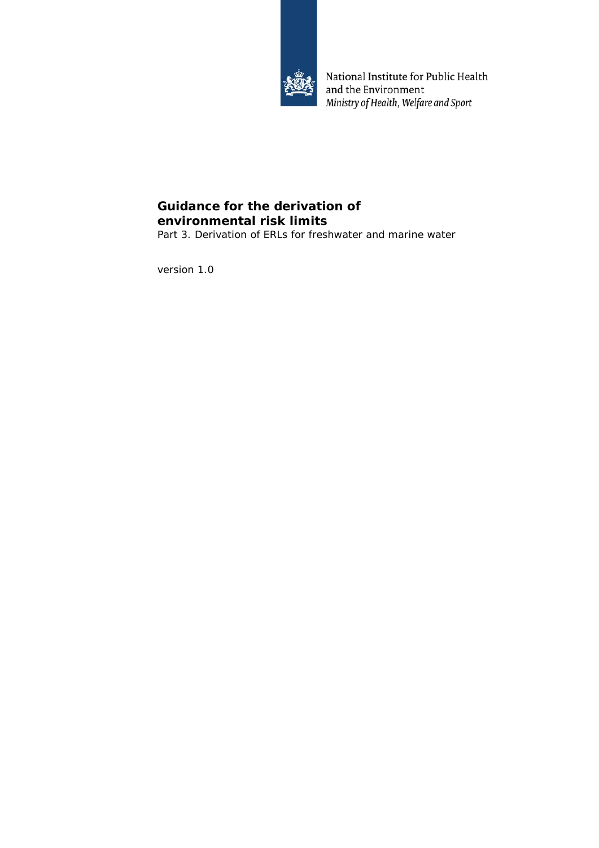

National Institute for Public Health and the Environment Ministry of Health, Welfare and Sport

# **Guidance for the derivation of environmental risk limits**

Part 3. Derivation of ERLs for freshwater and marine water

version 1.0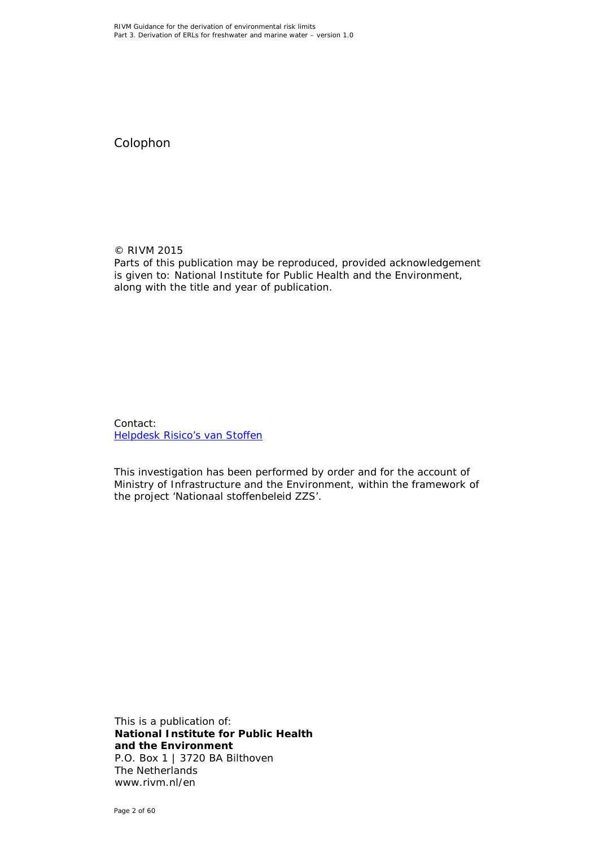Colophon

© RIVM 2015 Parts of this publication may be reproduced, provided acknowledgement is given to: National Institute for Public Health and the Environment, along with the title and year of publication.

Contact: [Helpdesk Risico's van Stoffen](https://rvs.rivm.nl/helpdesk/helpdesk-risicos-van-stoffen)

This investigation has been performed by order and for the account of Ministry of Infrastructure and the Environment, within the framework of the project 'Nationaal stoffenbeleid ZZS'.

This is a publication of: **National Institute for Public Health and the Environment** P.O. Box 1 | 3720 BA Bilthoven The Netherlands www.rivm.nl/en

Page 2 of 60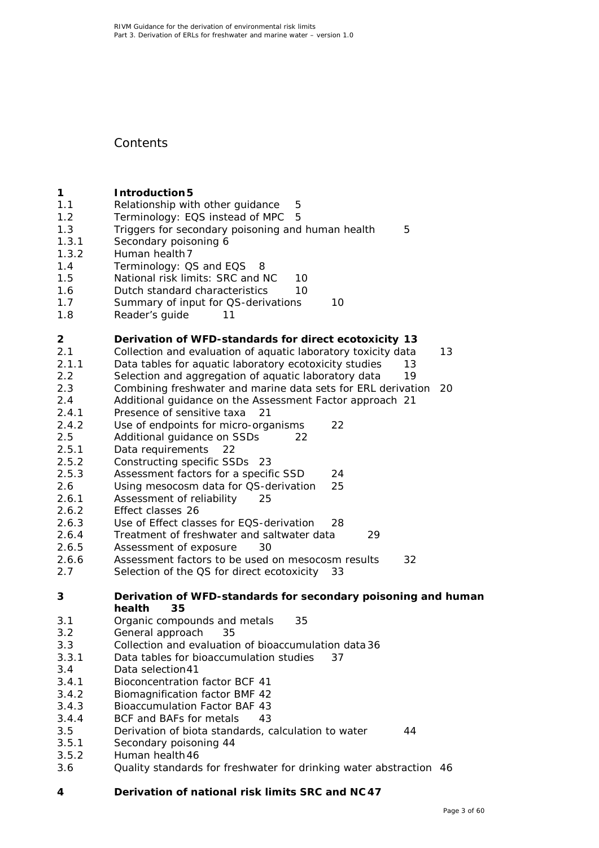# **Contents**

- **1 [Introduction5](#page-4-0)**<br>**1.1 Relationship wit** [Relationship with other guidance](#page-4-1) 5<br>Terminology: EQS instead of MPC 5
- 1.2 [Terminology: EQS instead of MPC](#page-4-2)
- 1.3 [Triggers for secondary poisoning and human health](#page-4-3) 5
- 1.3.1 [Secondary poisoning](#page-5-0) 6
- 1.3.2 [Human health7](#page-6-0)
- 
- 1.4 [Terminology: QS and EQS](#page-7-0) 8<br>1.5 National risk limits: SRC and I [National risk limits: SRC and NC](#page-9-0) 10
- 1.6 [Dutch standard characteristics](#page-9-1) 10
- 1.7 [Summary of input for QS-derivations](#page-9-2) 10
- 1.8 [Reader's guide](#page-10-0) 11

### **2 [Derivation of WFD-standards for direct ecotoxicity](#page-12-0) 13**

- 2.1 [Collection and evaluation of aquatic laboratory toxicity data](#page-12-1) 13
- 2.1.1 [Data tables for aquatic laboratory ecotoxicity studies](#page-12-2) 13
- 2.2 [Selection and aggregation of aquatic laboratory data](#page-18-0) 19
- 2.3 [Combining freshwater and marine data sets for ERL derivation](#page-19-0) 20
- 2.4 [Additional guidance on the Assessment Factor approach](#page-20-0) 21
- 2.4.1 [Presence of sensitive taxa](#page-20-1) 21<br>2.4.2 Use of endpoints for micro-orga
- [Use of endpoints for micro-organisms](#page-21-0) 22
- 2.5 [Additional guidance on SSDs](#page-21-1) 22
- 2.5.1 [Data requirements](#page-21-2) 22
- 2.5.2 [Constructing specific SSDs](#page-22-0) 23<br>2.5.3 Assessment factors for a specif
- [Assessment factors for a specific SSD](#page-23-0) 24
- 2.6 [Using mesocosm data for QS-derivation](#page-24-0) 25
- 2.6.1 [Assessment of reliability](#page-24-1) 25
- 2.6.2 [Effect classes](#page-25-0) 26
- 2.6.3 [Use of Effect classes for EQS-derivation](#page-27-0) 28
- 2.6.4 [Treatment of freshwater and saltwater data](#page-28-0) 29
- 2.6.5 [Assessment of exposure](#page-29-0) 30
- 2.6.6 [Assessment factors to be used on mesocosm results](#page-31-0) 32
- 2.7 [Selection of the QS for direct ecotoxicity](#page-32-0) 33

### **3 [Derivation of WFD-standards for secondary poisoning and human](#page-34-0)  [health](#page-34-0) 35**

- 3.1 [Organic compounds and metals](#page-34-1) 35
- 3.2 [General approach](#page-34-2) 35
- 3.3 [Collection and evaluation of bioaccumulation data](#page-35-0) 36
- 3.3.1 [Data tables for bioaccumulation studies](#page-36-0) 37
- 3.4 [Data selection41](#page-40-0)
- 3.4.1 [Bioconcentration factor BCF](#page-40-1) 41
- 3.4.2 [Biomagnification factor BMF](#page-41-0) 42
- 3.4.3 [Bioaccumulation Factor BAF](#page-42-0) 43
- 3.4.4 [BCF and BAFs for metals](#page-42-1) 43
- 3.5 [Derivation of biota standards, calculation to water](#page-43-0) 44
- 3.5.1 [Secondary poisoning](#page-43-1) 44
- 3.5.2 [Human health46](#page-45-0)
- 3.6 [Quality standards for freshwater for drinking water abstraction](#page-45-1) 46
- **4 [Derivation of national risk limits SRC and NC](#page-46-0) 47**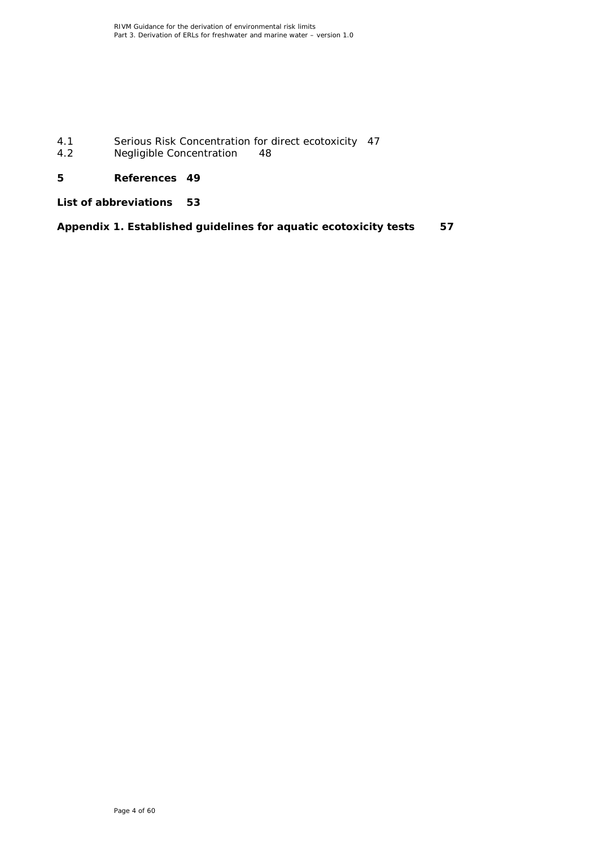4.1 [Serious Risk Concentration for direct ecotoxicity](#page-46-1) 47<br>4.2 Negligible Concentration 48 [Negligible Concentration](#page-47-0)

# **5 [References](#page-48-0) 49**

**[List of abbreviations](#page-52-0) 53**

**[Appendix 1. Established guidelines for aquatic ecotoxicity tests](#page-56-0) 57**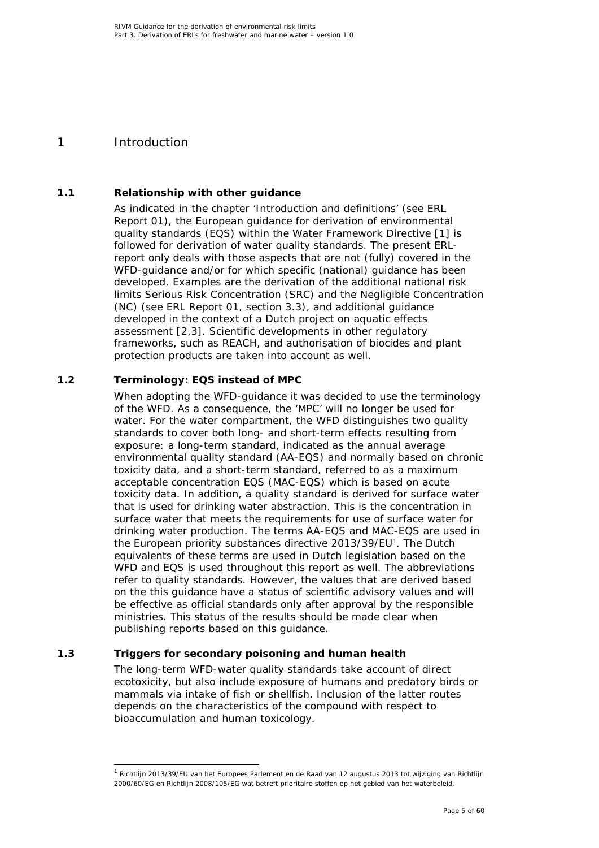# <span id="page-4-0"></span>1 Introduction

## **1.1 Relationship with other guidance**

<span id="page-4-1"></span>As indicated in the chapter 'Introduction and definitions' (see ERL Report 01), the European guidance for derivation of environmental quality standards (EQS) within the Water Framework Directive [\[1\]](#page-48-1) is followed for derivation of water quality standards. The present ERLreport only deals with those aspects that are not (fully) covered in the WFD-guidance and/or for which specific (national) guidance has been developed. Examples are the derivation of the additional national risk limits Serious Risk Concentration (SRC) and the Negligible Concentration (NC) (see ERL Report 01, section 3.3), and additional guidance developed in the context of a Dutch project on aquatic effects assessment [\[2,](#page-48-2)[3\]](#page-48-3). Scientific developments in other regulatory frameworks, such as REACH, and authorisation of biocides and plant protection products are taken into account as well.

### **1.2 Terminology: EQS instead of MPC**

<span id="page-4-2"></span>When adopting the WFD-guidance it was decided to use the terminology of the WFD. As a consequence, the 'MPC' will no longer be used for water. For the water compartment, the WFD distinguishes two quality standards to cover both long- and short-term effects resulting from exposure: a long-term standard, indicated as the annual average environmental quality standard (AA-EQS) and normally based on chronic toxicity data, and a short-term standard, referred to as a maximum acceptable concentration EQS (MAC-EQS) which is based on acute toxicity data. In addition, a quality standard is derived for surface water that is used for drinking water abstraction. This is the concentration in surface water that meets the requirements for use of surface water for drinking water production. The terms AA-EQS and MAC-EQS are used in the European priority substances directive 20[1](#page-4-4)3/39/EU<sup>1</sup>. The Dutch equivalents of these terms are used in Dutch legislation based on the WFD and EQS is used throughout this report as well. The abbreviations refer to quality standards. However, the values that are derived based on the this guidance have a status of scientific advisory values and will be effective as official standards only after approval by the responsible ministries. This status of the results should be made clear when publishing reports based on this guidance.

### **1.3 Triggers for secondary poisoning and human health**

<span id="page-4-3"></span>The long-term WFD-water quality standards take account of direct ecotoxicity, but also include exposure of humans and predatory birds or mammals via intake of fish or shellfish. Inclusion of the latter routes depends on the characteristics of the compound with respect to bioaccumulation and human toxicology.

<span id="page-4-4"></span> $1$  Richtlijn 2013/39/EU van het Europees Parlement en de Raad van 12 augustus 2013 tot wijziging van Richtlijn 2000/60/EG en Richtlijn 2008/105/EG wat betreft prioritaire stoffen op het gebied van het waterbeleid.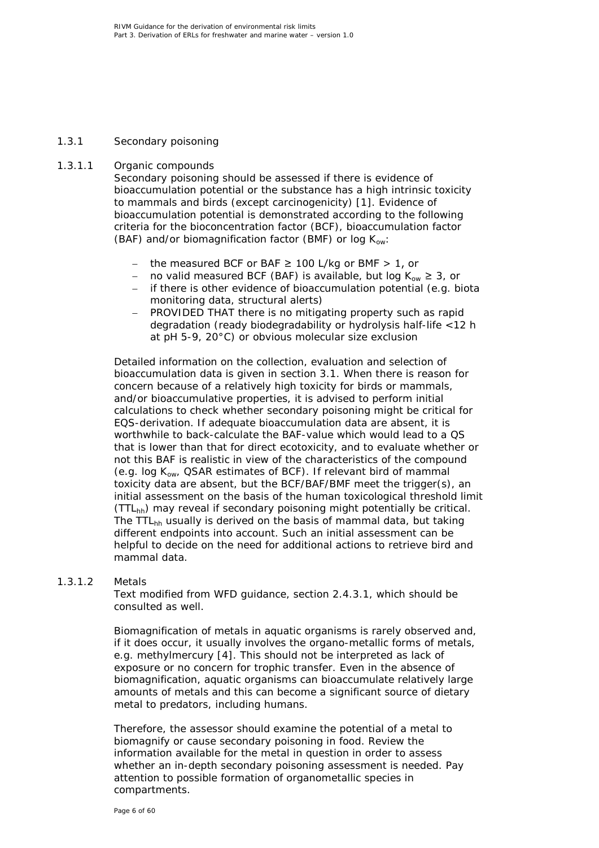### *1.3.1 Secondary poisoning*

### 1.3.1.1 Organic compounds

<span id="page-5-0"></span>Secondary poisoning should be assessed if there is evidence of bioaccumulation potential or the substance has a high intrinsic toxicity to mammals and birds (except carcinogenicity) [\[1\]](#page-48-1). Evidence of bioaccumulation potential is demonstrated according to the following criteria for the bioconcentration factor (BCF), bioaccumulation factor (BAF) and/or biomagnification factor (BMF) or log  $K_{ow}$ :

- the measured BCF or BAF  $≥$  100 L/kg or BMF  $> 1$ , or
- − no valid measured BCF (BAF) is available, but log K<sub>ow</sub> ≥ 3, or
- − if there is other evidence of bioaccumulation potential (e.g. biota monitoring data, structural alerts)
- − PROVIDED THAT there is no mitigating property such as rapid degradation (ready biodegradability or hydrolysis half-life <12 h at pH 5-9, 20°C) or obvious molecular size exclusion

Detailed information on the collection, evaluation and selection of bioaccumulation data is given in section [3.1.](#page-34-1) When there is reason for concern because of a relatively high toxicity for birds or mammals, and/or bioaccumulative properties, it is advised to perform initial calculations to check whether secondary poisoning might be critical for EQS-derivation. If adequate bioaccumulation data are absent, it is worthwhile to back-calculate the BAF-value which would lead to a QS that is lower than that for direct ecotoxicity, and to evaluate whether or not this BAF is realistic in view of the characteristics of the compound (e.g. log  $K_{ow}$ , QSAR estimates of BCF). If relevant bird of mammal toxicity data are absent, but the BCF/BAF/BMF meet the trigger(s), an initial assessment on the basis of the human toxicological threshold limit  $(TTL<sub>hh</sub>)$  may reveal if secondary poisoning might potentially be critical. The TTL<sub>hh</sub> usually is derived on the basis of mammal data, but taking different endpoints into account. Such an initial assessment can be helpful to decide on the need for additional actions to retrieve bird and mammal data.

### 1.3.1.2 Metals

Text modified from WFD guidance, section 2.4.3.1, which should be consulted as well.

Biomagnification of metals in aquatic organisms is rarely observed and, if it does occur, it usually involves the organo-metallic forms of metals, e.g. methylmercury [\[4\]](#page-48-4). This should not be interpreted as lack of exposure or no concern for trophic transfer. Even in the absence of biomagnification, aquatic organisms can bioaccumulate relatively large amounts of metals and this can become a significant source of dietary metal to predators, including humans.

Therefore, the assessor should examine the potential of a metal to biomagnify or cause secondary poisoning in food. Review the information available for the metal in question in order to assess whether an in-depth secondary poisoning assessment is needed. Pay attention to possible formation of organometallic species in compartments.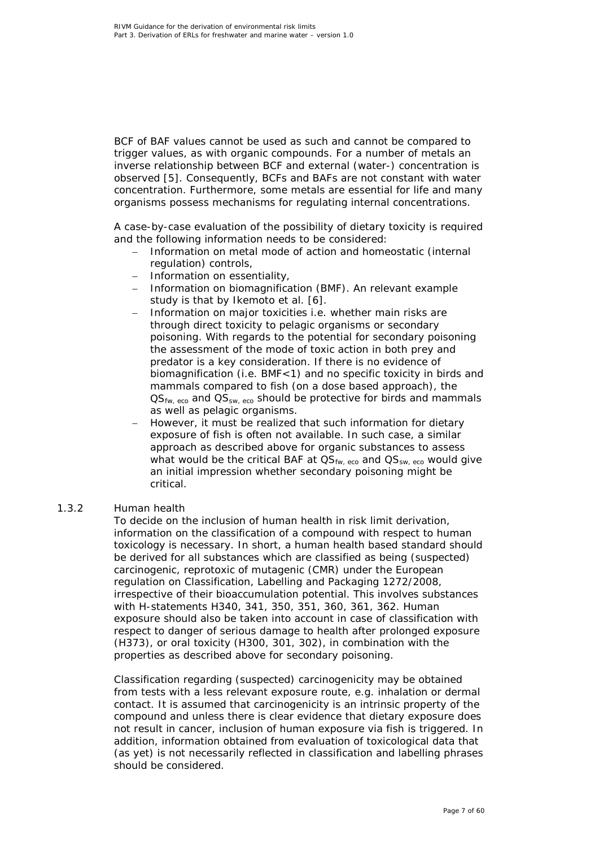BCF of BAF values cannot be used as such and cannot be compared to trigger values, as with organic compounds. For a number of metals an inverse relationship between BCF and external (water-) concentration is observed [\[5\]](#page-48-5). Consequently, BCFs and BAFs are not constant with water concentration. Furthermore, some metals are essential for life and many organisms possess mechanisms for regulating internal concentrations.

A case-by-case evaluation of the possibility of dietary toxicity is required and the following information needs to be considered:

- Information on metal mode of action and homeostatic (internal regulation) controls,
- − Information on essentiality,
- − Information on biomagnification (BMF). An relevant example study is that by Ikemoto et al. [\[6\]](#page-48-6).
- − Information on major toxicities i.e. whether main risks are through direct toxicity to pelagic organisms or secondary poisoning. With regards to the potential for secondary poisoning the assessment of the mode of toxic action in both prey and predator is a key consideration. If there is no evidence of biomagnification (i.e. BMF<1) and no specific toxicity in birds and mammals compared to fish (on a dose based approach), the  $\text{QS}_{\text{fw}, \text{eco}}$  and  $\text{QS}_{\text{sw}, \text{eco}}$  should be protective for birds and mammals as well as pelagic organisms.
- However, it must be realized that such information for dietary exposure of fish is often not available. In such case, a similar approach as described above for organic substances to assess what would be the critical BAF at  $\mathsf{OS}_{\mathsf{fw},\, \mathsf{eco}}$  and  $\mathsf{OS}_{\mathsf{sw},\, \mathsf{eco}}$  would give an initial impression whether secondary poisoning might be critical.

### *1.3.2 Human health*

<span id="page-6-0"></span>To decide on the inclusion of human health in risk limit derivation, information on the classification of a compound with respect to human toxicology is necessary. In short, a human health based standard should be derived for all substances which are classified as being (suspected) carcinogenic, reprotoxic of mutagenic (CMR) under the European regulation on Classification, Labelling and Packaging 1272/2008, irrespective of their bioaccumulation potential. This involves substances with H-statements H340, 341, 350, 351, 360, 361, 362. Human exposure should also be taken into account in case of classification with respect to danger of serious damage to health after prolonged exposure (H373), or oral toxicity (H300, 301, 302), in combination with the properties as described above for secondary poisoning.

Classification regarding (suspected) carcinogenicity may be obtained from tests with a less relevant exposure route, e.g. inhalation or dermal contact. It is assumed that carcinogenicity is an intrinsic property of the compound and unless there is clear evidence that dietary exposure does not result in cancer, inclusion of human exposure via fish is triggered. In addition, information obtained from evaluation of toxicological data that (as yet) is not necessarily reflected in classification and labelling phrases should be considered.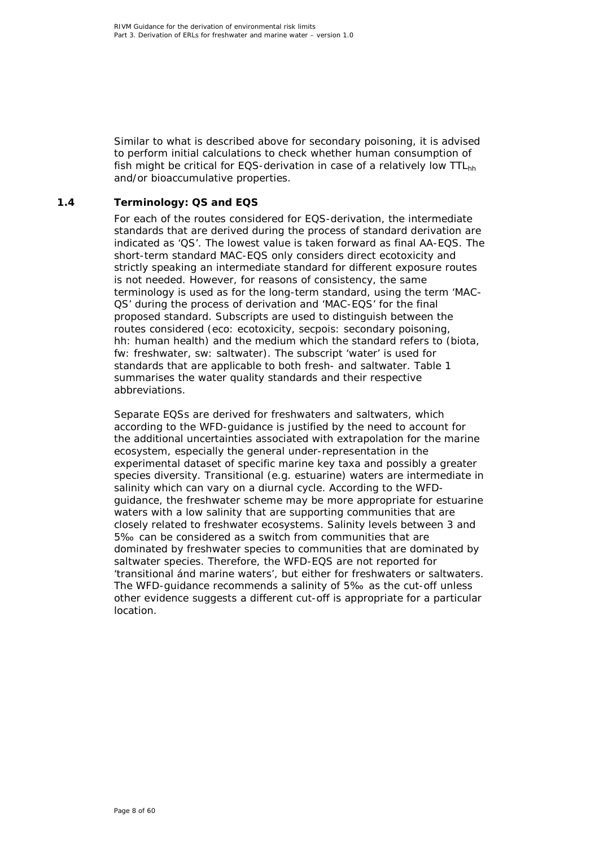Similar to what is described above for secondary poisoning, it is advised to perform initial calculations to check whether human consumption of fish might be critical for EQS-derivation in case of a relatively low TTL<sub>hh</sub> and/or bioaccumulative properties.

### **1.4 Terminology: QS and EQS**

<span id="page-7-0"></span>For each of the routes considered for EQS-derivation, the intermediate standards that are derived during the process of standard derivation are indicated as 'QS'. The lowest value is taken forward as final AA-EQS. The short-term standard MAC-EQS only considers direct ecotoxicity and strictly speaking an intermediate standard for different exposure routes is not needed. However, for reasons of consistency, the same terminology is used as for the long-term standard, using the term 'MAC-QS' during the process of derivation and 'MAC-EQS' for the final proposed standard. Subscripts are used to distinguish between the routes considered (eco: ecotoxicity, secpois: secondary poisoning, hh: human health) and the medium which the standard refers to (biota, fw: freshwater, sw: saltwater). The subscript 'water' is used for standards that are applicable to both fresh- and saltwater. Table 1 summarises the water quality standards and their respective abbreviations.

Separate EQSs are derived for freshwaters and saltwaters, which according to the WFD-guidance is justified by the need to account for the additional uncertainties associated with extrapolation for the marine ecosystem, especially the general under-representation in the experimental dataset of specific marine key taxa and possibly a greater species diversity. Transitional (e.g. estuarine) waters are intermediate in salinity which can vary on a diurnal cycle. According to the WFDguidance, the freshwater scheme may be more appropriate for estuarine waters with a low salinity that are supporting communities that are closely related to freshwater ecosystems. Salinity levels between 3 and 5‰ can be considered as a switch from communities that are dominated by freshwater species to communities that are dominated by saltwater species. Therefore, the WFD-EQS are not reported for 'transitional ánd marine waters', but either for freshwaters or saltwaters. The WFD-guidance recommends a salinity of 5‰ as the cut-off unless other evidence suggests a different cut-off is appropriate for a particular location.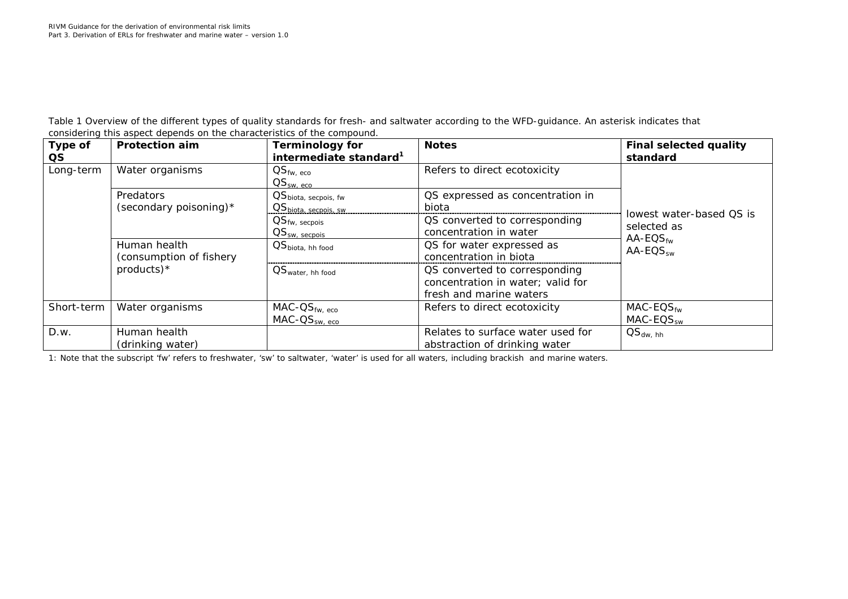*Table 1 Overview of the different types of quality standards for fresh- and saltwater according to the WFD-guidance. An asterisk indicates that considering this aspect depends on the characteristics of the compound.*

| Type of<br>QS. | <b>Protection aim</b>     | <b>Terminology for</b><br>intermediate standard <sup>1</sup>                       | <b>Notes</b>                      | <b>Final selected quality</b><br>standard |
|----------------|---------------------------|------------------------------------------------------------------------------------|-----------------------------------|-------------------------------------------|
| Long-term      | Water organisms           | $\mathsf{QS}_{\mathsf{fw}, \; \mathsf{eco}}$<br>$\text{OS}_{\text{\tiny SW, ECO}}$ | Refers to direct ecotoxicity      |                                           |
|                | Predators                 | QS <sub>biota, secpois, fw</sub>                                                   | QS expressed as concentration in  |                                           |
|                | (secondary poisoning) $*$ | QS <sub>biota</sub> secpois sw.                                                    | biota                             | lowest water-based QS is                  |
|                |                           | $\text{QS}_{\text{fw, secpois}}$                                                   | QS converted to corresponding     | selected as                               |
|                |                           | $\text{QS}_{\text{\tiny SW.}\text{-}\text{seconds}}$                               | concentration in water            | $AA$ -EQS $_{fw}$                         |
|                | Human health              | $\text{QS}_{\text{biota}, \text{ hh food}}$                                        | QS for water expressed as         | $AA$ -EQS <sub>sw</sub>                   |
|                | (consumption of fishery   |                                                                                    | concentration in biota            |                                           |
|                | $products$ <sup>*</sup>   | $OS_{water, hh}$ food                                                              | QS converted to corresponding     |                                           |
|                |                           |                                                                                    | concentration in water; valid for |                                           |
|                |                           |                                                                                    | fresh and marine waters           |                                           |
| Short-term     | Water organisms           | $MAC-OS_{fw, eco}$                                                                 | Refers to direct ecotoxicity      | $MAC$ - $EQS$ <sub>fw</sub>               |
|                |                           | $MAC-OSsw, eco$                                                                    |                                   | $MAC$ - $EQS_{sw}$                        |
| D.w.           | Human health              |                                                                                    | Relates to surface water used for | $OS_{dw, hh}$                             |
|                | (drinking water)          |                                                                                    | abstraction of drinking water     |                                           |

1: Note that the subscript 'fw' refers to freshwater, 'sw' to saltwater, 'water' is used for all waters, including brackish and marine waters.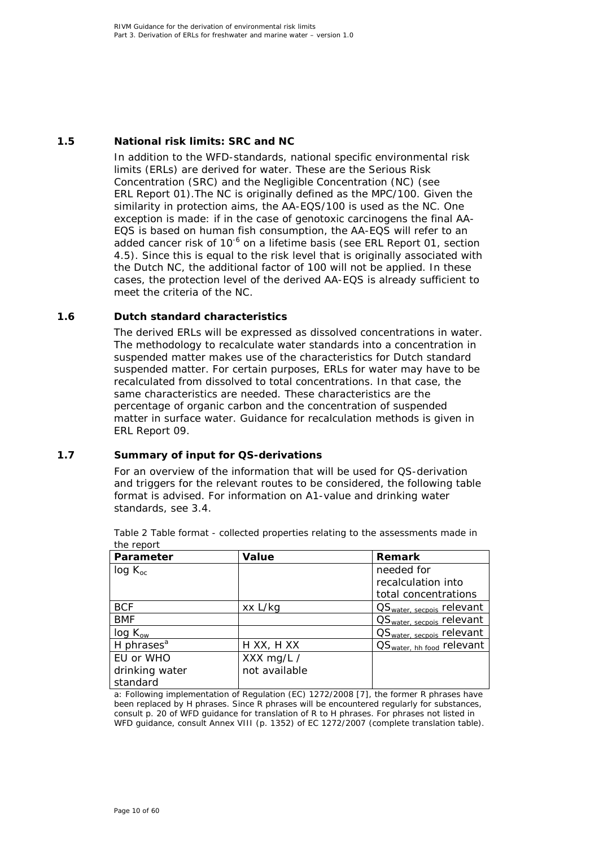### **1.5 National risk limits: SRC and NC**

<span id="page-9-0"></span>In addition to the WFD-standards, national specific environmental risk limits (ERLs) are derived for water. These are the Serious Risk Concentration (SRC) and the Negligible Concentration (NC) (see ERL Report 01).The NC is originally defined as the MPC/100. Given the similarity in protection aims, the AA-EQS/100 is used as the NC. One exception is made: if in the case of genotoxic carcinogens the final AA-EQS is based on human fish consumption, the AA-EQS will refer to an added cancer risk of  $10^{-6}$  on a lifetime basis (see ERL Report 01, section 4.5). Since this is equal to the risk level that is originally associated with the Dutch NC, the additional factor of 100 will not be applied. In these cases, the protection level of the derived AA-EQS is already sufficient to meet the criteria of the NC.

### **1.6 Dutch standard characteristics**

<span id="page-9-1"></span>The derived ERLs will be expressed as dissolved concentrations in water. The methodology to recalculate water standards into a concentration in suspended matter makes use of the characteristics for Dutch standard suspended matter. For certain purposes, ERLs for water may have to be recalculated from dissolved to total concentrations. In that case, the same characteristics are needed. These characteristics are the percentage of organic carbon and the concentration of suspended matter in surface water. Guidance for recalculation methods is given in ERL Report 09.

### **1.7 Summary of input for QS-derivations**

<span id="page-9-2"></span>For an overview of the information that will be used for QS-derivation and triggers for the relevant routes to be considered, the following table format is advised. For information on A1-value and drinking water standards, see 3.4.

| 1110 1 0 10 11 1 |               |                                       |
|------------------|---------------|---------------------------------------|
| Parameter        | Value         | <b>Remark</b>                         |
| $log K_{oc}$     |               | needed for                            |
|                  |               | recalculation into                    |
|                  |               | total concentrations                  |
| <b>BCF</b>       | xx L/kg       | QS <sub>water, secpois</sub> relevant |
| <b>BMF</b>       |               | QS <sub>water, secpois</sub> relevant |
| $log K_{ow}$     |               | OS <sub>water, secpois</sub> relevant |
| H phrases $a$    | H XX, H XX    | OS <sub>water, hh food</sub> relevant |
| EU or WHO        | XXX mg/L /    |                                       |
| drinking water   | not available |                                       |
| standard         |               |                                       |

*Table 2 Table format - collected properties relating to the assessments made in the report*

a: Following implementation of Regulation (EC) 1272/2008 [\[7\]](#page-48-7), the former R phrases have been replaced by H phrases. Since R phrases will be encountered regularly for substances, consult p. 20 of WFD guidance for translation of R to H phrases. For phrases not listed in WFD guidance, consult Annex VIII (p. 1352) of EC 1272/2007 (complete translation table).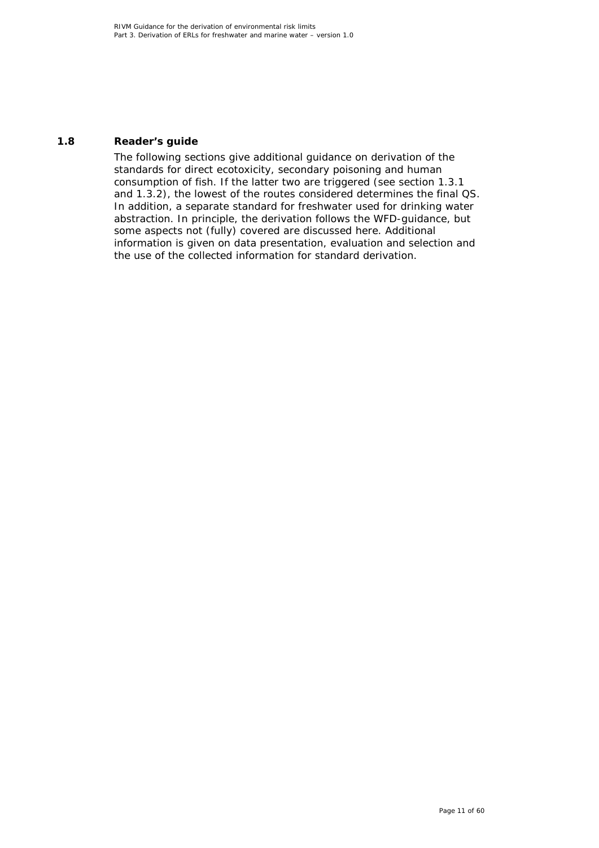### **1.8 Reader's guide**

<span id="page-10-0"></span>The following sections give additional guidance on derivation of the standards for direct ecotoxicity, secondary poisoning and human consumption of fish. If the latter two are triggered (see section 1.3.1 and 1.3.2), the lowest of the routes considered determines the final QS. In addition, a separate standard for freshwater used for drinking water abstraction. In principle, the derivation follows the WFD-guidance, but some aspects not (fully) covered are discussed here. Additional information is given on data presentation, evaluation and selection and the use of the collected information for standard derivation.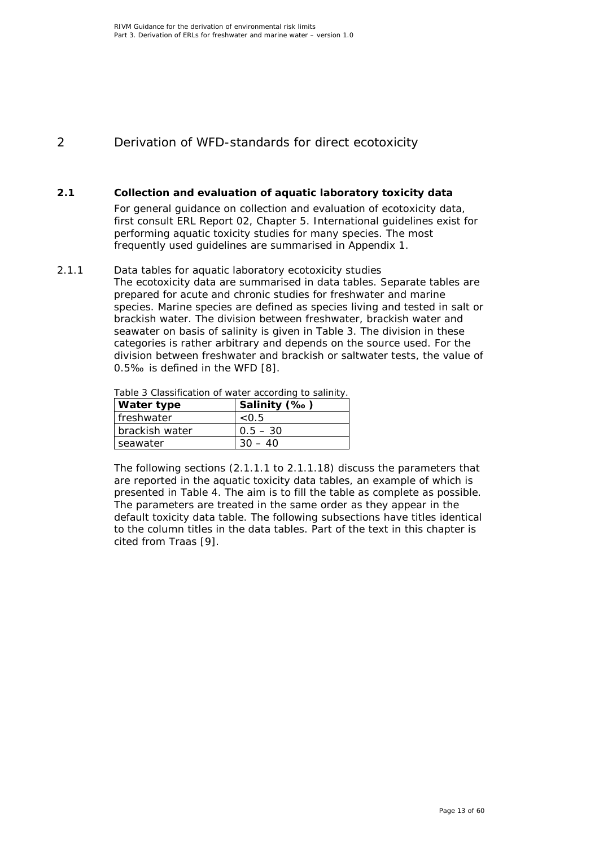# <span id="page-12-0"></span>2 Derivation of WFD-standards for direct ecotoxicity

### **2.1 Collection and evaluation of aquatic laboratory toxicity data**

<span id="page-12-1"></span>For general guidance on collection and evaluation of ecotoxicity data, first consult ERL Report 02, Chapter 5. International guidelines exist for performing aquatic toxicity studies for many species. The most frequently used guidelines are summarised in Appendix 1.

### *2.1.1 Data tables for aquatic laboratory ecotoxicity studies*

<span id="page-12-2"></span>The ecotoxicity data are summarised in data tables. Separate tables are prepared for acute and chronic studies for freshwater and marine species. Marine species are defined as species living and tested in salt or brackish water. The division between freshwater, brackish water and seawater on basis of salinity is given in Table 3. The division in these categories is rather arbitrary and depends on the source used. For the division between freshwater and brackish or saltwater tests, the value of 0.5‰ is defined in the WFD [\[8\]](#page-48-8).

| Table 3 Classification of water according to salinity. |
|--------------------------------------------------------|
|--------------------------------------------------------|

| <b>Water type</b> | Salinity (‰) |  |  |  |
|-------------------|--------------|--|--|--|
| l freshwater      | < 0.5        |  |  |  |
| brackish water    | $0.5 - 30$   |  |  |  |
| seawater          |              |  |  |  |

The following sections (2.1.1.1 to 2.1.1.18) discuss the parameters that are reported in the aquatic toxicity data tables, an example of which is presented in Table 4. The aim is to fill the table as complete as possible. The parameters are treated in the same order as they appear in the default toxicity data table. The following subsections have titles identical to the column titles in the data tables. Part of the text in this chapter is cited from Traas [\[9\]](#page-48-9).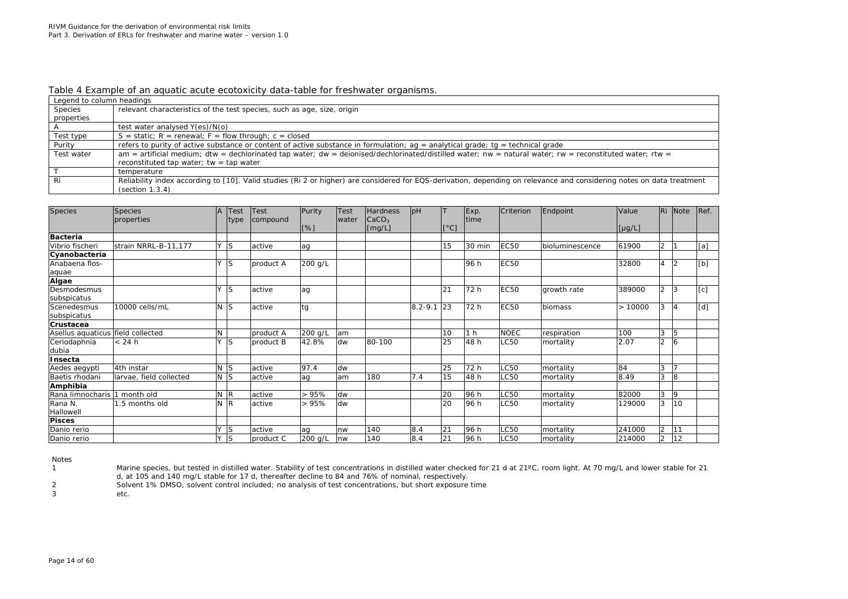#### *Table 4 Example of an aquatic acute ecotoxicity data-table for freshwater organisms.*

| Legend to column headings |                                                                                                                                                                       |
|---------------------------|-----------------------------------------------------------------------------------------------------------------------------------------------------------------------|
| Species                   | relevant characteristics of the test species, such as age, size, origin                                                                                               |
| properties                |                                                                                                                                                                       |
|                           | test water analysed Y(es)/N(o)                                                                                                                                        |
| Test type                 | $S =$ static; $R =$ renewal; $F =$ flow through; $c =$ closed                                                                                                         |
| Purity                    | refers to purity of active substance or content of active substance in formulation; $aq =$ analytical grade; $tq =$ technical grade                                   |
| Test water                | $am =$ artificial medium; dtw = dechlorinated tap water; dw = deionised/dechlorinated/distilled water; nw = natural water; rw = reconstituted water; rtw =            |
|                           | reconstituted tap water; tw = tap water                                                                                                                               |
|                           | temperature                                                                                                                                                           |
| Ri                        | Reliability index according to [10]. Valid studies (Ri 2 or higher) are considered for EQS-derivation, depending on relevance and considering notes on data treatment |
|                           | (section 1.3.4)                                                                                                                                                       |

| <b>Species</b>                    | <b>Species</b>          | $\overline{A}$ | <b>Test</b>    | Test      | Purity  | Test  | <b>Hardness</b><br>$\vert$ CaCO <sub>3</sub> | pH          |      | Exp.<br>time   | Criterion   | Endpoint        | Value       | Ri             | Note           | Ref. |
|-----------------------------------|-------------------------|----------------|----------------|-----------|---------|-------|----------------------------------------------|-------------|------|----------------|-------------|-----------------|-------------|----------------|----------------|------|
|                                   | properties              |                | type           | compound  | [%]     | water | $\lfloor$ [mg/L]                             |             | [°C] |                |             |                 | $[\mu g/L]$ |                |                |      |
| <b>Bacteria</b>                   |                         |                |                |           |         |       |                                              |             |      |                |             |                 |             |                |                |      |
| Vibrio fischeri                   | strain NRRL-B-11,177    | Y              | ls.            | active    | ag      |       |                                              |             | 15   | 30 min         | <b>EC50</b> | bioluminescence | 61900       | $\overline{2}$ |                | [a]  |
| Cyanobacteria                     |                         |                |                |           |         |       |                                              |             |      |                |             |                 |             |                |                |      |
| Anabaena flos-                    |                         | Y              | ls             | product A | 200 g/L |       |                                              |             |      | 96 h           | <b>EC50</b> |                 | 32800       | 4              | $\overline{2}$ | [b]  |
| aquae                             |                         |                |                |           |         |       |                                              |             |      |                |             |                 |             |                |                |      |
| Algae                             |                         |                |                |           |         |       |                                              |             |      |                |             |                 |             |                |                |      |
| Desmodesmus                       |                         | <b>Y</b>       | ls             | active    | ag      |       |                                              |             | 21   | 72 h           | <b>EC50</b> | growth rate     | 389000      | 2              | 3              | [c]  |
| subspicatus                       |                         |                |                |           |         |       |                                              |             |      |                |             |                 |             |                |                |      |
| Scenedesmus                       | 10000 cells/mL          | N              | ls             | active    | tg      |       |                                              | $8.2 - 9.1$ | 23   | 72 h           | <b>EC50</b> | biomass         | >10000      | 3              | 4              | [d]  |
| subspicatus                       |                         |                |                |           |         |       |                                              |             |      |                |             |                 |             |                |                |      |
| Crustacea                         |                         |                |                |           |         |       |                                              |             |      |                |             |                 |             |                |                |      |
| Asellus aquaticus field collected |                         | N              |                | product A | 200 g/L | am    |                                              |             | 10   | 1 <sub>h</sub> | <b>NOEC</b> | respiration     | 100         | 3              | 5              |      |
| Ceriodaphnia                      | < 24 h                  | Y              | ls             | product B | 42.8%   | dw    | 80-100                                       |             | 25   | 48 h           | LC50        | mortality       | 2.07        | $\overline{2}$ | 6              |      |
| dubia                             |                         |                |                |           |         |       |                                              |             |      |                |             |                 |             |                |                |      |
| Insecta                           |                         |                |                |           |         |       |                                              |             |      |                |             |                 |             |                |                |      |
| Aedes aegypti                     | 4th instar              |                | N <sub>S</sub> | active    | 97.4    | dw    |                                              |             | 25   | 72 h           | LC50        | mortality       | 84          | 3              |                |      |
| Baetis rhodani                    | larvae, field collected |                | $N$ S          | active    | ag      | am    | 180                                          | 7.4         | 15   | 48 h           | LC50        | mortality       | 8.49        | 3              | 8              |      |
| Amphibia                          |                         |                |                |           |         |       |                                              |             |      |                |             |                 |             |                |                |      |
| Rana limnocharis 1 month old      |                         |                | N R            | active    | >95%    | dw    |                                              |             | 20   | 96 h           | LC50        | mortality       | 82000       | 3              | 9              |      |
| Rana N.                           | 1.5 months old          | N              | <sup>IR</sup>  | active    | >95%    | dw    |                                              |             | 20   | 96 h           | LC50        | mortality       | 129000      | 3              | 10             |      |
| Hallowell                         |                         |                |                |           |         |       |                                              |             |      |                |             |                 |             |                |                |      |
| <b>Pisces</b>                     |                         |                |                |           |         |       |                                              |             |      |                |             |                 |             |                |                |      |
| Danio rerio                       |                         | <b>Y</b>       | <b>S</b>       | active    | aq      | nw    | 140                                          | 8.4         | 21   | 96 h           | LC50        | mortality       | 241000      | $\overline{2}$ | 11             |      |
| Danio rerio                       |                         | <b>Y</b>       | <sub>S</sub>   | product C | 200 g/L | nw    | 140                                          | 8.4         | 21   | 96 h           | LC50        | mortality       | 214000      | $\overline{2}$ | 12             |      |

Notes<br>1

Marine species, but tested in distilled water. Stability of test concentrations in distilled water checked for 21 d at 21°C, room light. At 70 mg/L and lower stable for 21 d, at 105 and 140 mg/L stable for 17 d, thereafter decline to 84 and 76% of nominal, respectively.

2 Solvent 1% DMSO, solvent control included; no analysis of test concentrations, but short exposure time etc.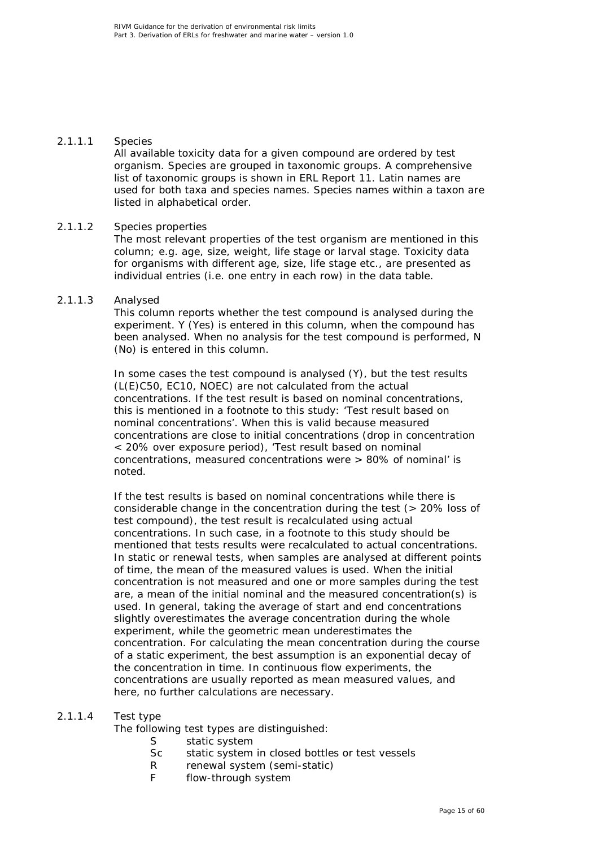### 2.1.1.1 Species

All available toxicity data for a given compound are ordered by test organism. Species are grouped in taxonomic groups. A comprehensive list of taxonomic groups is shown in ERL Report 11. Latin names are used for both taxa and species names. Species names within a taxon are listed in alphabetical order.

### 2.1.1.2 Species properties

The most relevant properties of the test organism are mentioned in this column; e.g. age, size, weight, life stage or larval stage. Toxicity data for organisms with different age, size, life stage etc., are presented as individual entries (i.e. one entry in each row) in the data table.

### 2.1.1.3 Analysed

This column reports whether the test compound is analysed during the experiment. Y (Yes) is entered in this column, when the compound has been analysed. When no analysis for the test compound is performed, N (No) is entered in this column.

In some cases the test compound is analysed (Y), but the test results (L(E)C50, EC10, NOEC) are not calculated from the actual concentrations. If the test result is based on nominal concentrations, this is mentioned in a footnote to this study: 'Test result based on nominal concentrations'. When this is valid because measured concentrations are close to initial concentrations (drop in concentration < 20% over exposure period), 'Test result based on nominal concentrations, measured concentrations were > 80% of nominal' is noted.

If the test results is based on nominal concentrations while there is considerable change in the concentration during the test (> 20% loss of test compound), the test result is recalculated using actual concentrations. In such case, in a footnote to this study should be mentioned that tests results were recalculated to actual concentrations. In static or renewal tests, when samples are analysed at different points of time, the mean of the measured values is used. When the initial concentration is not measured and one or more samples during the test are, a mean of the initial nominal and the measured concentration(s) is used. In general, taking the average of start and end concentrations slightly overestimates the average concentration during the whole experiment, while the geometric mean underestimates the concentration. For calculating the mean concentration during the course of a static experiment, the best assumption is an exponential decay of the concentration in time. In continuous flow experiments, the concentrations are usually reported as mean measured values, and here, no further calculations are necessary.

### 2.1.1.4 Test type

The following test types are distinguished:

- S static system
- Sc static system in closed bottles or test vessels
- R renewal system (semi-static)
- F flow-through system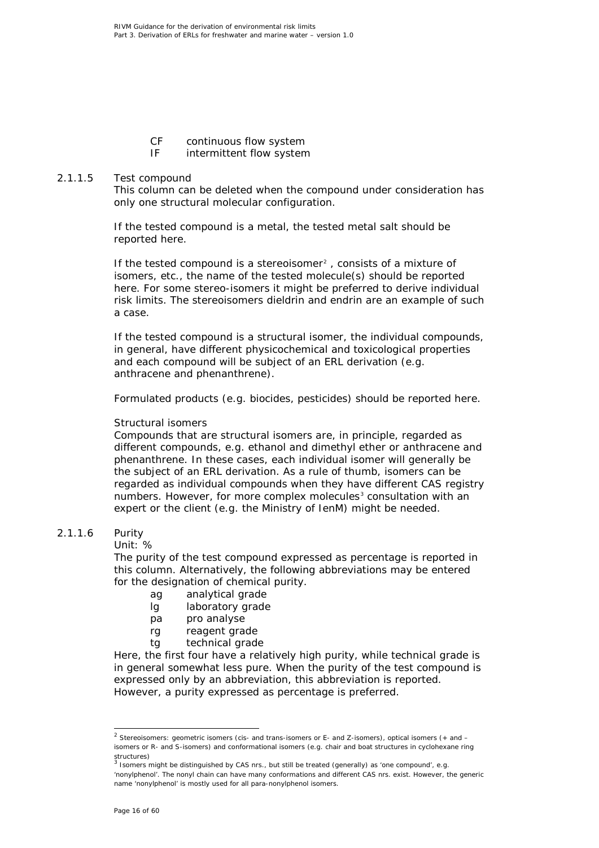- CF continuous flow system<br>IF intermittent flow system
- intermittent flow system

### 2.1.1.5 Test compound

This column can be deleted when the compound under consideration has only one structural molecular configuration.

If the tested compound is a metal, the tested metal salt should be reported here.

If the tested compound is a stereoisomer<sup>[2](#page-15-0)</sup>, consists of a mixture of isomers, etc., the name of the tested molecule(s) should be reported here. For some stereo-isomers it might be preferred to derive individual risk limits. The stereoisomers dieldrin and endrin are an example of such a case.

If the tested compound is a structural isomer, the individual compounds, in general, have different physicochemical and toxicological properties and each compound will be subject of an ERL derivation (e.g. anthracene and phenanthrene).

Formulated products (e.g. biocides, pesticides) should be reported here.

### *Structural isomers*

Compounds that are structural isomers are, in principle, regarded as different compounds, e.g. ethanol and dimethyl ether or anthracene and phenanthrene. In these cases, each individual isomer will generally be the subject of an ERL derivation. As a rule of thumb, isomers can be regarded as individual compounds when they have different CAS registry numbers. However, for more complex molecules<sup>[3](#page-15-1)</sup> consultation with an expert or the client (e.g. the Ministry of IenM) might be needed.

### 2.1.1.6 Purity

Unit: %

The purity of the test compound expressed as percentage is reported in this column. Alternatively, the following abbreviations may be entered for the designation of chemical purity.

- ag analytical grade
- lg laboratory grade
- pa pro analyse
- rg reagent grade
- tg technical grade

Here, the first four have a relatively high purity, while technical grade is in general somewhat less pure. When the purity of the test compound is expressed only by an abbreviation, this abbreviation is reported. However, a purity expressed as percentage is preferred.

<span id="page-15-0"></span><sup>&</sup>lt;sup>2</sup> Stereoisomers: geometric isomers (cis- and trans-isomers or E- and Z-isomers), optical isomers (+ and – isomers or R- and S-isomers) and conformational isomers (e.g. chair and boat structures in cyclohexane ring structures)<br><sup>3</sup> Isomers might be distinguished by CAS nrs., but still be treated (generally) as 'one compound', e.g.

<span id="page-15-1"></span><sup>&#</sup>x27;nonylphenol'. The nonyl chain can have many conformations and different CAS nrs. exist. However, the generic name 'nonylphenol' is mostly used for all para-nonylphenol isomers.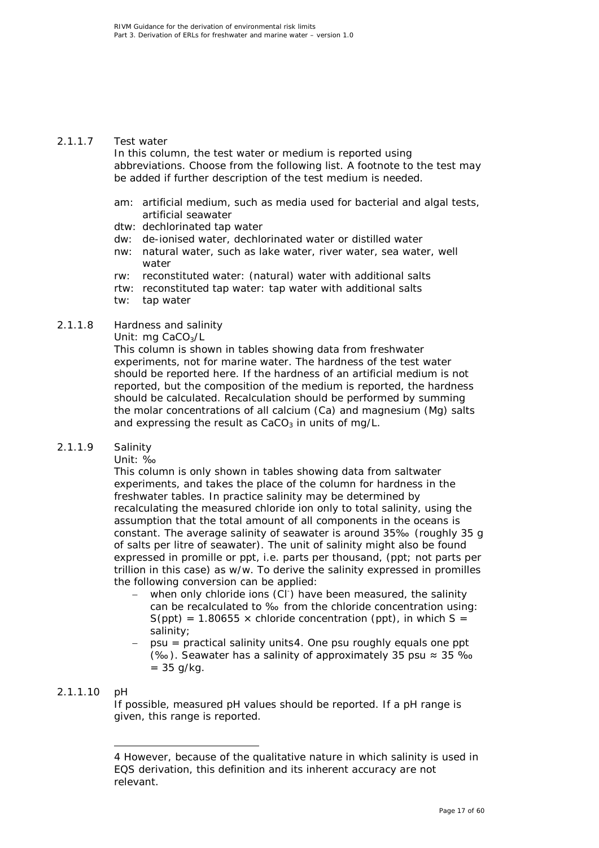### 2.1.1.7 Test water

In this column, the test water or medium is reported using abbreviations. Choose from the following list. A footnote to the test may be added if further description of the test medium is needed.

- am: artificial medium, such as media used for bacterial and algal tests, artificial seawater
- dtw: dechlorinated tap water
- dw: de-ionised water, dechlorinated water or distilled water
- nw: natural water, such as lake water, river water, sea water, well water
- rw: reconstituted water: (natural) water with additional salts
- rtw: reconstituted tap water: tap water with additional salts
- tw: tap water

### 2.1.1.8 Hardness and salinity

Unit: mg CaCO<sub>3</sub>/L

This column is shown in tables showing data from freshwater experiments, not for marine water. The hardness of the test water should be reported here. If the hardness of an artificial medium is not reported, but the composition of the medium is reported, the hardness should be calculated. Recalculation should be performed by summing the molar concentrations of all calcium (Ca) and magnesium (Mg) salts and expressing the result as  $CaCO<sub>3</sub>$  in units of mg/L.

### 2.1.1.9 Salinity

Unit: ‰

This column is only shown in tables showing data from saltwater experiments, and takes the place of the column for hardness in the freshwater tables. In practice salinity may be determined by recalculating the measured chloride ion only to total salinity, using the assumption that the total amount of all components in the oceans is constant. The average salinity of seawater is around 35‰ (roughly 35 g of salts per litre of seawater). The unit of salinity might also be found expressed in promille or ppt, i.e. parts per *thousand,* (ppt; not parts per trillion in this case) as w/w. To derive the salinity expressed in promilles the following conversion can be applied:

- − when only chloride ions (Cl<sup>-</sup>) have been measured, the salinity can be recalculated to ‰ from the chloride concentration using:  $S(ppt) = 1.80655 \times$  chloride concentration (ppt), in which S = salinity;
- − psu = practical salinity units[4.](#page-16-0) One psu roughly equals one ppt (‰). Seawater has a salinity of approximately 35 psu ≈ 35 ‰  $= 35$  g/kg.

### <span id="page-16-0"></span>2.1.1.10 pH

ł

If possible, measured pH values should be reported. If a pH range is given, this range is reported.

<sup>4</sup> However, because of the qualitative nature in which salinity is used in EQS derivation, this definition and its inherent accuracy are not relevant.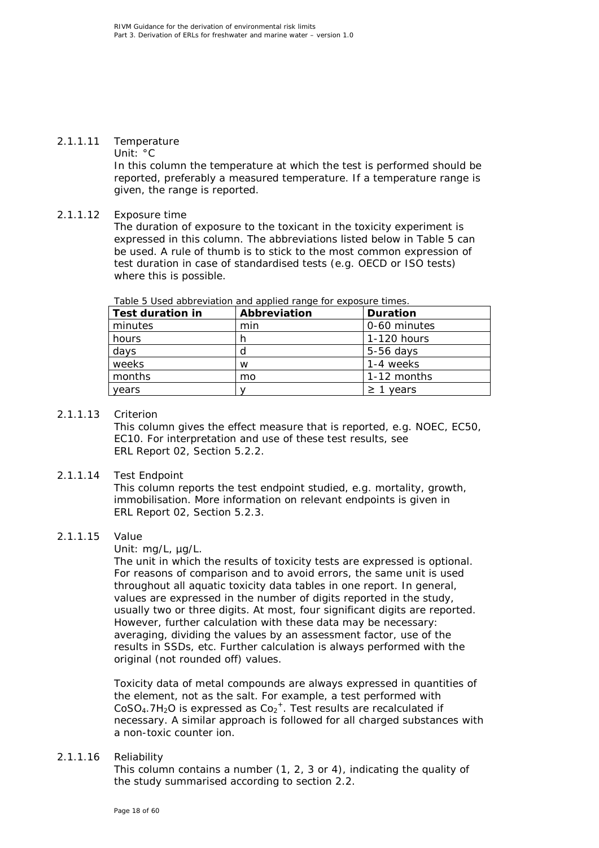### 2.1.1.11 Temperature

Unit: °C

In this column the temperature at which the test is performed should be reported, preferably a measured temperature. If a temperature range is given, the range is reported.

### 2.1.1.12 Exposure time

The duration of exposure to the toxicant in the toxicity experiment is expressed in this column. The abbreviations listed below in Table 5 can be used. A rule of thumb is to stick to the most common expression of test duration in case of standardised tests (e.g. OECD or ISO tests) where this is possible.

| <b>Test duration in</b> | Abbreviation | <b>Duration</b> |
|-------------------------|--------------|-----------------|
| minutes                 | min          | 0-60 minutes    |
| hours                   |              | 1-120 hours     |
| days                    | d            | $5-56$ days     |
| weeks                   | w            | 1-4 weeks       |
| months                  | mo           | 1-12 months     |
| years                   |              | $\geq$ 1 years  |

*Table 5 Used abbreviation and applied range for exposure times.*

### 2.1.1.13 Criterion

This column gives the effect measure that is reported, e.g. NOEC, EC50, EC10. For interpretation and use of these test results, see ERL Report 02, Section 5.2.2.

### 2.1.1.14 Test Endpoint

This column reports the test endpoint studied, e.g. mortality, growth, immobilisation. More information on relevant endpoints is given in ERL Report 02, Section 5.2.3.

### 2.1.1.15 Value

Unit: mg/L, µg/L.

The unit in which the results of toxicity tests are expressed is optional. For reasons of comparison and to avoid errors, the same unit is used throughout all aquatic toxicity data tables in one report. In general, values are expressed in the number of digits reported in the study, usually two or three digits. At most, four significant digits are reported. However, further calculation with these data may be necessary: averaging, dividing the values by an assessment factor, use of the results in SSDs, etc. Further calculation is always performed with the original (not rounded off) values.

Toxicity data of metal compounds are always expressed in quantities of the element, not as the salt. For example, a test performed with  $CoSO<sub>4</sub>$ .7H<sub>2</sub>O is expressed as  $Co<sub>2</sub><sup>+</sup>$ . Test results are recalculated if necessary. A similar approach is followed for all charged substances with a non-toxic counter ion.

### 2.1.1.16 Reliability

This column contains a number (1, 2, 3 or 4), indicating the quality of the study summarised according to section 2.2.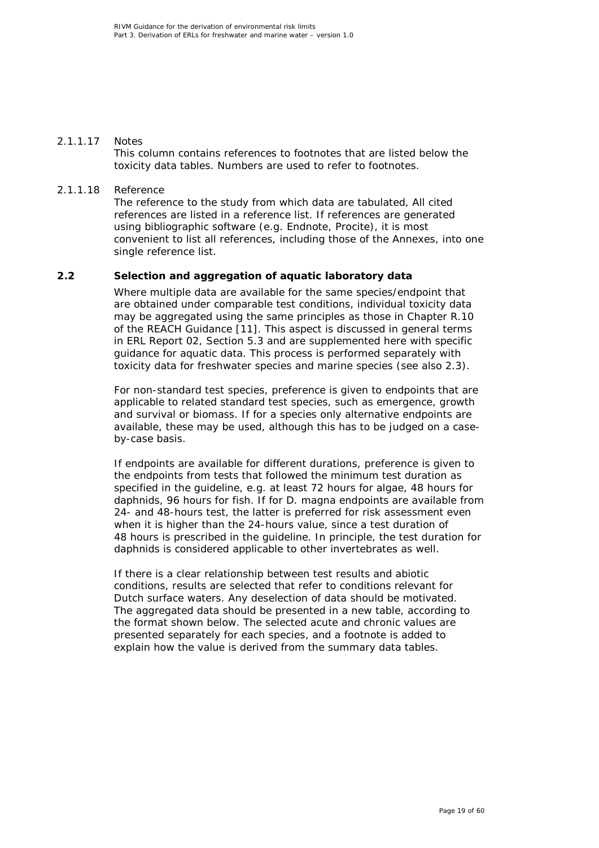### 2.1.1.17 Notes

This column contains references to footnotes that are listed below the toxicity data tables. Numbers are used to refer to footnotes.

### 2.1.1.18 Reference

The reference to the study from which data are tabulated, All cited references are listed in a reference list. If references are generated using bibliographic software (e.g. Endnote, Procite), it is most convenient to list all references, including those of the Annexes, into one single reference list.

### **2.2 Selection and aggregation of aquatic laboratory data**

<span id="page-18-0"></span>Where multiple data are available for the same species/endpoint that are obtained under comparable test conditions, individual toxicity data may be aggregated using the same principles as those in Chapter R.10 of the REACH Guidance [\[11\]](#page-48-11). This aspect is discussed in general terms in ERL Report 02, Section 5.3 and are supplemented here with specific guidance for aquatic data. This process is performed separately with toxicity data for freshwater species and marine species (see also 2.3).

For non-standard test species, preference is given to endpoints that are applicable to related standard test species, such as emergence, growth and survival or biomass. If for a species only alternative endpoints are available, these may be used, although this has to be judged on a caseby-case basis.

If endpoints are available for different durations, preference is given to the endpoints from tests that followed the minimum test duration as specified in the guideline, e.g. at least 72 hours for algae, 48 hours for daphnids, 96 hours for fish. If for *D. magna* endpoints are available from 24- and 48-hours test, the latter is preferred for risk assessment even when it is higher than the 24-hours value, since a test duration of 48 hours is prescribed in the guideline. In principle, the test duration for daphnids is considered applicable to other invertebrates as well.

If there is a clear relationship between test results and abiotic conditions, results are selected that refer to conditions relevant for Dutch surface waters. Any deselection of data should be motivated. The aggregated data should be presented in a new table, according to the format shown below. The selected acute and chronic values are presented separately for each species, and a footnote is added to explain how the value is derived from the summary data tables.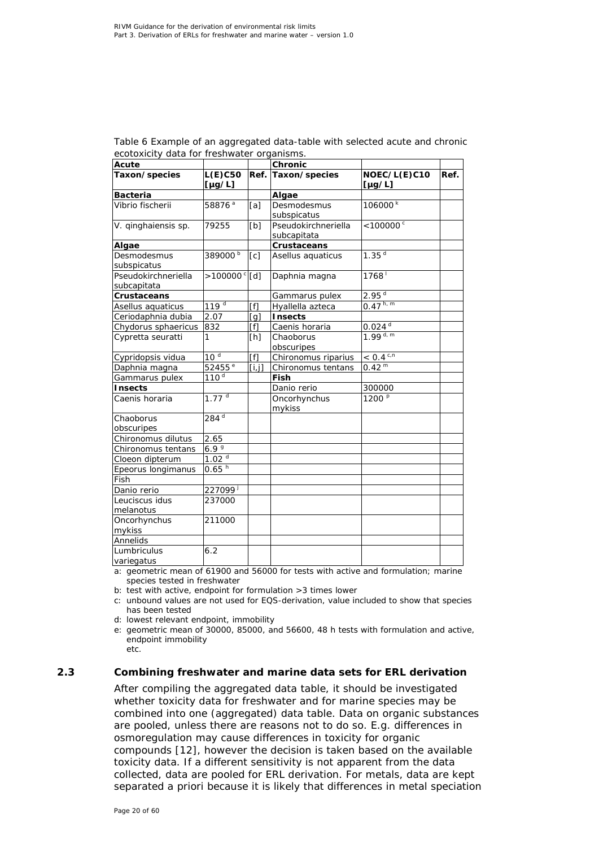| Acute               |                         |        | Chronic             |                         |      |
|---------------------|-------------------------|--------|---------------------|-------------------------|------|
| Taxon/species       | $L(E)$ C50              | Ref.   | Taxon/species       | NOEC/L(E)C10            | Ref. |
|                     | $[\mu g/L]$             |        |                     | $[\mu g/L]$             |      |
| <b>Bacteria</b>     |                         |        | Algae               |                         |      |
| Vibrio fischerii    | 58876 <sup>a</sup>      | [a]    | Desmodesmus         | 106000 <sup>k</sup>     |      |
|                     |                         |        | subspicatus         |                         |      |
| V. ginghaiensis sp. | 79255                   | [b]    | Pseudokirchneriella | $< 100000$ <sup>c</sup> |      |
|                     |                         |        | subcapitata         |                         |      |
| Algae               |                         |        | Crustaceans         |                         |      |
| Desmodesmus         | 389000b                 | [c]    | Asellus aquaticus   | 1.35 <sup>d</sup>       |      |
| subspicatus         |                         |        |                     |                         |      |
| Pseudokirchneriella | $>100000$ <sup>c</sup>  | [d]    | Daphnia magna       | $1768^{\frac{1}{2}}$    |      |
| subcapitata         |                         |        |                     |                         |      |
| Crustaceans         |                         |        | Gammarus pulex      | 2.95 <sup>d</sup>       |      |
| Asellus aquaticus   | 119 <sup>d</sup>        | [f]    | Hyallella azteca    | $0.47^{h, m}$           |      |
| Ceriodaphnia dubia  | 2.07                    | [g]    | <b>Insects</b>      |                         |      |
| Chydorus sphaericus | 832                     | [f]    | Caenis horaria      | $0.024^{d}$             |      |
| Cypretta seuratti   | 1                       | [h]    | Chaoborus           | $1.99$ d, m             |      |
|                     |                         |        | obscuripes          |                         |      |
| Cypridopsis vidua   | 10 <sup>d</sup>         | [f]    | Chironomus riparius | $< 0.4$ <sup>c,n</sup>  |      |
| Daphnia magna       | $\overline{52}$ 455 $e$ | [i, j] | Chironomus tentans  | 0.42 <sup>m</sup>       |      |
| Gammarus pulex      | 110 <sup>d</sup>        |        | Fish                |                         |      |
| <b>Insects</b>      |                         |        | Danio rerio         | 300000                  |      |
| Caenis horaria      | $1.77^{d}$              |        | Oncorhynchus        | 1200 <sup>p</sup>       |      |
|                     |                         |        | mykiss              |                         |      |
| Chaoborus           | $284^{d}$               |        |                     |                         |      |
| obscuripes          |                         |        |                     |                         |      |
| Chironomus dilutus  | 2.65                    |        |                     |                         |      |
| Chironomus tentans  | 6.99                    |        |                     |                         |      |
| Cloeon dipterum     | 1.02 <sup>d</sup>       |        |                     |                         |      |
| Epeorus longimanus  | $0.65^{h}$              |        |                     |                         |      |
| Fish                |                         |        |                     |                         |      |
| Danio rerio         | 227099j                 |        |                     |                         |      |
| Leuciscus idus      | 237000                  |        |                     |                         |      |
| melanotus           |                         |        |                     |                         |      |
| Oncorhynchus        | 211000                  |        |                     |                         |      |
| mykiss              |                         |        |                     |                         |      |
| Annelids            |                         |        |                     |                         |      |
| Lumbriculus         | 6.2                     |        |                     |                         |      |
| variegatus          |                         |        |                     |                         |      |

*Table 6 Example of an aggregated data-table with selected acute and chronic ecotoxicity data for freshwater organisms.*

a: geometric mean of 61900 and 56000 for tests with active and formulation; marine species tested in freshwater

b: test with active, endpoint for formulation >3 times lower

c: unbound values are not used for EQS-derivation, value included to show that species has been tested

d: lowest relevant endpoint, immobility

e: geometric mean of 30000, 85000, and 56600, 48 h tests with formulation and active, endpoint immobility etc.

### **2.3 Combining freshwater and marine data sets for ERL derivation**

<span id="page-19-0"></span>After compiling the aggregated data table, it should be investigated whether toxicity data for freshwater and for marine species may be combined into one (aggregated) data table. Data on organic substances are pooled, unless there are reasons not to do so. E.g. differences in osmoregulation may cause differences in toxicity for organic compounds [\[12\]](#page-49-0), however the decision is taken based on the available toxicity data. If a different sensitivity is not apparent from the data collected, data are pooled for ERL derivation. For metals, data are kept separated a priori because it is likely that differences in metal speciation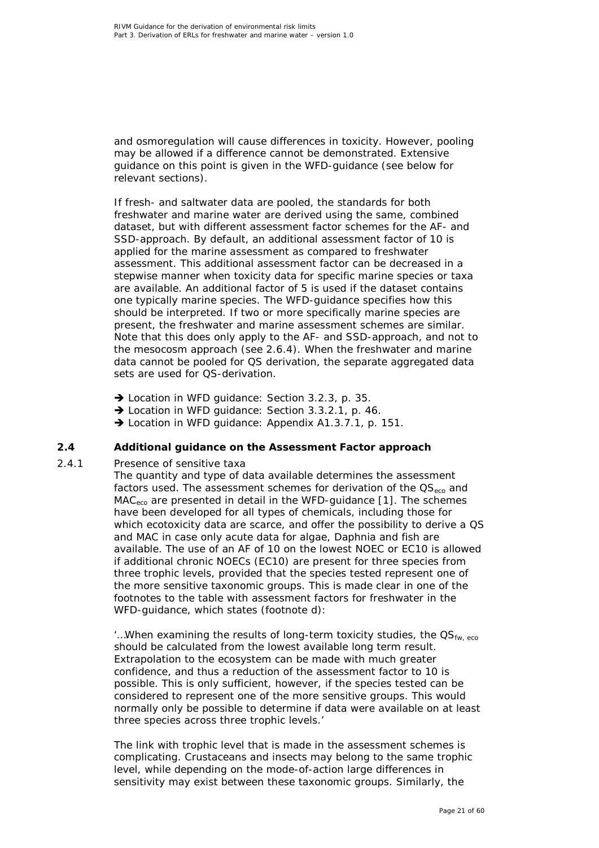and osmoregulation will cause differences in toxicity. However, pooling may be allowed if a difference cannot be demonstrated. Extensive guidance on this point is given in the WFD-guidance (see below for relevant sections).

If fresh- and saltwater data are pooled, the standards for both freshwater and marine water are derived using the same, combined dataset, but with different assessment factor schemes for the AF- and SSD-approach. By default, an additional assessment factor of 10 is applied for the marine assessment as compared to freshwater assessment. This additional assessment factor can be decreased in a stepwise manner when toxicity data for specific marine species or taxa are available. An additional factor of 5 is used if the dataset contains one typically marine species. The WFD-guidance specifies how this should be interpreted. If two or more specifically marine species are present, the freshwater and marine assessment schemes are similar. Note that this does only apply to the AF- and SSD-approach, and not to the mesocosm approach (see 2.6.4). When the freshwater and marine data cannot be pooled for QS derivation, the separate aggregated data sets are used for QS-derivation.

- → Location in WFD quidance: Section 3.2.3, p. 35.
- → Location in WFD guidance: Section 3.3.2.1, p. 46.
- <span id="page-20-0"></span>→ Location in WFD guidance: Appendix A1.3.7.1, p. 151.

### **2.4 Additional guidance on the Assessment Factor approach**

### *2.4.1 Presence of sensitive taxa*

<span id="page-20-1"></span>The quantity and type of data available determines the assessment factors used. The assessment schemes for derivation of the  $OS_{\text{eco}}$  and  $MAC<sub>eco</sub>$  are presented in detail in the WFD-quidance [\[1\]](#page-48-1). The schemes have been developed for all types of chemicals, including those for which ecotoxicity data are scarce, and offer the possibility to derive a QS and MAC in case only acute data for algae, *Daphnia* and fish are available. The use of an AF of 10 on the lowest NOEC or EC10 is allowed if additional chronic NOECs (EC10) are present for three species from three trophic levels, provided that the species tested represent one of the more sensitive taxonomic groups. This is made clear in one of the footnotes to the table with assessment factors for freshwater in the WFD-guidance, which states (footnote d):

'... When examining the results of long-term toxicity studies, the  $OS_{fw, eco}$ should be calculated from the lowest available long term result. Extrapolation to the ecosystem can be made with much greater confidence, and thus a reduction of the assessment factor to 10 is possible. This is only sufficient, however, *if the species tested can be considered to represent one of the more sensitive groups*. This would normally only be possible to determine if data were available on at least three species across three trophic levels.'

The link with trophic level that is made in the assessment schemes is complicating. Crustaceans and insects may belong to the same trophic level, while depending on the mode-of-action large differences in sensitivity may exist between these taxonomic groups. Similarly, the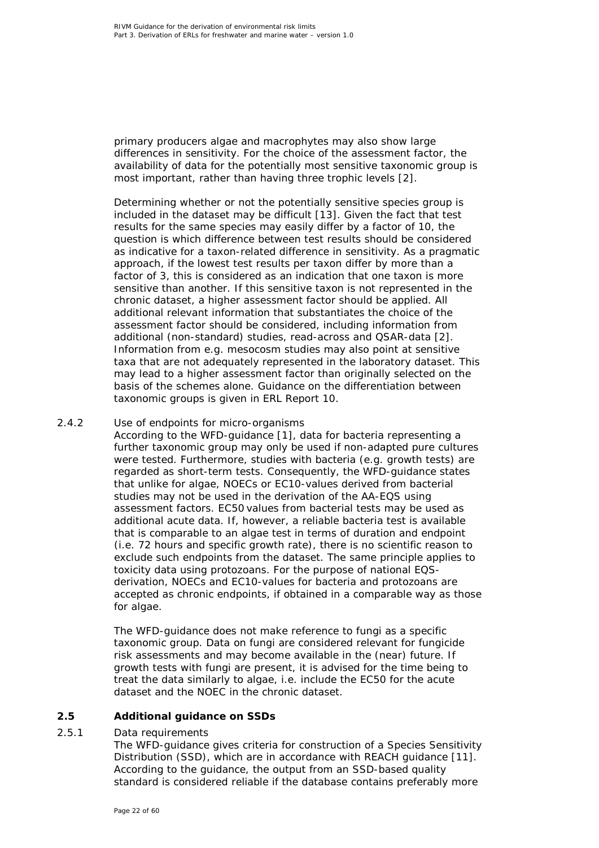primary producers algae and macrophytes may also show large differences in sensitivity. For the choice of the assessment factor, the availability of data for the potentially most sensitive taxonomic group is most important, rather than having three trophic levels [\[2\]](#page-48-2).

Determining whether or not the potentially sensitive species group is included in the dataset may be difficult [\[13\]](#page-49-1). Given the fact that test results for the same species may easily differ by a factor of 10, the question is which difference between test results should be considered as indicative for a taxon-related difference in sensitivity. As a pragmatic approach, if the lowest test results per taxon differ by more than a factor of 3, this is considered as an indication that one taxon is more sensitive than another. If this sensitive taxon is not represented in the chronic dataset, a higher assessment factor should be applied. All additional relevant information that substantiates the choice of the assessment factor should be considered, including information from additional (non-standard) studies, read-across and QSAR-data [\[2\]](#page-48-2). Information from e.g. mesocosm studies may also point at sensitive taxa that are not adequately represented in the laboratory dataset. This may lead to a higher assessment factor than originally selected on the basis of the schemes alone. Guidance on the differentiation between taxonomic groups is given in ERL Report 10.

### *2.4.2 Use of endpoints for micro-organisms*

<span id="page-21-0"></span>According to the WFD-guidance [\[1\]](#page-48-1), data for bacteria representing a further taxonomic group may only be used if non-adapted pure cultures were tested. Furthermore, studies with bacteria (e.g. growth tests) are regarded as short-term tests. Consequently, the WFD-guidance states that unlike for algae, NOECs or EC10-values derived from bacterial studies may not be used in the derivation of the AA-EQS using assessment factors. EC50 values from bacterial tests may be used as additional acute data. If, however, a reliable bacteria test is available that is comparable to an algae test in terms of duration and endpoint (i.e. 72 hours and specific growth rate), there is no scientific reason to exclude such endpoints from the dataset. The same principle applies to toxicity data using protozoans. For the purpose of national EQSderivation, NOECs and EC10-values for bacteria and protozoans are accepted as chronic endpoints, if obtained in a comparable way as those for algae.

The WFD-guidance does not make reference to fungi as a specific taxonomic group. Data on fungi are considered relevant for fungicide risk assessments and may become available in the (near) future. If growth tests with fungi are present, it is advised for the time being to treat the data similarly to algae, i.e. include the EC50 for the acute dataset and the NOEC in the chronic dataset.

### **2.5 Additional guidance on SSDs**

### *2.5.1 Data requirements*

<span id="page-21-2"></span><span id="page-21-1"></span>The WFD-guidance gives criteria for construction of a Species Sensitivity Distribution (SSD), which are in accordance with REACH guidance [\[11\]](#page-48-11). According to the guidance, the output from an SSD-based quality standard is considered reliable if the database contains preferably more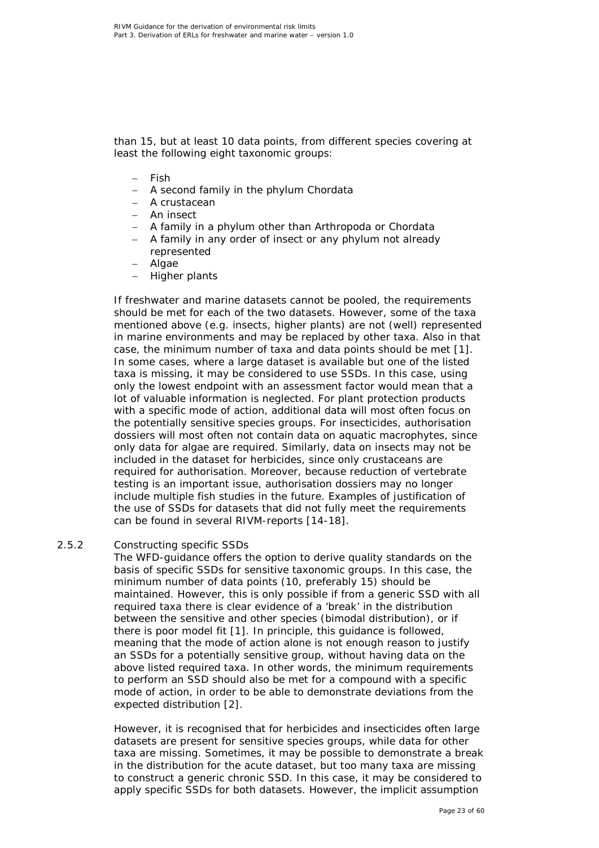than 15, but at least 10 data points, from different species covering at least the following eight taxonomic groups:

- − Fish
- − A second family in the phylum Chordata
- − A crustacean
- − An insect
- − A family in a phylum other than Arthropoda or Chordata
- − A family in any order of insect or any phylum not already represented
- − Algae
- − Higher plants

If freshwater and marine datasets cannot be pooled, the requirements should be met for each of the two datasets. However, some of the taxa mentioned above (e.g. insects, higher plants) are not (well) represented in marine environments and may be replaced by other taxa. Also in that case, the minimum number of taxa and data points should be met [\[1\]](#page-48-1). In some cases, where a large dataset is available but one of the listed taxa is missing, it may be considered to use SSDs. In this case, using only the lowest endpoint with an assessment factor would mean that a lot of valuable information is neglected. For plant protection products with a specific mode of action, additional data will most often focus on the potentially sensitive species groups. For insecticides, authorisation dossiers will most often not contain data on aquatic macrophytes, since only data for algae are required. Similarly, data on insects may not be included in the dataset for herbicides, since only crustaceans are required for authorisation. Moreover, because reduction of vertebrate testing is an important issue, authorisation dossiers may no longer include multiple fish studies in the future. Examples of justification of the use of SSDs for datasets that did not fully meet the requirements can be found in several RIVM-reports [\[14-18\]](#page-49-2).

### *2.5.2 Constructing specific SSDs*

<span id="page-22-0"></span>The WFD-guidance offers the option to derive quality standards on the basis of specific SSDs for sensitive taxonomic groups. In this case, the minimum number of data points (10, preferably 15) should be maintained. However, this is only possible if from a generic SSD with all required taxa there is clear evidence of a 'break' in the distribution between the sensitive and other species (bimodal distribution), or if there is poor model fit [\[1\]](#page-48-1). In principle, this guidance is followed, meaning that the mode of action alone is not enough reason to justify an SSDs for a potentially sensitive group, without having data on the above listed required taxa. In other words, the minimum requirements to perform an SSD should also be met for a compound with a specific mode of action, in order to be able to demonstrate deviations from the expected distribution [\[2\]](#page-48-2).

However, it is recognised that for herbicides and insecticides often large datasets are present for sensitive species groups, while data for other taxa are missing. Sometimes, it may be possible to demonstrate a break in the distribution for the acute dataset, but too many taxa are missing to construct a generic chronic SSD. In this case, it may be considered to apply specific SSDs for both datasets. However, the implicit assumption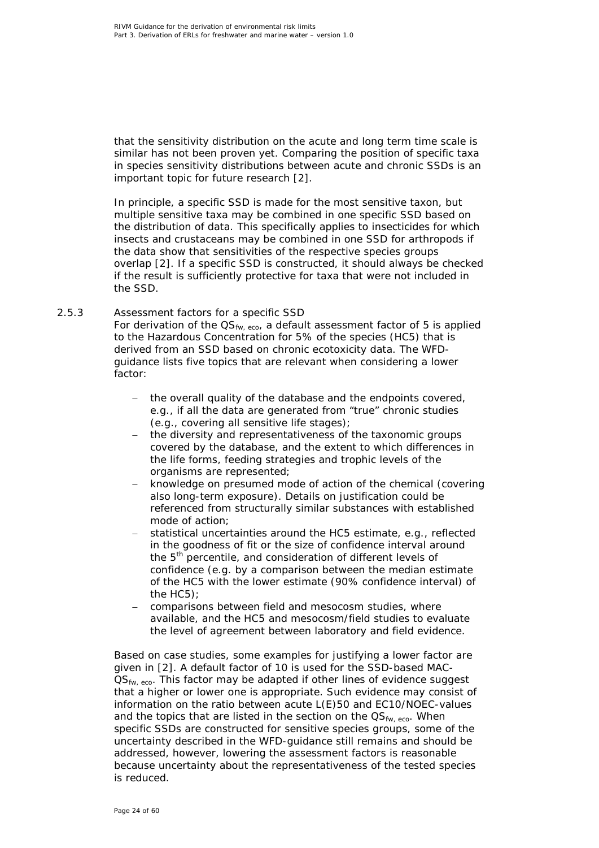that the sensitivity distribution on the acute and long term time scale is similar has not been proven yet. Comparing the position of specific taxa in species sensitivity distributions between acute and chronic SSDs is an important topic for future research [\[2\]](#page-48-2).

In principle, a specific SSD is made for the most sensitive taxon, but multiple sensitive taxa may be combined in one specific SSD based on the distribution of data. This specifically applies to insecticides for which insects and crustaceans may be combined in one SSD for arthropods if the data show that sensitivities of the respective species groups overlap [\[2\]](#page-48-2). If a specific SSD is constructed, it should always be checked if the result is sufficiently protective for taxa that were not included in the SSD.

### *2.5.3 Assessment factors for a specific SSD*

<span id="page-23-0"></span>For derivation of the  $OS_{fw, eco}$ , a default assessment factor of 5 is applied to the Hazardous Concentration for 5% of the species (HC5) that is derived from an SSD based on chronic ecotoxicity data. The WFDguidance lists five topics that are relevant when considering a lower factor:

- − the overall quality of the database and the endpoints covered, e.g., if all the data are generated from "true" chronic studies (e.g., covering all sensitive life stages);
- − the diversity and representativeness of the taxonomic groups covered by the database, and the extent to which differences in the life forms, feeding strategies and trophic levels of the organisms are represented;
- knowledge on presumed mode of action of the chemical (covering also long-term exposure). Details on justification could be referenced from structurally similar substances with established mode of action;
- statistical uncertainties around the HC5 estimate, e.g., reflected in the goodness of fit or the size of confidence interval around the 5<sup>th</sup> percentile, and consideration of different levels of confidence (e.g. by a comparison between the median estimate of the HC5 with the lower estimate (90% confidence interval) of the HC5);
- − comparisons between field and mesocosm studies, where available, and the HC5 and mesocosm/field studies to evaluate the level of agreement between laboratory and field evidence.

Based on case studies, some examples for justifying a lower factor are given in [\[2\]](#page-48-2). A default factor of 10 is used for the SSD-based MAC-QS<sub>fw, eco</sub>. This factor may be adapted if other lines of evidence suggest that a higher or lower one is appropriate. Such evidence may consist of information on the ratio between acute L(E)50 and EC10/NOEC-values and the topics that are listed in the section on the  $\text{QS}_{fw, eco}$ . When specific SSDs are constructed for sensitive species groups, some of the uncertainty described in the WFD-guidance still remains and should be addressed, however, lowering the assessment factors is reasonable because uncertainty about the representativeness of the tested species is reduced.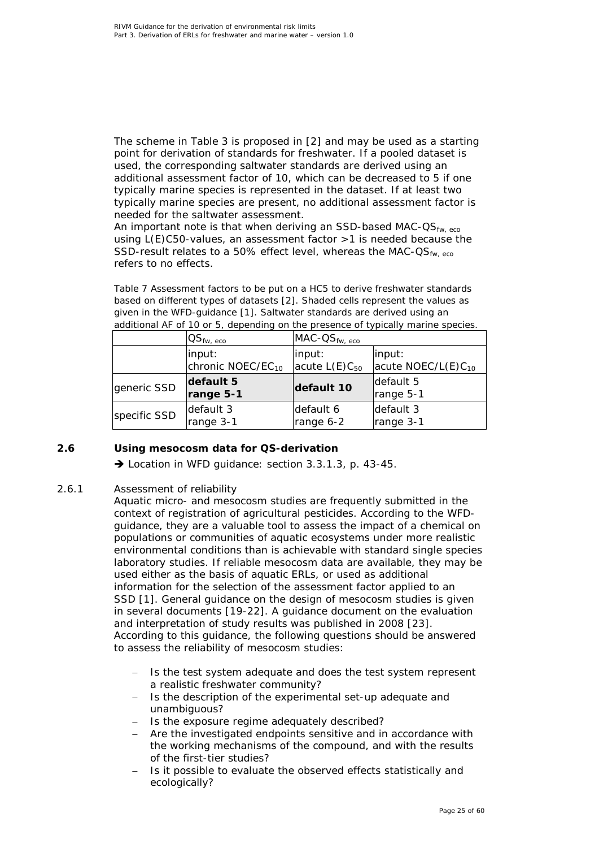The scheme in Table 3 is proposed in [\[2\]](#page-48-2) and may be used as a starting point for derivation of standards for freshwater. If a pooled dataset is used, the corresponding saltwater standards are derived using an additional assessment factor of 10, which can be decreased to 5 if one typically marine species is represented in the dataset. If at least two typically marine species are present, no additional assessment factor is needed for the saltwater assessment.

An important note is that when deriving an SSD-based MAC- $OS_{fw, eco}$ using L(E)C50-values, an assessment factor >1 is needed because the SSD-result relates to a 50% effect level, whereas the MAC- $OS_{fw, eco}$ refers to no effects.

*Table 7 Assessment factors to be put on a HC5 to derive freshwater standards based on different types of datasets [\[2\]](#page-48-2). Shaded cells represent the values as given in the WFD-guidance [\[1\]](#page-48-1). Saltwater standards are derived using an additional AF of 10 or 5, depending on the presence of typically marine species.*

|              | $\mathsf{QS}_{\mathsf{fw},\;\mathsf{eco}}$ | $MAC$ - $OS_{fw, eco}$ |                                |
|--------------|--------------------------------------------|------------------------|--------------------------------|
|              | input:                                     | input:                 | input:                         |
|              | chronic NOEC/EC <sub>10</sub>              | acute $L(E)C_{50}$     | acute NOEC/L(E)C <sub>10</sub> |
| generic SSD  | default 5<br>range 5-1                     | default 10             | default 5<br>range 5-1         |
| specific SSD | default 3                                  | default 6              | default 3                      |
|              | range 3-1                                  | range 6-2              | range 3-1                      |

# **2.6 Using mesocosm data for QS-derivation**

<span id="page-24-0"></span>→ Location in WFD guidance: section 3.3.1.3, p. 43-45.

# *2.6.1 Assessment of reliability*

<span id="page-24-1"></span>Aquatic micro- and mesocosm studies are frequently submitted in the context of registration of agricultural pesticides. According to the WFDguidance, they are a valuable tool to assess the impact of a chemical on populations or communities of aquatic ecosystems under more realistic environmental conditions than is achievable with standard single species laboratory studies. If reliable mesocosm data are available, they may be used either as the basis of aquatic ERLs, or used as additional information for the selection of the assessment factor applied to an SSD [\[1\]](#page-48-1). General guidance on the design of mesocosm studies is given in several documents [\[19-22\]](#page-49-3). A guidance document on the evaluation and interpretation of study results was published in 2008 [\[23\]](#page-49-4). According to this guidance, the following questions should be answered to assess the reliability of mesocosm studies:

- Is the test system adequate and does the test system represent a realistic freshwater community?
- − Is the description of the experimental set-up adequate and unambiguous?
- − Is the exposure regime adequately described?
- − Are the investigated endpoints sensitive and in accordance with the working mechanisms of the compound, and with the results of the first-tier studies?
- Is it possible to evaluate the observed effects statistically and ecologically?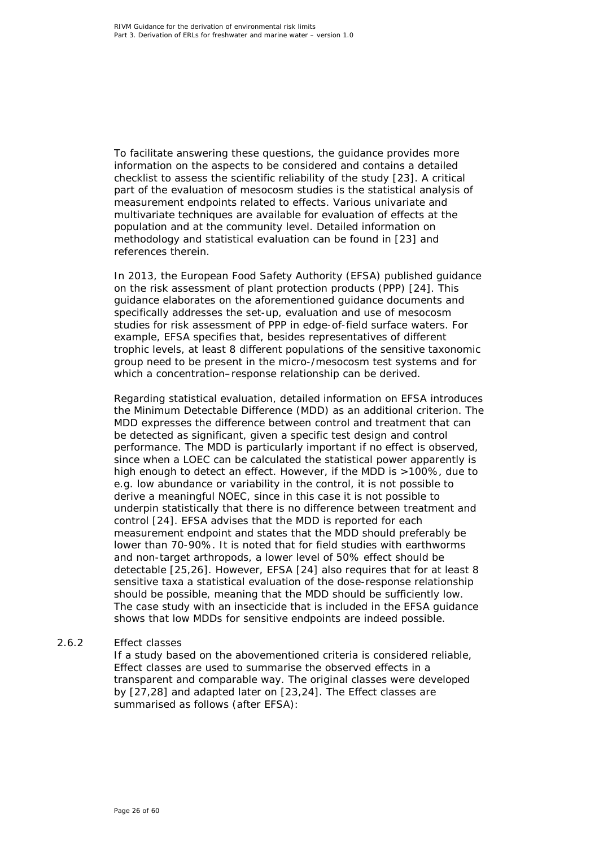To facilitate answering these questions, the guidance provides more information on the aspects to be considered and contains a detailed checklist to assess the scientific reliability of the study [\[23\]](#page-49-4). A critical part of the evaluation of mesocosm studies is the statistical analysis of measurement endpoints related to effects. Various univariate and multivariate techniques are available for evaluation of effects at the population and at the community level. Detailed information on methodology and statistical evaluation can be found in [\[23\]](#page-49-4) and references therein.

In 2013, the European Food Safety Authority (EFSA) published guidance on the risk assessment of plant protection products (PPP) [\[24\]](#page-50-0). This guidance elaborates on the aforementioned guidance documents and specifically addresses the set-up, evaluation and use of mesocosm studies for risk assessment of PPP in edge-of-field surface waters. For example, EFSA specifies that, besides representatives of different trophic levels, at least 8 different populations of the sensitive taxonomic group need to be present in the micro-/mesocosm test systems and for which a concentration–response relationship can be derived.

Regarding statistical evaluation, detailed information on EFSA introduces the Minimum Detectable Difference (MDD) as an additional criterion. The MDD expresses the difference between control and treatment that can be detected as significant, given a specific test design and control performance. The MDD is particularly important if no effect is observed, since when a LOEC can be calculated the statistical power apparently is high enough to detect an effect. However, if the MDD is >100%, due to e.g. low abundance or variability in the control, it is not possible to derive a meaningful NOEC, since in this case it is not possible to underpin statistically that there is no difference between treatment and control [\[24\]](#page-50-0). EFSA advises that the MDD is reported for each measurement endpoint and states that the MDD should preferably be lower than 70-90%. It is noted that for field studies with earthworms and non-target arthropods, a lower level of 50% effect should be detectable [\[25,](#page-50-1)[26\]](#page-50-2). However, EFSA [\[24\]](#page-50-0) also requires that for at least 8 sensitive taxa a statistical evaluation of the dose-response relationship should be possible, meaning that the MDD should be sufficiently low. The case study with an insecticide that is included in the EFSA guidance shows that low MDDs for sensitive endpoints are indeed possible.

### *2.6.2 Effect classes*

<span id="page-25-0"></span>If a study based on the abovementioned criteria is considered reliable, Effect classes are used to summarise the observed effects in a transparent and comparable way. The original classes were developed by [\[27,](#page-50-3)[28\]](#page-50-4) and adapted later on [\[23,](#page-49-4)[24\]](#page-50-0). The Effect classes are summarised as follows (after EFSA):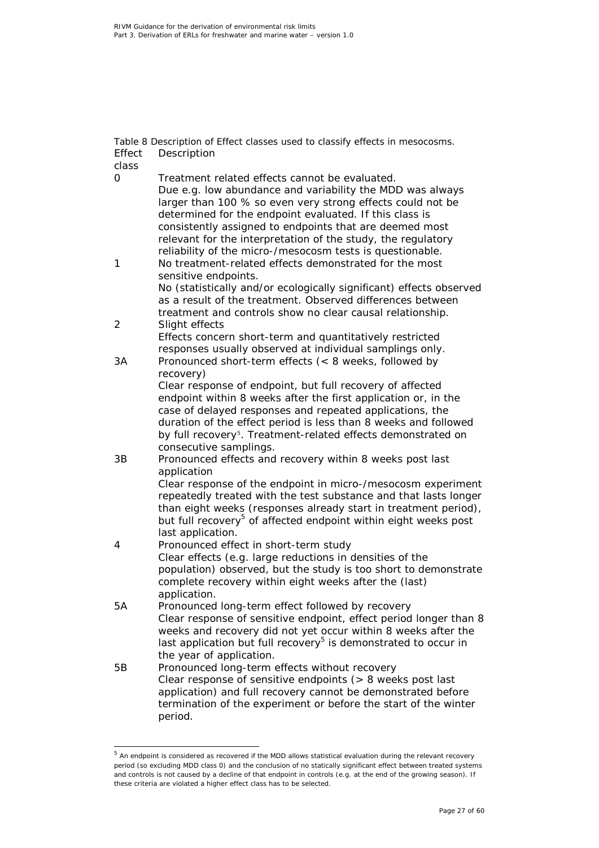*Table 8 Description of Effect classes used to classify effects in mesocosms.* Effect Description

class

<span id="page-26-0"></span>

| class          |                                                                                                                                                                                                                                                                                                                                                                                                                              |
|----------------|------------------------------------------------------------------------------------------------------------------------------------------------------------------------------------------------------------------------------------------------------------------------------------------------------------------------------------------------------------------------------------------------------------------------------|
| 0              | Treatment related effects cannot be evaluated.<br>Due e.g. low abundance and variability the MDD was always<br>larger than 100 % so even very strong effects could not be<br>determined for the endpoint evaluated. If this class is<br>consistently assigned to endpoints that are deemed most<br>relevant for the interpretation of the study, the regulatory<br>reliability of the micro-/mesocosm tests is questionable. |
| 1              | No treatment-related effects demonstrated for the most<br>sensitive endpoints.<br>No (statistically and/or ecologically significant) effects observed<br>as a result of the treatment. Observed differences between<br>treatment and controls show no clear causal relationship.                                                                                                                                             |
| $\overline{2}$ | Slight effects<br>Effects concern short-term and quantitatively restricted<br>responses usually observed at individual samplings only.                                                                                                                                                                                                                                                                                       |
| 3A             | Pronounced short-term effects $(8 weeks, followed by$<br>recovery)                                                                                                                                                                                                                                                                                                                                                           |
|                | Clear response of endpoint, but full recovery of affected<br>endpoint within 8 weeks after the first application or, in the<br>case of delayed responses and repeated applications, the<br>duration of the effect period is less than 8 weeks and followed<br>by full recovery <sup>5</sup> . Treatment-related effects demonstrated on<br>consecutive samplings.                                                            |
| 3B             | Pronounced effects and recovery within 8 weeks post last<br>application<br>Clear response of the endpoint in micro-/mesocosm experiment<br>repeatedly treated with the test substance and that lasts longer<br>than eight weeks (responses already start in treatment period),<br>but full recovery <sup>5</sup> of affected endpoint within eight weeks post                                                                |
| 4              | last application.<br>Pronounced effect in short-term study<br>Clear effects (e.g. large reductions in densities of the<br>population) observed, but the study is too short to demonstrate<br>complete recovery within eight weeks after the (last)<br>application.                                                                                                                                                           |
| 5A             | Pronounced long-term effect followed by recovery<br>Clear response of sensitive endpoint, effect period longer than 8<br>weeks and recovery did not yet occur within 8 weeks after the<br>last application but full recovery <sup>5</sup> is demonstrated to occur in<br>the year of application.                                                                                                                            |
| 5Β             | Pronounced long-term effects without recovery<br>Clear response of sensitive endpoints ( $> 8$ weeks post last<br>application) and full recovery cannot be demonstrated before<br>termination of the experiment or before the start of the winter<br>period.                                                                                                                                                                 |

<span id="page-26-1"></span><sup>&</sup>lt;sup>5</sup> An endpoint is considered as recovered if the MDD allows statistical evaluation during the relevant recovery period (so excluding MDD class 0) and the conclusion of no statically significant effect between treated systems and controls is not caused by a decline of that endpoint in controls (e.g. at the end of the growing season). If these criteria are violated a higher effect class has to be selected.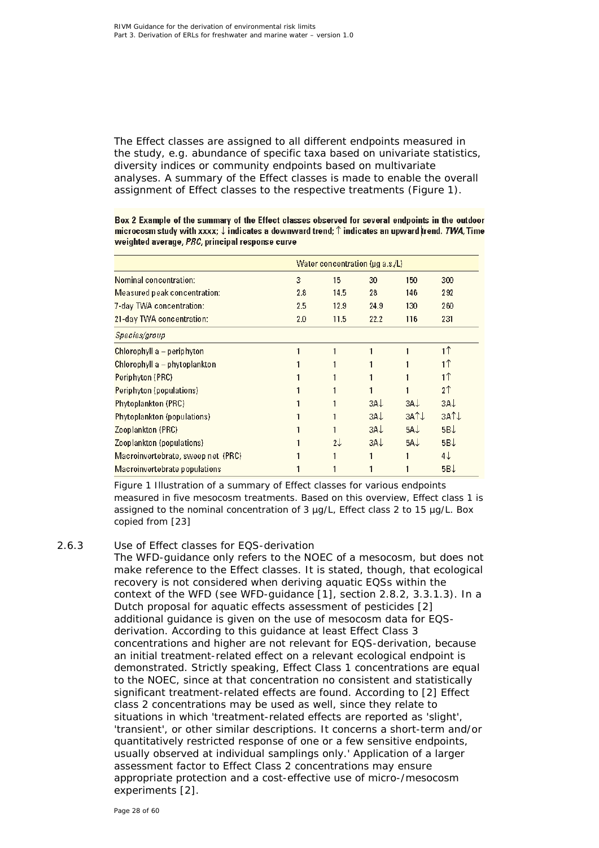The Effect classes are assigned to all different endpoints measured in the study, e.g. abundance of specific taxa based on univariate statistics, diversity indices or community endpoints based on multivariate analyses. A summary of the Effect classes is made to enable the overall assignment of Effect classes to the respective treatments (Figure 1).

Box 2 Example of the summary of the Effect classes observed for several endpoints in the outdoor microcosm study with xxxx;  $\downarrow$  indicates a downward trend;  $\uparrow$  indicates an upward trend. TWA, Time weighted average, PRC, principal response curve

|                                    |     | Water concentration ( $\mu$ g a.s./L) |                 |       |                 |  |
|------------------------------------|-----|---------------------------------------|-----------------|-------|-----------------|--|
| Nominal concentration:             | 3   | 15                                    | 30              | 150   | 300             |  |
| Measured peak concentration:       | 2.8 | 14.5                                  | 28              | 146   | 292             |  |
| 7-day TWA concentration:           | 2.5 | 12.9                                  | 24.9            | 130   | 260             |  |
| 21-day TWA concentration:          | 2.0 | 11.5                                  | 22.2            | 116   | 231             |  |
| Species/group                      |     |                                       |                 |       |                 |  |
| Chlorophyll a - periphyton         |     |                                       |                 |       | 1 <sup>1</sup>  |  |
| Chlorophyll $a$ – phytoplankton    |     |                                       |                 |       | 11              |  |
| Periphyton (PRC)                   |     |                                       |                 |       | 1↑              |  |
| Periphyton (populations)           |     |                                       |                 |       | 2 <sup>1</sup>  |  |
| <b>Phytoplankton (PRC)</b>         |     |                                       | $3A+$           | $3A+$ | 3A <sub>1</sub> |  |
| Phytoplankton (populations)        |     |                                       | 3A <sub>1</sub> | 3ATL  | 3ATL            |  |
| Zooplankton (PRC)                  |     |                                       | $3A+$           | $5A+$ | $5B+$           |  |
| Zooplankton (populations)          |     | 21                                    | $3A+$           | $5A+$ | 5BJ             |  |
| Macroinvertebrate, sweep net (PRC) |     |                                       |                 |       | 4↓              |  |
| Macroinvertebrate populations      |     |                                       |                 |       | $5B\downarrow$  |  |

*Figure 1 Illustration of a summary of Effect classes for various endpoints measured in five mesocosm treatments. Based on this overview, Effect class 1 is assigned to the nominal concentration of 3 µg/L, Effect class 2 to 15 µg/L. Box copied from [\[23\]](#page-49-4)*

### *2.6.3 Use of Effect classes for EQS-derivation*

<span id="page-27-0"></span>The WFD-guidance only refers to the NOEC of a mesocosm, but does not make reference to the Effect classes. It is stated, though, that ecological recovery is not considered when deriving aquatic EQSs within the context of the WFD (see WFD-guidance [\[1\]](#page-48-1), section 2.8.2, 3.3.1.3). In a Dutch proposal for aquatic effects assessment of pesticides [\[2\]](#page-48-2) additional guidance is given on the use of mesocosm data for EQSderivation. According to this guidance at least Effect Class 3 concentrations and higher are not relevant for EQS-derivation, because an initial treatment-related effect on a relevant ecological endpoint is demonstrated. Strictly speaking, Effect Class 1 concentrations are equal to the NOEC, since at that concentration no consistent and statistically significant treatment-related effects are found. According to [\[2\]](#page-48-2) Effect class 2 concentrations may be used as well, since they relate to situations in which 'treatment-related effects are reported as 'slight', 'transient', or other similar descriptions. It concerns a short-term and/or quantitatively restricted response of one or a few sensitive endpoints, usually observed at individual samplings only.' Application of a larger assessment factor to Effect Class 2 concentrations may ensure appropriate protection and a cost-effective use of micro-/mesocosm experiments [\[2\]](#page-48-2).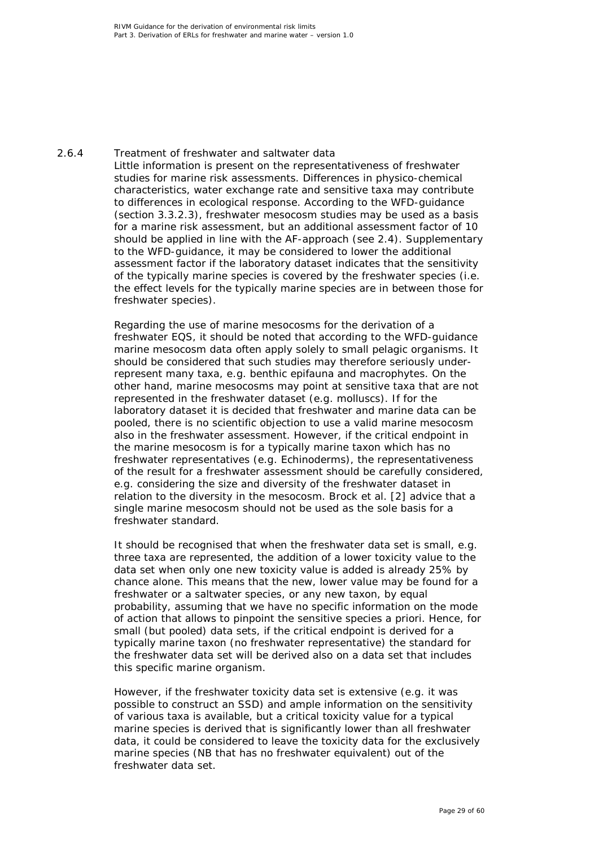### *2.6.4 Treatment of freshwater and saltwater data*

<span id="page-28-0"></span>Little information is present on the representativeness of freshwater studies for marine risk assessments. Differences in physico-chemical characteristics, water exchange rate and sensitive taxa may contribute to differences in ecological response. According to the WFD-guidance (section 3.3.2.3), freshwater mesocosm studies may be used as a basis for a marine risk assessment, but an additional assessment factor of 10 should be applied in line with the AF-approach (see 2.4). Supplementary to the WFD-guidance, it may be considered to lower the additional assessment factor if the laboratory dataset indicates that the sensitivity of the typically marine species is covered by the freshwater species (i.e. the effect levels for the typically marine species are in between those for freshwater species).

Regarding the use of marine mesocosms for the derivation of a freshwater EQS, it should be noted that according to the WFD-guidance marine mesocosm data often apply solely to small pelagic organisms. It should be considered that such studies may therefore seriously underrepresent many taxa, e.g. benthic epifauna and macrophytes. On the other hand, marine mesocosms may point at sensitive taxa that are not represented in the freshwater dataset (e.g. molluscs). If for the laboratory dataset it is decided that freshwater and marine data can be pooled, there is no scientific objection to use a valid marine mesocosm also in the freshwater assessment. However, if the critical endpoint in the marine mesocosm is for a typically marine taxon which has no freshwater representatives (e.g. Echinoderms), the representativeness of the result for a freshwater assessment should be carefully considered, e.g. considering the size and diversity of the freshwater dataset in relation to the diversity in the mesocosm. Brock et al. [\[2\]](#page-48-2) advice that a single marine mesocosm should not be used as the sole basis for a freshwater standard.

It should be recognised that when the freshwater data set is small, e.g. three taxa are represented, the addition of a lower toxicity value to the data set when only one new toxicity value is added is already 25% by chance alone. This means that the new, lower value may be found for a freshwater or a saltwater species, or any new taxon, by equal probability, assuming that we have no specific information on the mode of action that allows to pinpoint the sensitive species a priori. Hence, for small (but pooled) data sets, if the critical endpoint is derived for a typically marine taxon (no freshwater representative) the standard for the freshwater data set will be derived also on a data set that includes this specific marine organism.

However, if the freshwater toxicity data set is extensive (e.g. it was possible to construct an SSD) and ample information on the sensitivity of various taxa is available, but a critical toxicity value for a typical marine species is derived that is significantly lower than all freshwater data, it could be considered to leave the toxicity data for the exclusively marine species (NB that has no freshwater equivalent) out of the freshwater data set.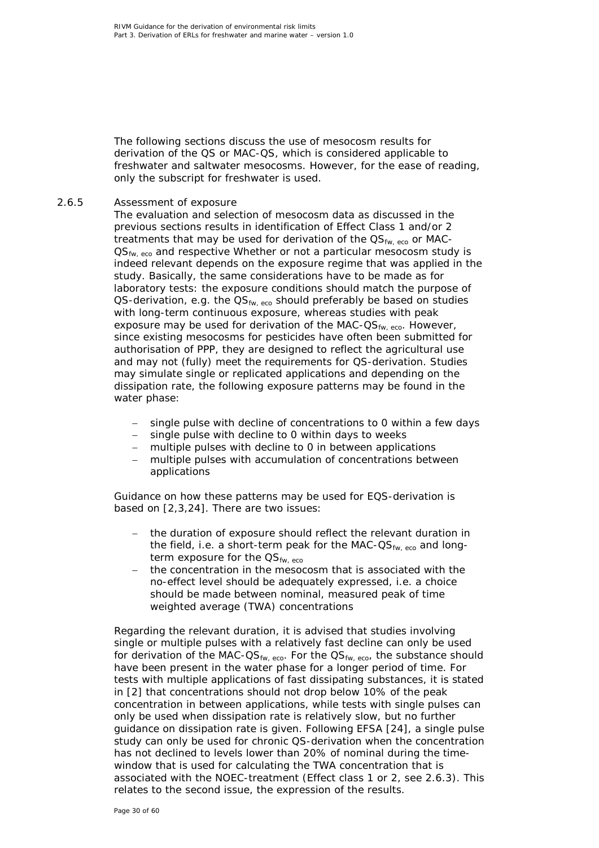The following sections discuss the use of mesocosm results for derivation of the QS or MAC-QS, which is considered applicable to freshwater and saltwater mesocosms. However, for the ease of reading, only the subscript for freshwater is used.

### *2.6.5 Assessment of exposure*

<span id="page-29-0"></span>The evaluation and selection of mesocosm data as discussed in the previous sections results in identification of Effect Class 1 and/or 2 treatments that may be used for derivation of the  $\text{QS}_{fw, \text{ eco}}$  or MAC- $OS<sub>fw. eco</sub>$  and respective Whether or not a particular mesocosm study is indeed relevant depends on the exposure regime that was applied in the study. Basically, the same considerations have to be made as for laboratory tests: the exposure conditions should match the purpose of QS-derivation, e.g. the  $\text{QS}_{fw, \text{ eco}}$  should preferably be based on studies with long-term continuous exposure, whereas studies with peak exposure may be used for derivation of the MAC- $OS_{fw. eco}$ . However, since existing mesocosms for pesticides have often been submitted for authorisation of PPP, they are designed to reflect the agricultural use and may not (fully) meet the requirements for QS-derivation. Studies may simulate single or replicated applications and depending on the dissipation rate, the following exposure patterns may be found in the water phase:

- single pulse with decline of concentrations to 0 within a few days
- − single pulse with decline to 0 within days to weeks
- multiple pulses with decline to 0 in between applications
- − multiple pulses with accumulation of concentrations between applications

Guidance on how these patterns may be used for EQS-derivation is based on [\[2,](#page-48-2)[3,](#page-48-3)[24\]](#page-50-0). There are two issues:

- − the duration of exposure should reflect the relevant duration in the field, i.e. a short-term peak for the MAC- $OS_{fw, eco}$  and longterm exposure for the  $OS_{fw, eco}$
- − the concentration in the mesocosm that is associated with the no-effect level should be adequately expressed, i.e. a choice should be made between nominal, measured peak of time weighted average (TWA) concentrations

Regarding the relevant duration, it is advised that studies involving single or multiple pulses with a relatively fast decline can only be used for derivation of the MAC-QS<sub>fw, eco</sub>. For the  $\mathrm{QS}_{fw, eco}$ , the substance should have been present in the water phase for a longer period of time. For tests with multiple applications of fast dissipating substances, it is stated in [\[2\]](#page-48-2) that concentrations should not drop below 10% of the peak concentration in between applications, while tests with single pulses can only be used when dissipation rate is relatively slow, but no further guidance on dissipation rate is given. Following EFSA [\[24\]](#page-50-0), a single pulse study can only be used for chronic QS-derivation when the concentration has not declined to levels lower than 20% of nominal during the timewindow that is used for calculating the TWA concentration that is associated with the NOEC-treatment (Effect class 1 or 2, see 2.6.3). This relates to the second issue, the expression of the results.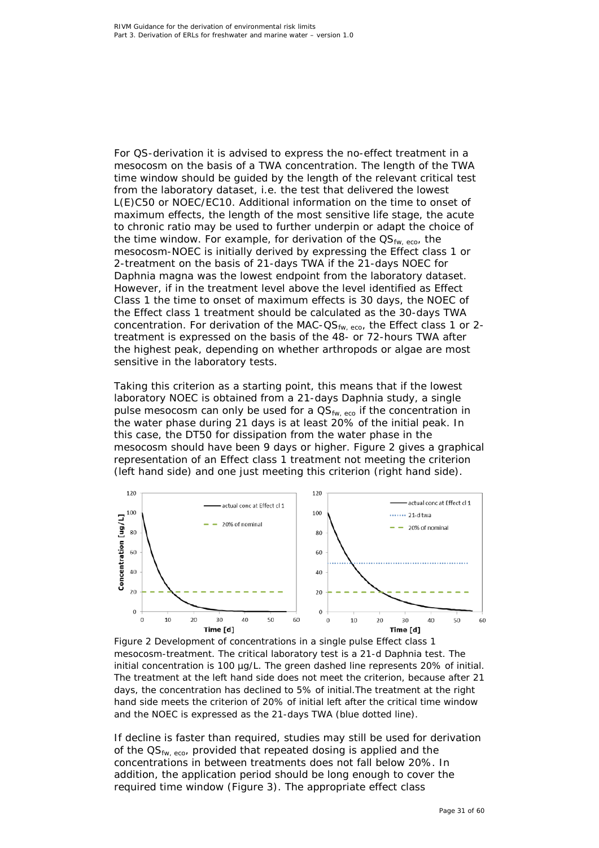For QS-derivation it is advised to express the no-effect treatment in a mesocosm on the basis of a TWA concentration. The length of the TWA time window should be guided by the length of the relevant critical test from the laboratory dataset, i.e. the test that delivered the lowest L(E)C50 or NOEC/EC10. Additional information on the time to onset of maximum effects, the length of the most sensitive life stage, the acute to chronic ratio may be used to further underpin or adapt the choice of the time window. For example, for derivation of the  $OS_{fw, eco}$ , the mesocosm-NOEC is initially derived by expressing the Effect class 1 or 2-treatment on the basis of 21-days TWA if the 21-days NOEC for *Daphnia magna* was the lowest endpoint from the laboratory dataset. However, if in the treatment level above the level identified as Effect Class 1 the time to onset of maximum effects is 30 days, the NOEC of the Effect class 1 treatment should be calculated as the 30-days TWA concentration. For derivation of the MAC- $OS_{fw, eco}$ , the Effect class 1 or 2treatment is expressed on the basis of the 48- or 72-hours TWA after the highest peak, depending on whether arthropods or algae are most sensitive in the laboratory tests.

Taking this criterion as a starting point, this means that if the lowest laboratory NOEC is obtained from a 21-days *Daphnia* study, a single pulse mesocosm can only be used for a  $\mathsf{QS}_{fw, \text{ eco}}$  if the concentration in the water phase during 21 days is at least 20% of the initial peak. In this case, the DT50 for dissipation from the water phase in the mesocosm should have been 9 days or higher. Figure 2 gives a graphical representation of an Effect class 1 treatment not meeting the criterion (left hand side) and one just meeting this criterion (right hand side).



*Figure 2 Development of concentrations in a single pulse Effect class 1 mesocosm-treatment. The critical laboratory test is a 21-d Daphnia test. The initial concentration is 100 µg/L. The green dashed line represents 20% of initial. The treatment at the left hand side does not meet the criterion, because after 21 days, the concentration has declined to 5% of initial.The treatment at the right hand side meets the criterion of 20% of initial left after the critical time window and the NOEC is expressed as the 21-days TWA (blue dotted line).* 

If decline is faster than required, studies may still be used for derivation of the QS<sub>fw, eco</sub>, provided that repeated dosing is applied and the concentrations in between treatments does not fall below 20%. In addition, the application period should be long enough to cover the required time window (Figure 3). The appropriate effect class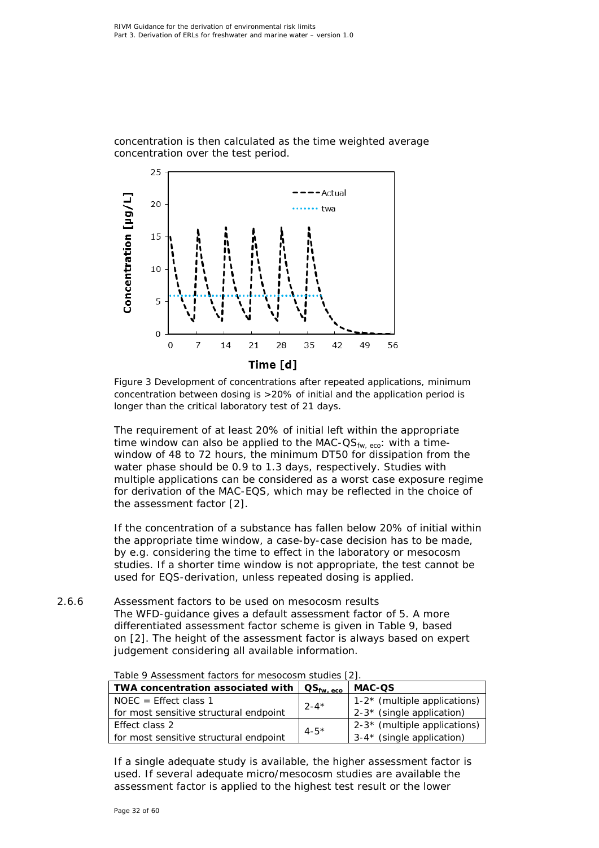concentration is then calculated as the time weighted average concentration over the test period.



*Figure 3 Development of concentrations after repeated applications, minimum concentration between dosing is >20% of initial and the application period is longer than the critical laboratory test of 21 days.*

The requirement of at least 20% of initial left within the appropriate time window can also be applied to the MAC- $OS_{fw, eco}$ : with a timewindow of 48 to 72 hours, the minimum DT50 for dissipation from the water phase should be 0.9 to 1.3 days, respectively. Studies with multiple applications can be considered as a worst case exposure regime for derivation of the MAC-EQS, which may be reflected in the choice of the assessment factor [\[2\]](#page-48-2).

If the concentration of a substance has fallen below 20% of initial within the appropriate time window, a case-by-case decision has to be made, by e.g. considering the time to effect in the laboratory or mesocosm studies. If a shorter time window is not appropriate, the test cannot be used for EQS-derivation, unless repeated dosing is applied.

<span id="page-31-0"></span>*2.6.6 Assessment factors to be used on mesocosm results* The WFD-guidance gives a default assessment factor of 5. A more differentiated assessment factor scheme is given in Table 9, based on [\[2\]](#page-48-2). The height of the assessment factor is always based on expert judgement considering all available information.

| TWA concentration associated with      | $\mathsf{QS}_{\mathsf{fw},\, \mathsf{eco}}$ | <b>MAC-QS</b>                   |  |  |  |
|----------------------------------------|---------------------------------------------|---------------------------------|--|--|--|
| $NOEC = Effect class 1$                | $2 - 4*$                                    | $1-2^*$ (multiple applications) |  |  |  |
| for most sensitive structural endpoint |                                             | $2-3*$ (single application)     |  |  |  |
| Effect class 2                         | $4 - 5*$                                    | $2-3*$ (multiple applications)  |  |  |  |
| for most sensitive structural endpoint |                                             | $3-4*$ (single application)     |  |  |  |
|                                        |                                             |                                 |  |  |  |

*Table 9 Assessment factors for mesocosm studies [\[2\]](#page-48-2).*

If a single adequate study is available, the higher assessment factor is used. If several adequate micro/mesocosm studies are available the assessment factor is applied to the highest test result or the lower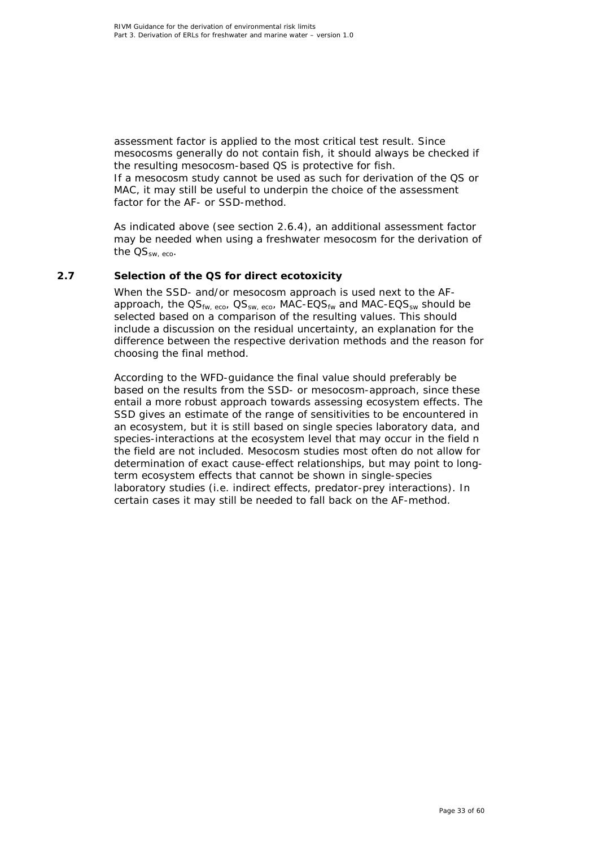assessment factor is applied to the most critical test result. Since mesocosms generally do not contain fish, it should always be checked if the resulting mesocosm-based QS is protective for fish. If a mesocosm study cannot be used as such for derivation of the QS or

MAC, it may still be useful to underpin the choice of the assessment factor for the AF- or SSD-method.

As indicated above (see section 2.6.4), an additional assessment factor may be needed when using a freshwater mesocosm for the derivation of the  $OS_{sw, eco}$ .

### **2.7 Selection of the QS for direct ecotoxicity**

<span id="page-32-0"></span>When the SSD- and/or mesocosm approach is used next to the AFapproach, the  $\text{QS}_{\text{fw-ero}}$ ,  $\text{QS}_{\text{sw-ero}}$ , MAC-EQS<sub>fw</sub> and MAC-EQS<sub>sw</sub> should be selected based on a comparison of the resulting values. This should include a discussion on the residual uncertainty, an explanation for the difference between the respective derivation methods and the reason for choosing the final method.

According to the WFD-guidance the final value should preferably be based on the results from the SSD- or mesocosm-approach, since these entail a more robust approach towards assessing ecosystem effects. The SSD gives an estimate of the range of sensitivities to be encountered in an ecosystem, but it is still based on single species laboratory data, and species-interactions at the ecosystem level that may occur in the field n the field are not included. Mesocosm studies most often do not allow for determination of exact cause-effect relationships, but may point to longterm ecosystem effects that cannot be shown in single-species laboratory studies (i.e. indirect effects, predator-prey interactions). In certain cases it may still be needed to fall back on the AF-method.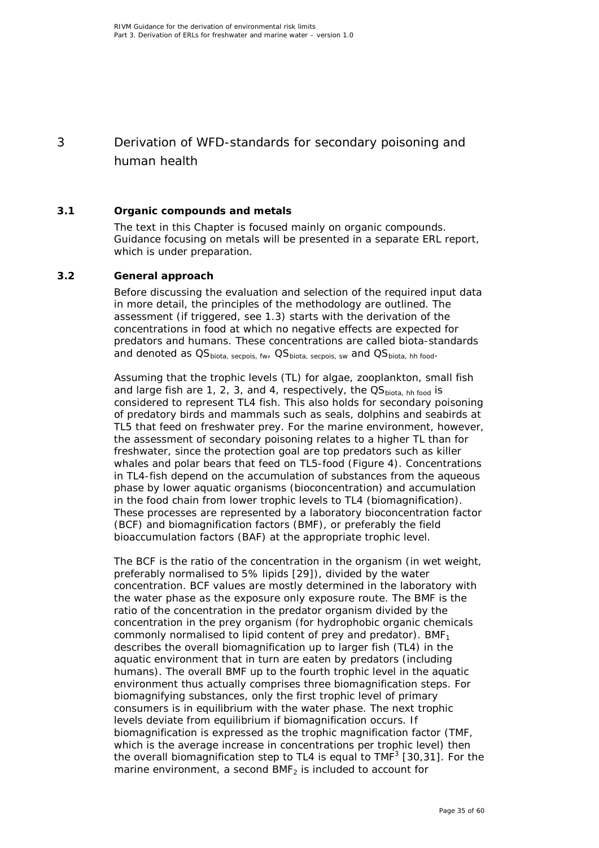# <span id="page-34-0"></span>3 Derivation of WFD-standards for secondary poisoning and human health

### **3.1 Organic compounds and metals**

<span id="page-34-1"></span>The text in this Chapter is focused mainly on organic compounds. Guidance focusing on metals will be presented in a separate ERL report, which is under preparation.

### **3.2 General approach**

<span id="page-34-2"></span>Before discussing the evaluation and selection of the required input data in more detail, the principles of the methodology are outlined. The assessment (if triggered, see 1.3) starts with the derivation of the concentrations in food at which no negative effects are expected for predators and humans. These concentrations are called biota-standards and denoted as OS<sub>biota, secpois, fw</sub>, OS<sub>biota, secpois, sw</sub> and OS<sub>biota, hh food</sub>.

Assuming that the trophic levels (TL) for algae, zooplankton, small fish and large fish are 1, 2, 3, and 4, respectively, the  $OS<sub>biota, hh food</sub>$  is considered to represent TL4 fish. This also holds for secondary poisoning of predatory birds and mammals such as seals, dolphins and seabirds at TL5 that feed on freshwater prey. For the marine environment, however, the assessment of secondary poisoning relates to a higher TL than for freshwater, since the protection goal are top predators such as killer whales and polar bears that feed on TL5-food (Figure 4). Concentrations in TL4-fish depend on the accumulation of substances from the aqueous phase by lower aquatic organisms (bioconcentration) and accumulation in the food chain from lower trophic levels to TL4 (biomagnification). These processes are represented by a laboratory bioconcentration factor (BCF) and biomagnification factors (BMF), or preferably the field bioaccumulation factors (BAF) at the appropriate trophic level.

The BCF is the ratio of the concentration in the organism (in wet weight, preferably normalised to 5% lipids [\[29\]](#page-50-5)), divided by the water concentration. BCF values are mostly determined in the laboratory with the water phase as the exposure only exposure route. The BMF is the ratio of the concentration in the predator organism divided by the concentration in the prey organism (for hydrophobic organic chemicals commonly normalised to lipid content of prey and predator).  $BMF<sub>1</sub>$ describes the overall biomagnification up to larger fish (TL4) in the aquatic environment that in turn are eaten by predators (including humans). The overall BMF up to the fourth trophic level in the aquatic environment thus actually comprises three biomagnification steps. For biomagnifying substances, only the first trophic level of primary consumers is in equilibrium with the water phase. The next trophic levels deviate from equilibrium if biomagnification occurs. If biomagnification is expressed as the trophic magnification factor (TMF, which is the average increase in concentrations per trophic level) then the overall biomagnification step to TL4 is equal to TMF $3$  [\[30,](#page-50-6)[31\]](#page-50-7). For the marine environment, a second  $BMF<sub>2</sub>$  is included to account for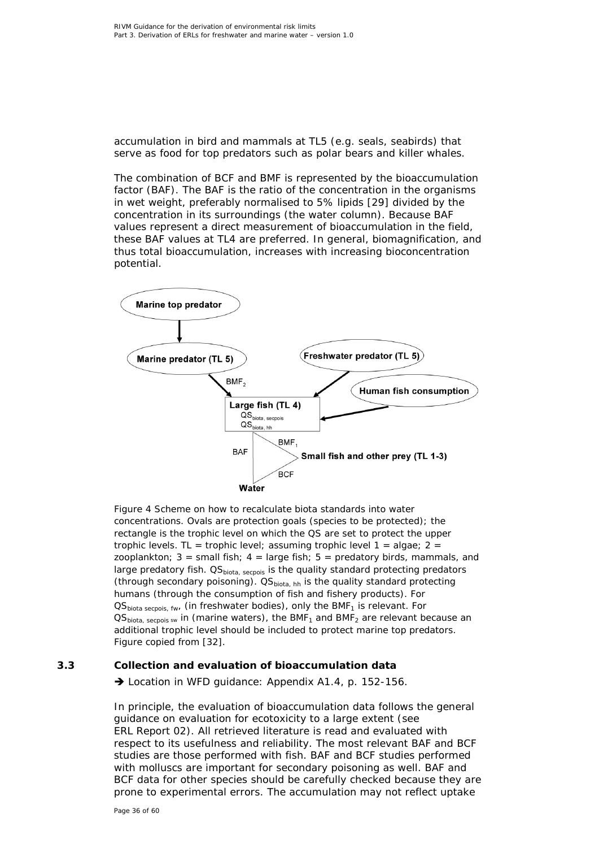accumulation in bird and mammals at TL5 (e.g. seals, seabirds) that serve as food for top predators such as polar bears and killer whales.

The combination of BCF and BMF is represented by the bioaccumulation factor (BAF). The BAF is the ratio of the concentration in the organisms in wet weight, preferably normalised to 5% lipids [\[29\]](#page-50-5) divided by the concentration in its surroundings (the water column). Because BAF values represent a direct measurement of bioaccumulation in the field, these BAF values at TL4 are preferred. In general, biomagnification, and thus total bioaccumulation, increases with increasing bioconcentration potential.



*Figure 4 Scheme on how to recalculate biota standards into water concentrations. Ovals are protection goals (species to be protected); the rectangle is the trophic level on which the QS are set to protect the upper trophic levels. TL = trophic level; assuming trophic level 1 = algae; 2 = zooplankton; 3 = small fish; 4 = large fish; 5 = predatory birds, mammals, and large* predatory fish. QS<sub>biota, secpois is the quality standard protecting predators</sub> *(through secondary poisoning). QSbiota, hh is the quality standard protecting humans (through the consumption of fish and fishery products). For QS<sub>biota secpois, fw,* (in freshwater bodies), only the BMF<sub>1</sub> is relevant. For</sub>  $QS<sub>biota</sub>,$  *secpois sw in (marine waters), the BMF<sub>1</sub> and BMF<sub>2</sub> are relevant because an additional trophic level should be included to protect marine top predators. Figure copied from [\[32\]](#page-50-8).*

### **3.3 Collection and evaluation of bioaccumulation data**

<span id="page-35-0"></span>→ Location in WFD guidance: Appendix A1.4, p. 152-156.

In principle, the evaluation of bioaccumulation data follows the general guidance on evaluation for ecotoxicity to a large extent (see ERL Report 02). All retrieved literature is read and evaluated with respect to its usefulness and reliability. The most relevant BAF and BCF studies are those performed with fish. BAF and BCF studies performed with molluscs are important for secondary poisoning as well. BAF and BCF data for other species should be carefully checked because they are prone to experimental errors. The accumulation may not reflect uptake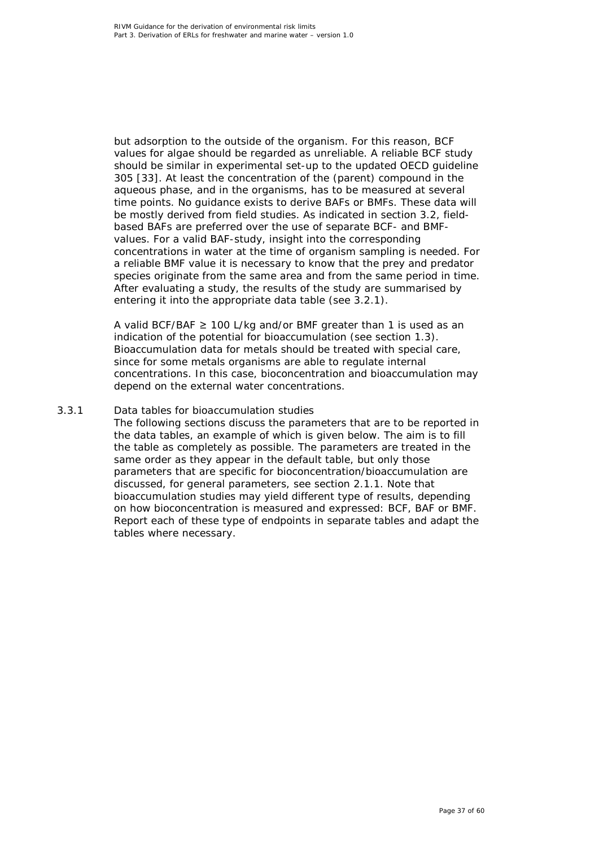but adsorption to the outside of the organism. For this reason, BCF values for algae should be regarded as unreliable. A reliable BCF study should be similar in experimental set-up to the updated OECD guideline 305 [\[33\]](#page-50-9). At least the concentration of the (parent) compound in the aqueous phase, and in the organisms, has to be measured at several time points. No guidance exists to derive BAFs or BMFs. These data will be mostly derived from field studies. As indicated in section 3.2, fieldbased BAFs are preferred over the use of separate BCF- and BMFvalues. For a valid BAF-study, insight into the corresponding concentrations in water at the time of organism sampling is needed. For a reliable BMF value it is necessary to know that the prey and predator species originate from the same area and from the same period in time. After evaluating a study, the results of the study are summarised by entering it into the appropriate data table (see 3.2.1).

A valid BCF/BAF  $≥$  100 L/kg and/or BMF greater than 1 is used as an indication of the potential for bioaccumulation (see section 1.3). Bioaccumulation data for metals should be treated with special care, since for some metals organisms are able to regulate internal concentrations. In this case, bioconcentration and bioaccumulation may depend on the external water concentrations.

### *3.3.1 Data tables for bioaccumulation studies*

<span id="page-36-0"></span>The following sections discuss the parameters that are to be reported in the data tables, an example of which is given below. The aim is to fill the table as completely as possible. The parameters are treated in the same order as they appear in the default table, but only those parameters that are specific for bioconcentration/bioaccumulation are discussed, for general parameters, see section 2.1.1. Note that bioaccumulation studies may yield different type of results, depending on how bioconcentration is measured and expressed: BCF, BAF or BMF. Report each of these type of endpoints in separate tables and adapt the tables where necessary.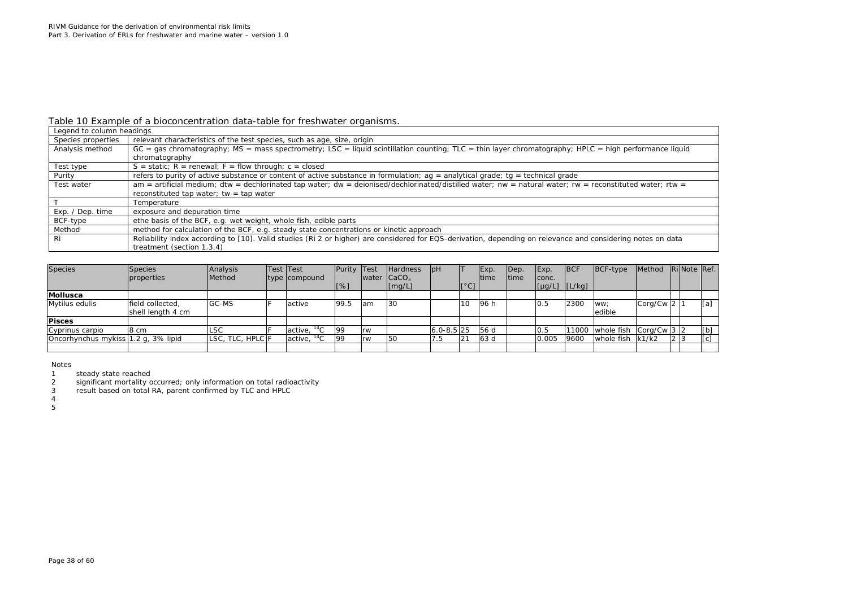### *Table 10 Example of a bioconcentration data-table for freshwater organisms.*

| Legend to column headings |                                                                                                                                                             |
|---------------------------|-------------------------------------------------------------------------------------------------------------------------------------------------------------|
| Species properties        | relevant characteristics of the test species, such as age, size, origin                                                                                     |
| Analysis method           | $GC = gas$ chromatography; MS = mass spectrometry; LSC = liquid scintillation counting; TLC = thin layer chromatography; HPLC = high performance liquid     |
|                           | chromatography                                                                                                                                              |
| Test type                 | $S =$ static; $R =$ renewal; $F =$ flow through; $c =$ closed                                                                                               |
| Purity                    | refers to purity of active substance or content of active substance in formulation; $ag =$ analytical grade; tg = technical grade                           |
| Test water                | $am =$ artificial medium; dtw = dechlorinated tap water; dw = deionised/dechlorinated/distilled water; nw = natural water; rw = reconstituted water; rtw =  |
|                           | reconstituted tap water; tw = tap water                                                                                                                     |
|                           | Temperature                                                                                                                                                 |
| Exp. / Dep. time          | exposure and depuration time                                                                                                                                |
| BCF-type                  | ethe basis of the BCF, e.g. wet weight, whole fish, edible parts                                                                                            |
| Method                    | method for calculation of the BCF, e.g. steady state concentrations or kinetic approach                                                                     |
| Ri                        | Reliability index according to [10]. Valid studies (Ri 2 or higher) are considered for EQS-derivation, depending on relevance and considering notes on data |
|                           | treatment (section 1.3.4)                                                                                                                                   |

| <b>Species</b>                      | Species<br>properties                 | Analysis<br>Method | Test Test<br>type compound  | Purity Test |            | <b>Hardness</b><br>water $ CaCO3$ | H              |      | Exp.<br><b>Itime</b> | Dep.<br>Itime | Exp.<br>conc.                                                                  | <b>BCF</b> | $BCF-type$                                                   | Method Ri Note Ref. |     |     |
|-------------------------------------|---------------------------------------|--------------------|-----------------------------|-------------|------------|-----------------------------------|----------------|------|----------------------|---------------|--------------------------------------------------------------------------------|------------|--------------------------------------------------------------|---------------------|-----|-----|
|                                     |                                       |                    |                             | [%]         |            | $\lfloor$ [mg/L]                  |                | [°C] |                      |               | $\lceil \lfloor \mu g/L \rfloor \rfloor$ $\lceil \lfloor L/kg \rfloor \rfloor$ |            |                                                              |                     |     |     |
| Mollusca                            |                                       |                    |                             |             |            |                                   |                |      |                      |               |                                                                                |            |                                                              |                     |     |     |
| Mytilus edulis                      | field collected,<br>shell length 4 cm | GC-MS              | active                      | 199.5       | <b>lam</b> | 30                                |                | 10   | 196 h                |               | 0.5                                                                            | 2300       | WW:<br>edible                                                | Corg/Cw 2 1         |     | [a] |
| <b>Pisces</b>                       |                                       |                    |                             |             |            |                                   |                |      |                      |               |                                                                                |            |                                                              |                     |     |     |
| Cyprinus carpio                     | 8 cm                                  | <b>LSC</b>         | $\arctive.$ <sup>14</sup> C | 99          | Irw        |                                   | $6.0 - 8.5$ 25 |      | 56 d                 |               | 0.5                                                                            | 11000      | whole fish $\left \frac{\text{Corg}}{\text{Cwg}}\right $ 3 2 |                     |     | [b] |
| Oncorhynchus mykiss 1.2 q, 3% lipid |                                       | LSC. TLC. HPLC F   | $\arctive.$ <sup>14</sup> C | 99          | Irw        | 50                                | 7.5            | 21   | 63 d                 |               | 0.005                                                                          | 9600       | whole fish k1/k2                                             |                     | 2 3 | [c] |
|                                     |                                       |                    |                             |             |            |                                   |                |      |                      |               |                                                                                |            |                                                              |                     |     |     |

Notes<br>1

1 steady state reached<br>2 significant mortality of 2 significant mortality occurred; only information on total radioactivity<br>3 result based on total RA, parent confirmed by TLC and HPLC

result based on total RA, parent confirmed by TLC and HPLC

4 5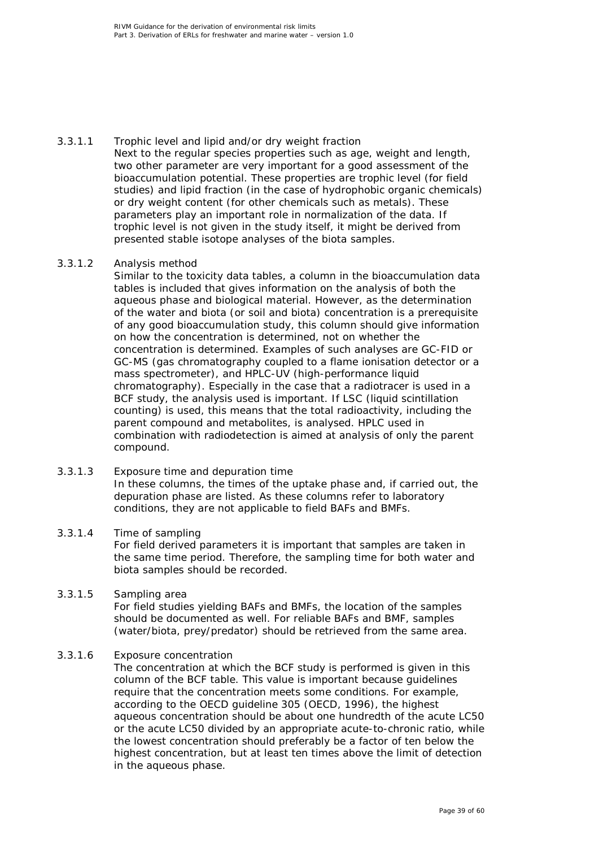3.3.1.1 Trophic level and lipid and/or dry weight fraction Next to the regular species properties such as age, weight and length, two other parameter are very important for a good assessment of the bioaccumulation potential. These properties are trophic level (for field studies) and lipid fraction (in the case of hydrophobic organic chemicals) or dry weight content (for other chemicals such as metals). These parameters play an important role in normalization of the data. If trophic level is not given in the study itself, it might be derived from presented stable isotope analyses of the biota samples.

### 3.3.1.2 Analysis method

Similar to the toxicity data tables, a column in the bioaccumulation data tables is included that gives information on the analysis of both the aqueous phase and biological material. However, as the determination of the water and biota (or soil and biota) concentration is a prerequisite of any good bioaccumulation study, this column should give information on how the concentration is determined, not on whether the concentration is determined. Examples of such analyses are GC-FID or GC-MS (gas chromatography coupled to a flame ionisation detector or a mass spectrometer), and HPLC-UV (high-performance liquid chromatography). Especially in the case that a radiotracer is used in a BCF study, the analysis used is important. If LSC (liquid scintillation counting) is used, this means that the total radioactivity, including the parent compound and metabolites, is analysed. HPLC used in combination with radiodetection is aimed at analysis of only the parent compound.

### 3.3.1.3 Exposure time and depuration time In these columns, the times of the uptake phase and, if carried out, the depuration phase are listed. As these columns refer to laboratory conditions, they are not applicable to field BAFs and BMFs.

### 3.3.1.4 Time of sampling

For field derived parameters it is important that samples are taken in the same time period. Therefore, the sampling time for both water and biota samples should be recorded.

### 3.3.1.5 Sampling area

For field studies yielding BAFs and BMFs, the location of the samples should be documented as well. For reliable BAFs and BMF, samples (water/biota, prey/predator) should be retrieved from the same area.

### 3.3.1.6 Exposure concentration

The concentration at which the BCF study is performed is given in this column of the BCF table. This value is important because guidelines require that the concentration meets some conditions. For example, according to the OECD guideline 305 (OECD, 1996), the highest aqueous concentration should be about one hundredth of the acute LC50 or the acute LC50 divided by an appropriate acute-to-chronic ratio, while the lowest concentration should preferably be a factor of ten below the highest concentration, but at least ten times above the limit of detection in the aqueous phase.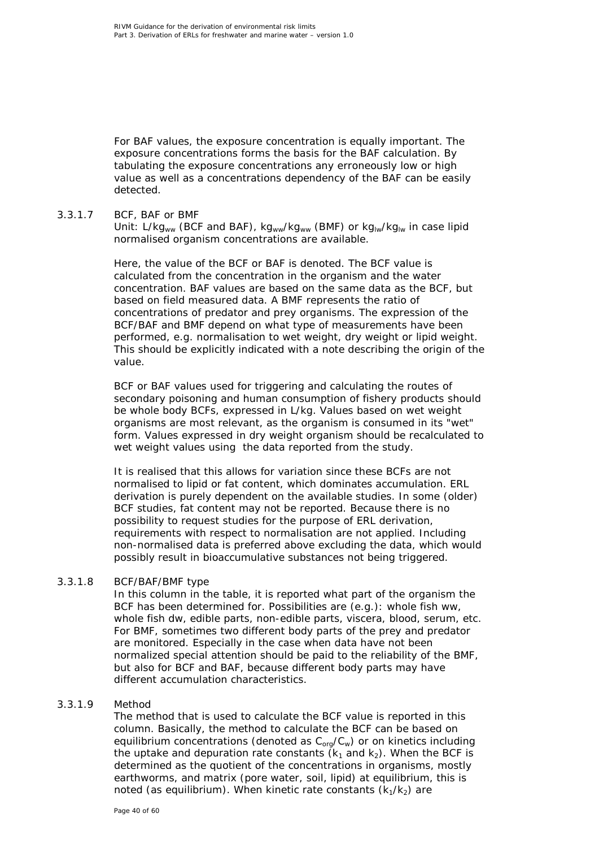For BAF values, the exposure concentration is equally important. The exposure concentrations forms the basis for the BAF calculation. By tabulating the exposure concentrations any erroneously low or high value as well as a concentrations dependency of the BAF can be easily detected.

### 3.3.1.7 BCF, BAF or BMF

Unit: L/kgww (BCF and BAF), kgww/kgww (BMF) or kglw/kglw in case lipid normalised organism concentrations are available.

Here, the value of the BCF or BAF is denoted. The BCF value is calculated from the concentration in the organism and the water concentration. BAF values are based on the same data as the BCF, but based on field measured data. A BMF represents the ratio of concentrations of predator and prey organisms. The expression of the BCF/BAF and BMF depend on what type of measurements have been performed, e.g. normalisation to wet weight, dry weight or lipid weight. This should be explicitly indicated with a note describing the origin of the value.

BCF or BAF values used for triggering and calculating the routes of secondary poisoning and human consumption of fishery products should be whole body BCFs, expressed in L/kg. Values based on wet weight organisms are most relevant, as the organism is consumed in its "wet" form. Values expressed in dry weight organism should be recalculated to wet weight values using the data reported from the study.

It is realised that this allows for variation since these BCFs are not normalised to lipid or fat content, which dominates accumulation. ERL derivation is purely dependent on the available studies. In some (older) BCF studies, fat content may not be reported. Because there is no possibility to request studies for the purpose of ERL derivation, requirements with respect to normalisation are not applied. Including non-normalised data is preferred above excluding the data, which would possibly result in bioaccumulative substances not being triggered.

### 3.3.1.8 BCF/BAF/BMF type

In this column in the table, it is reported what part of the organism the BCF has been determined for. Possibilities are (e.g.): whole fish ww, whole fish dw, edible parts, non-edible parts, viscera, blood, serum, etc. For BMF, sometimes two different body parts of the prey and predator are monitored. Especially in the case when data have not been normalized special attention should be paid to the reliability of the BMF, but also for BCF and BAF, because different body parts may have different accumulation characteristics.

### 3.3.1.9 Method

The method that is used to calculate the BCF value is reported in this column. Basically, the method to calculate the BCF can be based on equilibrium concentrations (denoted as  $C_{org}/C_w$ ) or on kinetics including the uptake and depuration rate constants  $(k_1$  and  $k_2)$ . When the BCF is determined as the quotient of the concentrations in organisms, mostly earthworms, and matrix (pore water, soil, lipid) at equilibrium, this is noted (as equilibrium). When kinetic rate constants  $(k_1/k_2)$  are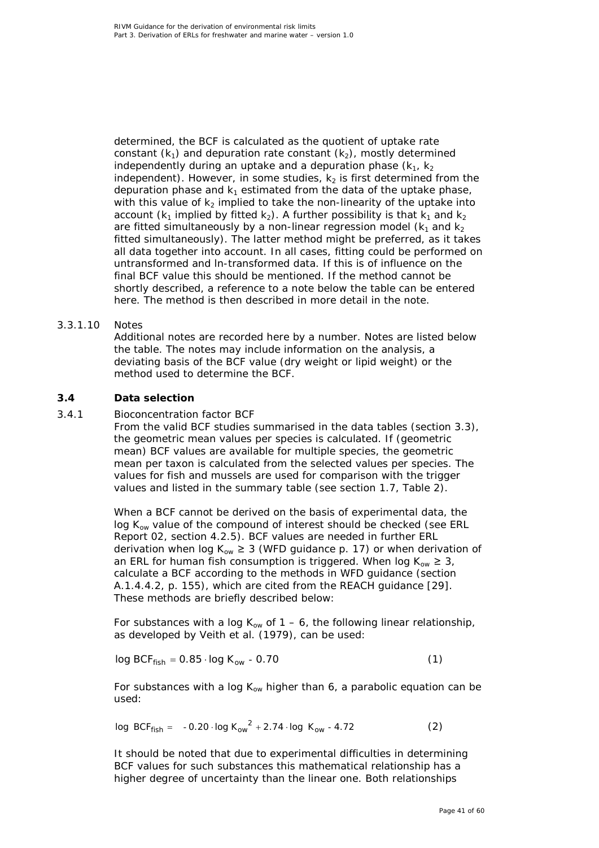determined, the BCF is calculated as the quotient of uptake rate constant  $(k_1)$  and depuration rate constant  $(k_2)$ , mostly determined independently during an uptake and a depuration phase  $(k_1, k_2)$ independent). However, in some studies,  $k_2$  is first determined from the depuration phase and  $k_1$  estimated from the data of the uptake phase, with this value of  $k_2$  implied to take the non-linearity of the uptake into account ( $k_1$  implied by fitted  $k_2$ ). A further possibility is that  $k_1$  and  $k_2$ are fitted simultaneously by a non-linear regression model  $(k_1$  and  $k_2$ fitted simultaneously). The latter method might be preferred, as it takes all data together into account. In all cases, fitting could be performed on untransformed and ln-transformed data. If this is of influence on the final BCF value this should be mentioned. If the method cannot be shortly described, a reference to a note below the table can be entered here. The method is then described in more detail in the note.

### 3.3.1.10 Notes

Additional notes are recorded here by a number. Notes are listed below the table. The notes may include information on the analysis, a deviating basis of the BCF value (dry weight or lipid weight) or the method used to determine the BCF.

### **3.4 Data selection**

### *3.4.1 Bioconcentration factor BCF*

<span id="page-40-1"></span><span id="page-40-0"></span>From the valid BCF studies summarised in the data tables (section 3.3), the geometric mean values per species is calculated. If (geometric mean) BCF values are available for multiple species, the geometric mean per taxon is calculated from the selected values per species. The values for fish and mussels are used for comparison with the trigger values and listed in the summary table (see section 1.7, Table 2).

When a BCF cannot be derived on the basis of experimental data, the log  $K_{ow}$  value of the compound of interest should be checked (see ERL Report 02, section 4.2.5). BCF values are needed in further ERL derivation when log  $K_{ow} \geq 3$  (WFD guidance p. 17) or when derivation of an ERL for human fish consumption is triggered. When log  $K_{ow} \geq 3$ , calculate a BCF according to the methods in WFD guidance (section A.1.4.4.2, p. 155), which are cited from the REACH guidance [\[29\]](#page-50-5). These methods are briefly described below:

For substances with a log  $K_{ow}$  of 1 – 6, the following linear relationship, as developed by Veith *et al*. (1979), can be used:

$$
\log BCF_{\text{fish}} = 0.85 \cdot \log K_{\text{ow}} - 0.70 \tag{1}
$$

For substances with a log  $K_{ow}$  higher than 6, a parabolic equation can be used:

$$
\log BCF_{\text{fish}} = -0.20 \cdot \log K_{\text{ow}}^{2} + 2.74 \cdot \log K_{\text{ow}} - 4.72 \tag{2}
$$

It should be noted that due to experimental difficulties in determining BCF values for such substances this mathematical relationship has a higher degree of uncertainty than the linear one. Both relationships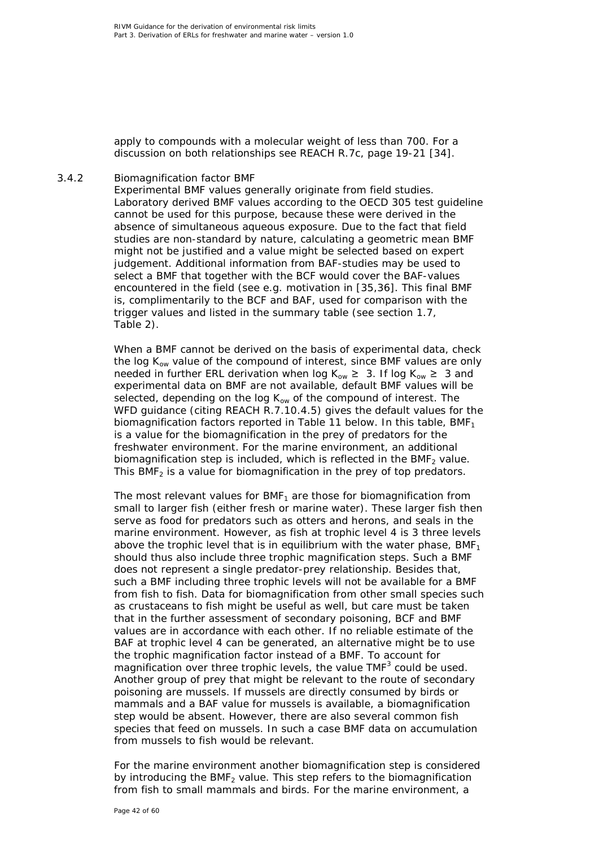apply to compounds with a molecular weight of less than 700. For a discussion on both relationships see REACH R.7c, page 19-21 [\[34\]](#page-50-10).

### *3.4.2 Biomagnification factor BMF*

<span id="page-41-0"></span>Experimental BMF values generally originate from field studies. Laboratory derived BMF values according to the OECD 305 test guideline cannot be used for this purpose, because these were derived in the absence of simultaneous aqueous exposure. Due to the fact that field studies are non-standard by nature, calculating a geometric mean BMF might not be justified and a value might be selected based on expert judgement. Additional information from BAF-studies may be used to select a BMF that together with the BCF would cover the BAF-values encountered in the field (see e.g. motivation in [\[35,](#page-50-11)[36\]](#page-50-12). This final BMF is, complimentarily to the BCF and BAF, used for comparison with the trigger values and listed in the summary table (see section 1.7, Table 2).

When a BMF cannot be derived on the basis of experimental data, check the log  $K_{ow}$  value of the compound of interest, since BMF values are only needed in further ERL derivation when log  $K_{ow} \geq 3$ . If log  $K_{ow} \geq 3$  and experimental data on BMF are not available, default BMF values will be selected, depending on the log  $K_{ow}$  of the compound of interest. The WFD guidance (citing REACH R.7.10.4.5) gives the default values for the biomagnification factors reported in Table 11 below. In this table, BMF<sub>1</sub> is a value for the biomagnification in the prey of predators for the freshwater environment. For the marine environment, an additional biomagnification step is included, which is reflected in the BMF<sub>2</sub> value. This BMF<sub>2</sub> is a value for biomagnification in the prey of top predators.

The most relevant values for  $BMF<sub>1</sub>$  are those for biomagnification from small to larger fish (either fresh or marine water). These larger fish then serve as food for predators such as otters and herons, and seals in the marine environment. However, as fish at trophic level 4 is 3 three levels above the trophic level that is in equilibrium with the water phase, BMF<sub>1</sub> should thus also include three trophic magnification steps. Such a BMF does not represent a single predator-prey relationship. Besides that, such a BMF including three trophic levels will not be available for a BMF from fish to fish. Data for biomagnification from other small species such as crustaceans to fish might be useful as well, but care must be taken that in the further assessment of secondary poisoning, BCF and BMF values are in accordance with each other. If no reliable estimate of the BAF at trophic level 4 can be generated, an alternative might be to use the trophic magnification factor instead of a BMF. To account for magnification over three trophic levels, the value  $TMF<sup>3</sup>$  could be used. Another group of prey that might be relevant to the route of secondary poisoning are mussels. If mussels are directly consumed by birds or mammals and a BAF value for mussels is available, a biomagnification step would be absent. However, there are also several common fish species that feed on mussels. In such a case BMF data on accumulation from mussels to fish would be relevant.

For the marine environment another biomagnification step is considered by introducing the  $BMF<sub>2</sub>$  value. This step refers to the biomagnification from fish to small mammals and birds. For the marine environment, a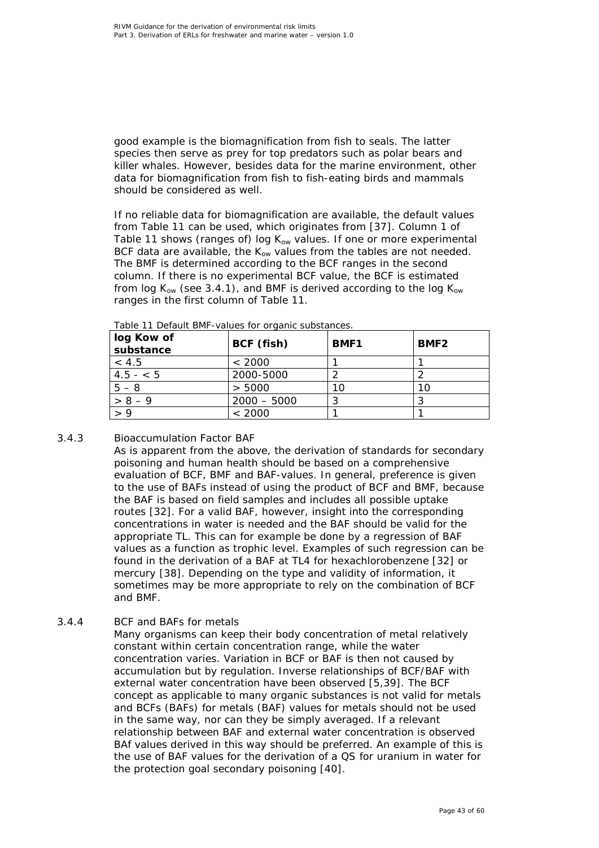good example is the biomagnification from fish to seals. The latter species then serve as prey for top predators such as polar bears and killer whales. However, besides data for the marine environment, other data for biomagnification from fish to fish-eating birds and mammals should be considered as well.

If no reliable data for biomagnification are available, the default values from Table 11 can be used, which originates from [\[37\]](#page-51-0). Column 1 of Table 11 shows (ranges of) log  $K_{ow}$  values. If one or more experimental BCF data are available, the  $K_{ow}$  values from the tables are not needed. The BMF is determined according to the BCF ranges in the second column. If there is no experimental BCF value, the BCF is estimated from log  $K_{ow}$  (see 3.4.1), and BMF is derived according to the log  $K_{ow}$ ranges in the first column of Table 11.

| log Kow of<br>substance | BCF (fish)    | <b>BMF1</b> | BMF <sub>2</sub> |
|-------------------------|---------------|-------------|------------------|
| < 4.5                   | < 2000        |             |                  |
| $4.5 - 5$               | 2000-5000     |             |                  |
| $5 - 8$                 | > 5000        |             |                  |
| $> 8 - 9$               | $2000 - 5000$ | っ<br>J      |                  |
|                         | < 2000        |             |                  |

*Table 11 Default BMF-values for organic substances.*

# *3.4.3 Bioaccumulation Factor BAF*

<span id="page-42-0"></span>As is apparent from the above, the derivation of standards for secondary poisoning and human health should be based on a comprehensive evaluation of BCF, BMF and BAF-values. In general, preference is given to the use of BAFs instead of using the product of BCF and BMF, because the BAF is based on field samples and includes all possible uptake routes [\[32\]](#page-50-8). For a valid BAF, however, insight into the corresponding concentrations in water is needed and the BAF should be valid for the appropriate TL. This can for example be done by a regression of BAF values as a function as trophic level. Examples of such regression can be found in the derivation of a BAF at TL4 for hexachlorobenzene [\[32\]](#page-50-8) or mercury [\[38\]](#page-51-1). Depending on the type and validity of information, it sometimes may be more appropriate to rely on the combination of BCF and BMF.

# *3.4.4 BCF and BAFs for metals*

<span id="page-42-1"></span>Many organisms can keep their body concentration of metal relatively constant within certain concentration range, while the water concentration varies. Variation in BCF or BAF is then not caused by accumulation but by regulation. Inverse relationships of BCF/BAF with external water concentration have been observed [\[5](#page-48-5)[,39\]](#page-51-2). The BCF concept as applicable to many organic substances is not valid for metals and BCFs (BAFs) for metals (BAF) values for metals should not be used in the same way, nor can they be simply averaged. If a relevant relationship between BAF and external water concentration is observed BAf values derived in this way should be preferred. An example of this is the use of BAF values for the derivation of a QS for uranium in water for the protection goal secondary poisoning [\[40\]](#page-51-3).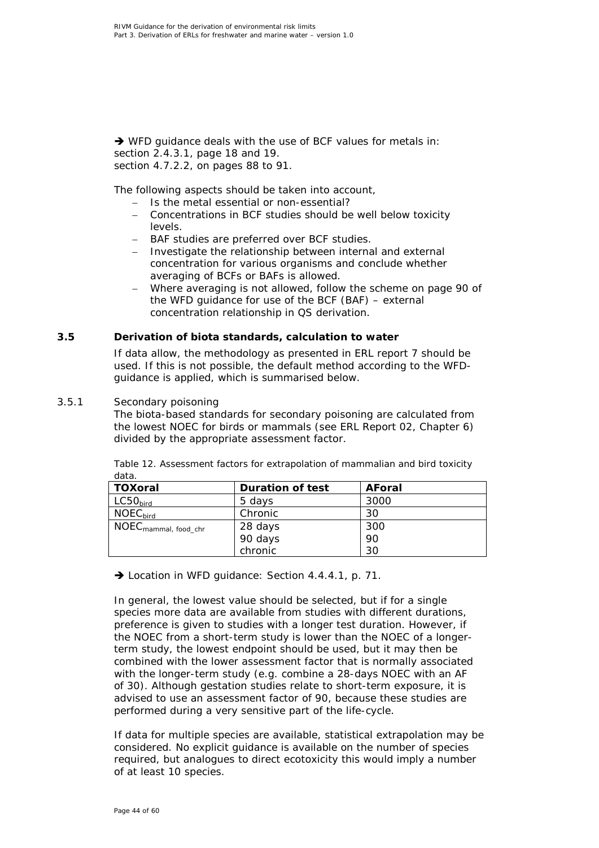→ WFD guidance deals with the use of BCF values for metals in: section 2.4.3.1, page 18 and 19. section 4.7.2.2, on pages 88 to 91.

The following aspects should be taken into account,

- − Is the metal essential or non-essential?
- − Concentrations in BCF studies should be well below toxicity levels.
- − BAF studies are preferred over BCF studies.
- − Investigate the relationship between internal and external concentration for various organisms and conclude whether averaging of BCFs or BAFs is allowed.
- − Where averaging is not allowed, follow the scheme on page 90 of the WFD guidance for use of the BCF (BAF) – external concentration relationship in QS derivation.

### **3.5 Derivation of biota standards, calculation to water**

<span id="page-43-0"></span>If data allow, the methodology as presented in ERL report 7 should be used. If this is not possible, the default method according to the WFDguidance is applied, which is summarised below.

### *3.5.1 Secondary poisoning*

<span id="page-43-1"></span>The biota-based standards for secondary poisoning are calculated from the lowest NOEC for birds or mammals (see ERL Report 02, Chapter 6) divided by the appropriate assessment factor.

| TOXoral                          | <b>Duration of test</b> | <b>AForal</b> |
|----------------------------------|-------------------------|---------------|
| LC50 <sub>bird</sub>             | 5 days                  | 3000          |
| $NOEC_{bird}$                    | Chronic                 | 30            |
| NOEC <sub>mammal, food_chr</sub> | 28 days                 | 300           |
|                                  | 90 days                 | 90            |
|                                  | chronic                 | 30            |

*Table 12. Assessment factors for extrapolation of mammalian and bird toxicity data.*

→ Location in WFD guidance: Section 4.4.4.1, p. 71.

In general, the lowest value should be selected, but if for a single species more data are available from studies with different durations, preference is given to studies with a longer test duration. However, if the NOEC from a short-term study is lower than the NOEC of a longerterm study, the lowest endpoint should be used, but it may then be combined with the lower assessment factor that is normally associated with the longer-term study (e.g. combine a 28-days NOEC with an AF of 30). Although gestation studies relate to short-term exposure, it is advised to use an assessment factor of 90, because these studies are performed during a very sensitive part of the life-cycle.

If data for multiple species are available, statistical extrapolation may be considered. No explicit guidance is available on the number of species required, but analogues to direct ecotoxicity this would imply a number of at least 10 species.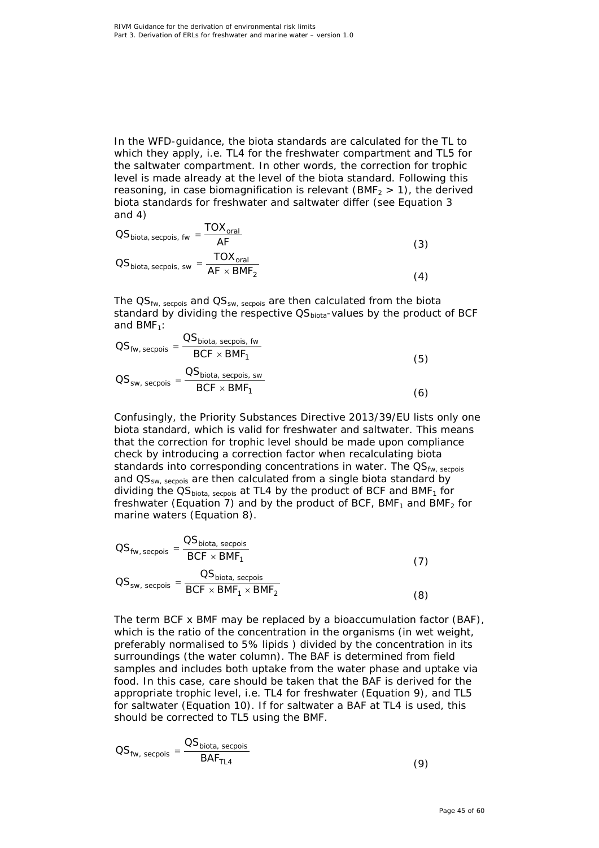In the WFD-guidance, the biota standards are calculated for the TL to which they apply, i.e. TL4 for the freshwater compartment and TL5 for the saltwater compartment. In other words, the correction for trophic level is made already at the level of the biota standard. Following this reasoning, in case biomagnification is relevant (BMF<sub>2</sub> > 1), the derived biota standards for freshwater and saltwater differ (see Equation 3 and 4)

$$
OSbiota, secpois, fw = \frac{TOXoral}{AF}
$$
\n
$$
OSbiota, secpois, sw = \frac{TOXoral}{AF \times BMF_2}
$$
\n(3)

The  $\mathsf{QS}_{\mathsf{fw}, \ \mathsf{seepois}}$  and  $\mathsf{QS}_{\mathsf{sw}, \ \mathsf{seepois}}$  are then calculated from the biota standard by dividing the respective QS<sub>biota</sub>-values by the product of BCF and  $BMF_1$ :

$$
OS_{fw, secpois} = \frac{OS_{biota, secpois, fw}}{BCF \times BMF_1}
$$
\n
$$
OS_{sw, secpois} = \frac{OS_{biota, secpois, sw}}{BCF \times BMF_1}
$$
\n(5)

Confusingly, the Priority Substances Directive 2013/39/EU lists only one biota standard, which is valid for freshwater and saltwater. This means that the correction for trophic level should be made upon compliance check by introducing a correction factor when recalculating biota standards into corresponding concentrations in water. The QS<sub>fw, secpois</sub> and  $OS_{sw.~\text{seconds}}$  are then calculated from a single biota standard by dividing the  $OS<sub>biota</sub>$ , secpois at TL4 by the product of BCF and BMF<sub>1</sub> for freshwater (Equation 7) and by the product of BCF, BMF<sub>1</sub> and BMF<sub>2</sub> for marine waters (Equation 8).

$$
OS_{fw, secpois} = \frac{OS_{biota, secpois}}{BCF \times BMF_1}
$$
\n
$$
OS_{sw, secpois} = \frac{OS_{biota, secpois}}{BCF \times BMF_1 \times BMF_2}
$$
\n(3)

The term BCF x BMF may be replaced by a bioaccumulation factor (BAF), which is the ratio of the concentration in the organisms (in wet weight, preferably normalised to 5% lipids ) divided by the concentration in its surroundings (the water column). The BAF is determined from field samples and includes both uptake from the water phase and uptake via food. In this case, care should be taken that the BAF is derived for the appropriate trophic level, i.e. TL4 for freshwater (Equation 9), and TL5 for saltwater (Equation 10). If for saltwater a BAF at TL4 is used, this should be corrected to TL5 using the BMF.

$$
OS_{fw,~secpois} = \frac{OS_{biota,~secpois}}{BAF_{TL4}}
$$

(9)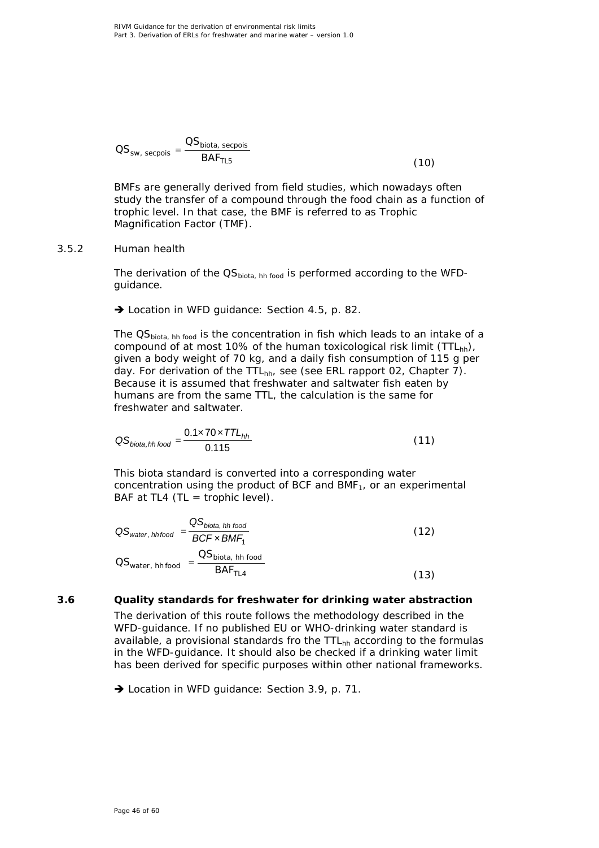$$
OS_{sw, secpois} = \frac{OS_{biota, secpois}}{BAF_{7L5}}
$$
(10)

BMFs are generally derived from field studies, which nowadays often study the transfer of a compound through the food chain as a function of trophic level. In that case, the BMF is referred to as Trophic Magnification Factor (TMF).

### *3.5.2 Human health*

<span id="page-45-0"></span>The derivation of the  $OS<sub>biota, hh food</sub>$  is performed according to the WFDguidance.

→ Location in WFD guidance: Section 4.5, p. 82.

The  $QS_{biota, hh food}$  is the concentration in fish which leads to an intake of a compound of at most 10% of the human toxicological risk limit (TTL<sub>hh</sub>), given a body weight of 70 kg, and a daily fish consumption of 115 g per day. For derivation of the TTL<sub>hh</sub>, see (see ERL rapport 02, Chapter 7). Because it is assumed that freshwater and saltwater fish eaten by humans are from the same TTL, the calculation is the same for freshwater and saltwater.

$$
QS_{biota, hh\,food} = \frac{0.1 \times 70 \times TTL_{hh}}{0.115}
$$
 (11)

This biota standard is converted into a corresponding water concentration using the product of BCF and  $BMF<sub>1</sub>$ , or an experimental BAF at TL4 (TL = trophic level).

$$
QS_{water, hhfood} = \frac{QS_{biota, hh food}}{BCF \times BMF_1}
$$
\n
$$
OS_{water, hhfood} = \frac{OS_{biota, hh food}}{BAF_{TL4}}
$$
\n(12)

# **3.6 Quality standards for freshwater for drinking water abstraction**

<span id="page-45-1"></span>The derivation of this route follows the methodology described in the WFD-guidance. If no published EU or WHO-drinking water standard is available, a provisional standards fro the  $TTL<sub>hh</sub>$  according to the formulas in the WFD-guidance. It should also be checked if a drinking water limit has been derived for specific purposes within other national frameworks.

→ Location in WFD quidance: Section 3.9, p. 71.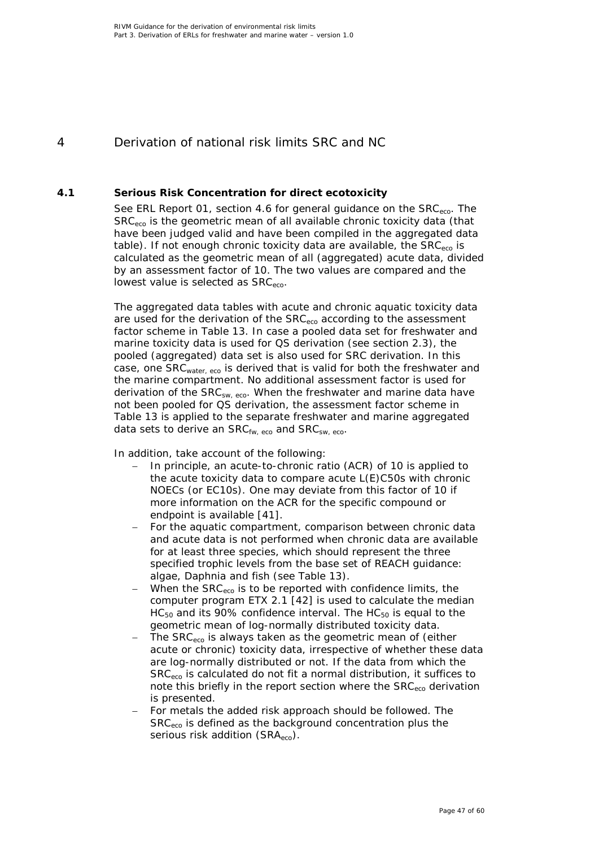# <span id="page-46-0"></span>4 Derivation of national risk limits SRC and NC

### **4.1 Serious Risk Concentration for direct ecotoxicity**

<span id="page-46-1"></span>See ERL Report 01, section 4.6 for general guidance on the SRC<sub>eco</sub>. The SRC<sub>eco</sub> is the geometric mean of all available chronic toxicity data (that have been judged valid and have been compiled in the aggregated data table). If not enough chronic toxicity data are available, the  $SRC_{eco}$  is calculated as the geometric mean of all (aggregated) acute data, divided by an assessment factor of 10. The two values are compared and the lowest value is selected as SRC<sub>eco</sub>.

The aggregated data tables with acute and chronic aquatic toxicity data are used for the derivation of the  $SRC_{\text{eco}}$  according to the assessment factor scheme in Table 13. In case a pooled data set for freshwater and marine toxicity data is used for QS derivation (see section 2.3), the pooled (aggregated) data set is also used for SRC derivation. In this case, one SRC<sub>water, eco</sub> is derived that is valid for both the freshwater and the marine compartment. No additional assessment factor is used for derivation of the SRC<sub>SW, eco</sub>. When the freshwater and marine data have not been pooled for QS derivation, the assessment factor scheme in Table 13 is applied to the separate freshwater and marine aggregated data sets to derive an  $SRC<sub>fw. eco</sub>$  and  $SRC<sub>sw. eco</sub>$ .

In addition, take account of the following:

- − In principle, an acute-to-chronic ratio (ACR) of 10 is applied to the acute toxicity data to compare acute L(E)C50s with chronic NOECs (or EC10s). One may deviate from this factor of 10 if more information on the ACR for the specific compound or endpoint is available [\[41\]](#page-51-4).
- For the aquatic compartment, comparison between chronic data and acute data is not performed when chronic data are available for *at least* three species, which should represent the three specified trophic levels from the base set of REACH guidance: algae, *Daphnia* and fish (see Table 13).
- When the SRC<sub>eco</sub> is to be reported with confidence limits, the computer program *ETX* 2.1 [\[42\]](#page-51-5) is used to calculate the median  $HC_{50}$  and its 90% confidence interval. The  $HC_{50}$  is equal to the geometric mean of log-normally distributed toxicity data.
- The SRC<sub>eco</sub> is always taken as the geometric mean of (either acute or chronic) toxicity data, irrespective of whether these data are log-normally distributed or not. If the data from which the SRC<sub>eco</sub> is calculated do not fit a normal distribution, it suffices to note this briefly in the report section where the SRC<sub>eco</sub> derivation is presented.
- For metals the added risk approach should be followed. The SRCeco is defined as the background concentration plus the serious risk addition (SRA<sub>eco</sub>).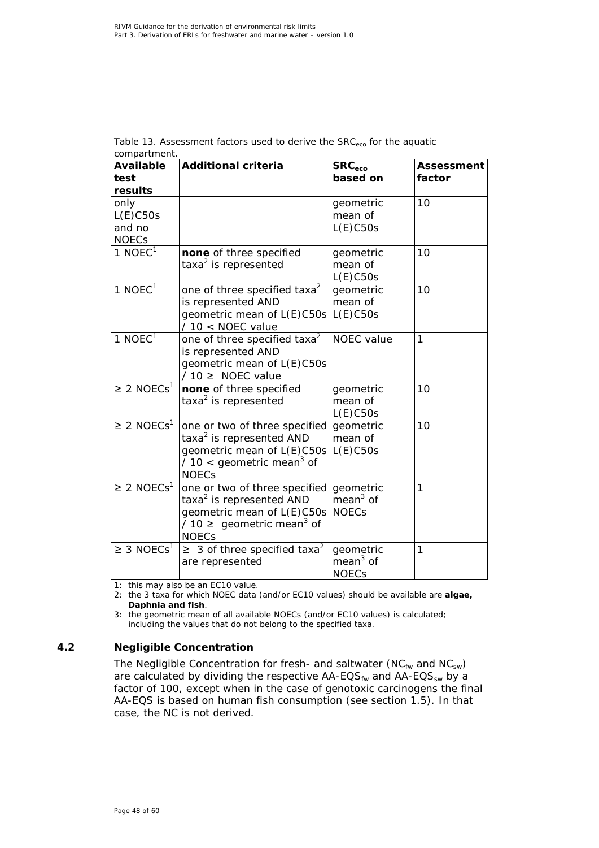| <b>Available</b>                              | <b>Additional criteria</b>                                                                                                                                        | SRC <sub>eco</sub><br>based on          | <b>Assessment</b> |
|-----------------------------------------------|-------------------------------------------------------------------------------------------------------------------------------------------------------------------|-----------------------------------------|-------------------|
| test<br>results                               |                                                                                                                                                                   |                                         | factor            |
| only<br>$L(E)$ C50s<br>and no<br><b>NOECs</b> |                                                                                                                                                                   | geometric<br>mean of<br>$L(E)$ C50s     | 10                |
| 1 NOEC $1$                                    | none of three specified<br>taxa <sup>2</sup> is represented                                                                                                       | geometric<br>mean of<br>$L(E)$ C50s     | 10                |
| $1$ NOEC <sup>1</sup>                         | one of three specified taxa <sup>2</sup><br>is represented AND<br>geometric mean of L(E)C50s<br>$/10 <$ NOEC value                                                | geometric<br>mean of<br>$L(E)$ C50s     | 10                |
| $1$ NOEC <sup>1</sup>                         | one of three specified taxa <sup>2</sup><br>is represented AND<br>geometric mean of L(E)C50s<br>$/10 \geq NOEC$ value                                             | <b>NOEC</b> value                       | 1                 |
| $\geq 2$ NOECs <sup>1</sup>                   | none of three specified<br>taxa <sup>2</sup> is represented                                                                                                       | geometric<br>mean of<br>$L(E)$ C50s     | 10                |
| $\geq$ 2 NOECs <sup>1</sup>                   | one or two of three specified<br>taxa <sup>2</sup> is represented AND<br>geometric mean of L(E)C50s<br>/ 10 < geometric mean <sup>3</sup> of<br><b>NOECs</b>      | geometric<br>mean of<br>L(E)C50s        | 10                |
| $\geq$ 2 NOECs <sup>1</sup>                   | one or two of three specified<br>taxa <sup>2</sup> is represented AND<br>geometric mean of L(E)C50s<br>/ 10 $\geq$ geometric mean <sup>3</sup> of<br><b>NOECs</b> | geometric<br>$mean3$ of<br><b>NOECs</b> | 1                 |
| $\geq 3$ NOECs <sup>1</sup>                   | $\geq$ 3 of three specified taxa <sup>2</sup><br>are represented                                                                                                  | geometric<br>$mean3$ of<br><b>NOECs</b> | 1                 |

| Table 13. Assessment factors used to derive the $SRC_{eco}$ for the aquatic |  |  |  |
|-----------------------------------------------------------------------------|--|--|--|
| compartment.                                                                |  |  |  |

1: this may also be an EC10 value.

2: the 3 taxa for which NOEC data (and/or EC10 values) should be available are **algae,**  *Daphnia* **and fish**.

3: the geometric mean of all available NOECs (and/or EC10 values) is calculated; including the values that do not belong to the specified taxa.

### **4.2 Negligible Concentration**

<span id="page-47-0"></span>The Negligible Concentration for fresh- and saltwater (NC $_{\text{fw}}$  and NC<sub>sw</sub>) are calculated by dividing the respective  $AA$ -EQS $_{fw}$  and  $AA$ -EQS $_{sw}$  by a factor of 100, except when in the case of genotoxic carcinogens the final AA-EQS is based on human fish consumption (see section 1.5). In that case, the NC is not derived.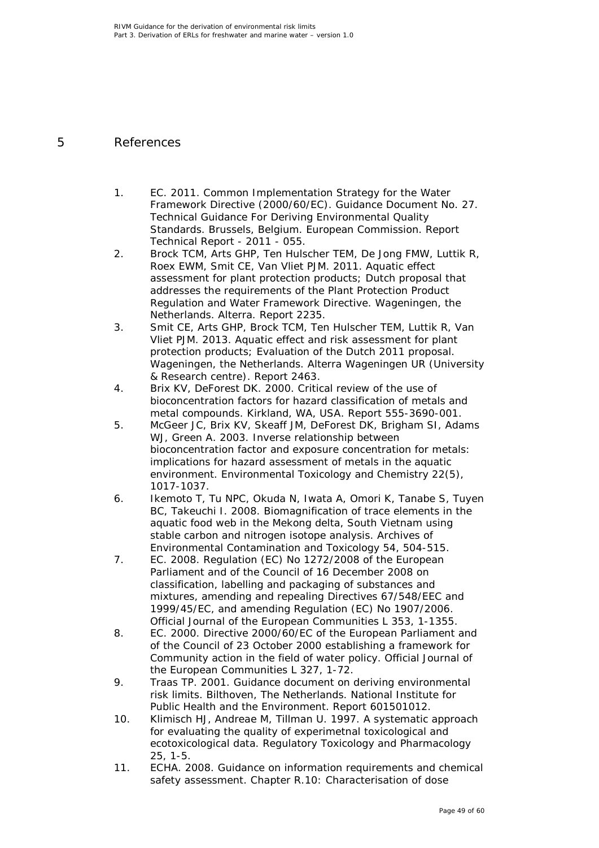# 5 References

- <span id="page-48-1"></span><span id="page-48-0"></span>1. EC. 2011. Common Implementation Strategy for the Water Framework Directive (2000/60/EC). Guidance Document No. 27. Technical Guidance For Deriving Environmental Quality Standards. Brussels, Belgium. European Commission. Report Technical Report - 2011 - 055.
- <span id="page-48-2"></span>2. Brock TCM, Arts GHP, Ten Hulscher TEM, De Jong FMW, Luttik R, Roex EWM, Smit CE, Van Vliet PJM. 2011. Aquatic effect assessment for plant protection products; Dutch proposal that addresses the requirements of the Plant Protection Product Regulation and Water Framework Directive. Wageningen, the Netherlands. Alterra. Report 2235.
- <span id="page-48-3"></span>3. Smit CE, Arts GHP, Brock TCM, Ten Hulscher TEM, Luttik R, Van Vliet PJM. 2013. Aquatic effect and risk assessment for plant protection products; Evaluation of the Dutch 2011 proposal. Wageningen, the Netherlands. Alterra Wageningen UR (University & Research centre). Report 2463.
- <span id="page-48-4"></span>4. Brix KV, DeForest DK. 2000. Critical review of the use of bioconcentration factors for hazard classification of metals and metal compounds. Kirkland, WA, USA. Report 555-3690-001.
- <span id="page-48-5"></span>5. McGeer JC, Brix KV, Skeaff JM, DeForest DK, Brigham SI, Adams WJ, Green A. 2003. Inverse relationship between bioconcentration factor and exposure concentration for metals: implications for hazard assessment of metals in the aquatic environment. Environmental Toxicology and Chemistry 22(5), 1017-1037.
- <span id="page-48-10"></span><span id="page-48-6"></span>6. Ikemoto T, Tu NPC, Okuda N, Iwata A, Omori K, Tanabe S, Tuyen BC, Takeuchi I. 2008. Biomagnification of trace elements in the aquatic food web in the Mekong delta, South Vietnam using stable carbon and nitrogen isotope analysis. Archives of Environmental Contamination and Toxicology 54, 504-515.
- <span id="page-48-7"></span>7. EC. 2008. Regulation (EC) No 1272/2008 of the European Parliament and of the Council of 16 December 2008 on classification, labelling and packaging of substances and mixtures, amending and repealing Directives 67/548/EEC and 1999/45/EC, and amending Regulation (EC) No 1907/2006. Official Journal of the European Communities L 353, 1-1355.
- <span id="page-48-8"></span>8. EC. 2000. Directive 2000/60/EC of the European Parliament and of the Council of 23 October 2000 establishing a framework for Community action in the field of water policy. Official Journal of the European Communities L 327, 1-72.
- <span id="page-48-9"></span>9. Traas TP. 2001. Guidance document on deriving environmental risk limits. Bilthoven, The Netherlands. National Institute for Public Health and the Environment. Report 601501012.
- 10. Klimisch HJ, Andreae M, Tillman U. 1997. A systematic approach for evaluating the quality of experimetnal toxicological and ecotoxicological data. Regulatory Toxicology and Pharmacology 25, 1-5.
- <span id="page-48-11"></span>11. ECHA. 2008. Guidance on information requirements and chemical safety assessment. Chapter R.10: Characterisation of dose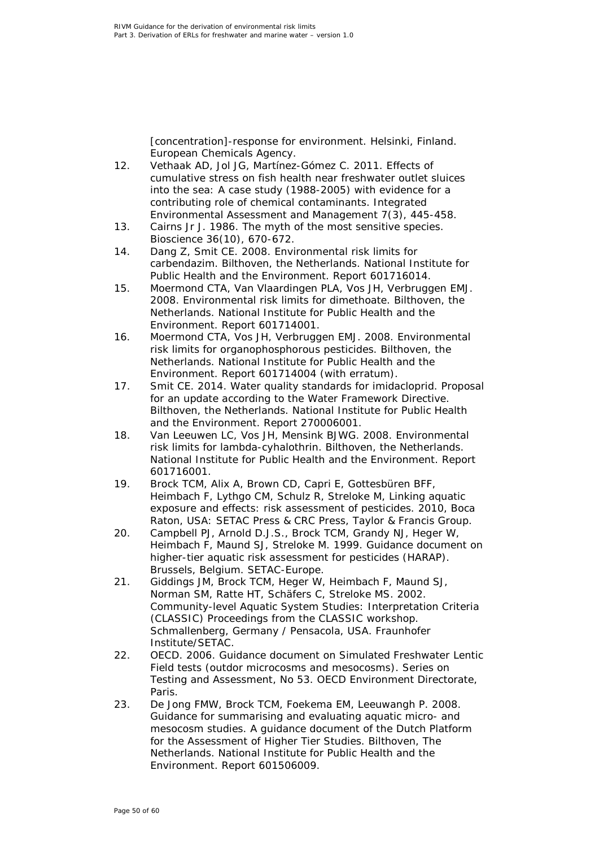[concentration]-response for environment. Helsinki, Finland. European Chemicals Agency.

- <span id="page-49-0"></span>12. Vethaak AD, Jol JG, Martínez-Gómez C. 2011. Effects of cumulative stress on fish health near freshwater outlet sluices into the sea: A case study (1988-2005) with evidence for a contributing role of chemical contaminants. Integrated Environmental Assessment and Management 7(3), 445-458.
- <span id="page-49-1"></span>13. Cairns Jr J. 1986. The myth of the most sensitive species. Bioscience 36(10), 670-672.
- <span id="page-49-2"></span>14. Dang Z, Smit CE. 2008. Environmental risk limits for carbendazim. Bilthoven, the Netherlands. National Institute for Public Health and the Environment. Report 601716014.
- 15. Moermond CTA, Van Vlaardingen PLA, Vos JH, Verbruggen EMJ. 2008. Environmental risk limits for dimethoate. Bilthoven, the Netherlands. National Institute for Public Health and the Environment. Report 601714001.
- 16. Moermond CTA, Vos JH, Verbruggen EMJ. 2008. Environmental risk limits for organophosphorous pesticides. Bilthoven, the Netherlands. National Institute for Public Health and the Environment. Report 601714004 (with erratum).
- 17. Smit CE. 2014. Water quality standards for imidacloprid. Proposal for an update according to the Water Framework Directive. Bilthoven, the Netherlands. National Institute for Public Health and the Environment. Report 270006001.
- 18. Van Leeuwen LC, Vos JH, Mensink BJWG. 2008. Environmental risk limits for lambda-cyhalothrin. Bilthoven, the Netherlands. National Institute for Public Health and the Environment. Report 601716001.
- <span id="page-49-3"></span>19. Brock TCM, Alix A, Brown CD, Capri E, Gottesbüren BFF, Heimbach F, Lythgo CM, Schulz R, Streloke M, Linking aquatic exposure and effects: risk assessment of pesticides. 2010, Boca Raton, USA: SETAC Press & CRC Press, Taylor & Francis Group.
- 20. Campbell PJ, Arnold D.J.S., Brock TCM, Grandy NJ, Heger W, Heimbach F, Maund SJ, Streloke M. 1999. Guidance document on higher-tier aquatic risk assessment for pesticides (HARAP). Brussels, Belgium. SETAC-Europe.
- 21. Giddings JM, Brock TCM, Heger W, Heimbach F, Maund SJ, Norman SM, Ratte HT, Schäfers C, Streloke MS. 2002. Community-level Aquatic System Studies: Interpretation Criteria (CLASSIC) Proceedings from the CLASSIC workshop. Schmallenberg, Germany / Pensacola, USA. Fraunhofer Institute/SETAC.
- 22. OECD. 2006. Guidance document on Simulated Freshwater Lentic Field tests (outdor microcosms and mesocosms). Series on Testing and Assessment, No 53. OECD Environment Directorate, Paris.
- <span id="page-49-4"></span>23. De Jong FMW, Brock TCM, Foekema EM, Leeuwangh P. 2008. Guidance for summarising and evaluating aquatic micro- and mesocosm studies. A guidance document of the Dutch Platform for the Assessment of Higher Tier Studies. Bilthoven, The Netherlands. National Institute for Public Health and the Environment. Report 601506009.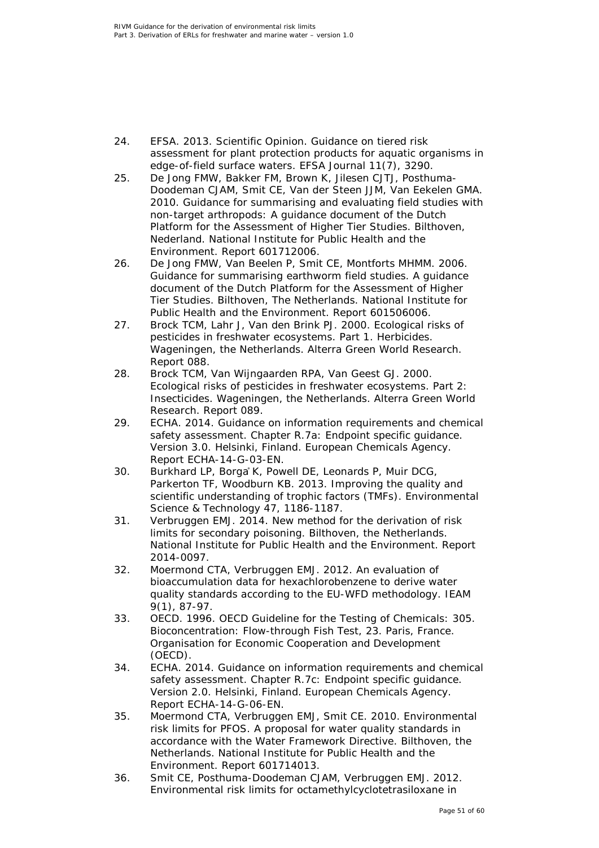- <span id="page-50-0"></span>24. EFSA. 2013. Scientific Opinion. Guidance on tiered risk assessment for plant protection products for aquatic organisms in edge-of-field surface waters. EFSA Journal 11(7), 3290.
- <span id="page-50-1"></span>25. De Jong FMW, Bakker FM, Brown K, Jilesen CJTJ, Posthuma-Doodeman CJAM, Smit CE, Van der Steen JJM, Van Eekelen GMA. 2010. Guidance for summarising and evaluating field studies with non-target arthropods: A guidance document of the Dutch Platform for the Assessment of Higher Tier Studies. Bilthoven, Nederland. National Institute for Public Health and the Environment. Report 601712006.
- <span id="page-50-2"></span>26. De Jong FMW, Van Beelen P, Smit CE, Montforts MHMM. 2006. Guidance for summarising earthworm field studies. A guidance document of the Dutch Platform for the Assessment of Higher Tier Studies. Bilthoven, The Netherlands. National Institute for Public Health and the Environment. Report 601506006.
- <span id="page-50-3"></span>27. Brock TCM, Lahr J, Van den Brink PJ. 2000. Ecological risks of pesticides in freshwater ecosystems. Part 1. Herbicides. Wageningen, the Netherlands. Alterra Green World Research. Report 088.
- <span id="page-50-4"></span>28. Brock TCM, Van Wijngaarden RPA, Van Geest GJ. 2000. Ecological risks of pesticides in freshwater ecosystems. Part 2: Insecticides. Wageningen, the Netherlands. Alterra Green World Research. Report 089.
- <span id="page-50-5"></span>29. ECHA. 2014. Guidance on information requirements and chemical safety assessment. Chapter R.7a: Endpoint specific guidance. Version 3.0. Helsinki, Finland. European Chemicals Agency. Report ECHA-14-G-03-EN.
- <span id="page-50-6"></span>30. Burkhard LP, Borgå K, Powell DE, Leonards P, Muir DCG, Parkerton TF, Woodburn KB. 2013. Improving the quality and scientific understanding of trophic factors (TMFs). Environmental Science & Technology 47, 1186-1187.
- <span id="page-50-7"></span>31. Verbruggen EMJ. 2014. New method for the derivation of risk limits for secondary poisoning. Bilthoven, the Netherlands. National Institute for Public Health and the Environment. Report 2014-0097.
- <span id="page-50-8"></span>32. Moermond CTA, Verbruggen EMJ. 2012. An evaluation of bioaccumulation data for hexachlorobenzene to derive water quality standards according to the EU-WFD methodology. IEAM 9(1), 87-97.
- <span id="page-50-9"></span>33. OECD. 1996. OECD Guideline for the Testing of Chemicals: 305. Bioconcentration: Flow-through Fish Test, 23. Paris, France. Organisation for Economic Cooperation and Development (OECD).
- <span id="page-50-10"></span>34. ECHA. 2014. Guidance on information requirements and chemical safety assessment. Chapter R.7c: Endpoint specific guidance. Version 2.0. Helsinki, Finland. European Chemicals Agency. Report ECHA-14-G-06-EN.
- <span id="page-50-11"></span>35. Moermond CTA, Verbruggen EMJ, Smit CE. 2010. Environmental risk limits for PFOS. A proposal for water quality standards in accordance with the Water Framework Directive. Bilthoven, the Netherlands. National Institute for Public Health and the Environment. Report 601714013.
- <span id="page-50-12"></span>36. Smit CE, Posthuma-Doodeman CJAM, Verbruggen EMJ. 2012. Environmental risk limits for octamethylcyclotetrasiloxane in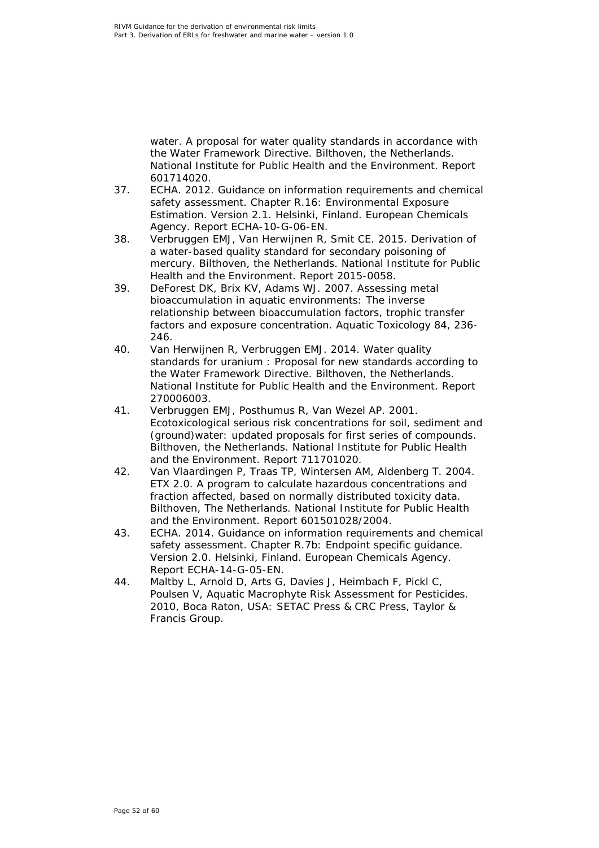water. A proposal for water quality standards in accordance with the Water Framework Directive. Bilthoven, the Netherlands. National Institute for Public Health and the Environment. Report 601714020.

- <span id="page-51-0"></span>37. ECHA. 2012. Guidance on information requirements and chemical safety assessment. Chapter R.16: Environmental Exposure Estimation. Version 2.1. Helsinki, Finland. European Chemicals Agency. Report ECHA-10-G-06-EN.
- <span id="page-51-1"></span>38. Verbruggen EMJ, Van Herwijnen R, Smit CE. 2015. Derivation of a water-based quality standard for secondary poisoning of mercury. Bilthoven, the Netherlands. National Institute for Public Health and the Environment. Report 2015-0058.
- <span id="page-51-2"></span>39. DeForest DK, Brix KV, Adams WJ. 2007. Assessing metal bioaccumulation in aquatic environments: The inverse relationship between bioaccumulation factors, trophic transfer factors and exposure concentration. Aquatic Toxicology 84, 236- 246.
- <span id="page-51-3"></span>40. Van Herwijnen R, Verbruggen EMJ. 2014. Water quality standards for uranium : Proposal for new standards according to the Water Framework Directive. Bilthoven, the Netherlands. National Institute for Public Health and the Environment. Report 270006003.
- <span id="page-51-4"></span>41. Verbruggen EMJ, Posthumus R, Van Wezel AP. 2001. Ecotoxicological serious risk concentrations for soil, sediment and (ground)water: updated proposals for first series of compounds. Bilthoven, the Netherlands. National Institute for Public Health and the Environment. Report 711701020.
- <span id="page-51-5"></span>42. Van Vlaardingen P, Traas TP, Wintersen AM, Aldenberg T. 2004. ETX 2.0. A program to calculate hazardous concentrations and fraction affected, based on normally distributed toxicity data. Bilthoven, The Netherlands. National Institute for Public Health and the Environment. Report 601501028/2004.
- <span id="page-51-6"></span>43. ECHA. 2014. Guidance on information requirements and chemical safety assessment. Chapter R.7b: Endpoint specific guidance. Version 2.0. Helsinki, Finland. European Chemicals Agency. Report ECHA-14-G-05-EN.
- <span id="page-51-7"></span>44. Maltby L, Arnold D, Arts G, Davies J, Heimbach F, Pickl C, Poulsen V, Aquatic Macrophyte Risk Assessment for Pesticides. 2010, Boca Raton, USA: SETAC Press & CRC Press, Taylor & Francis Group.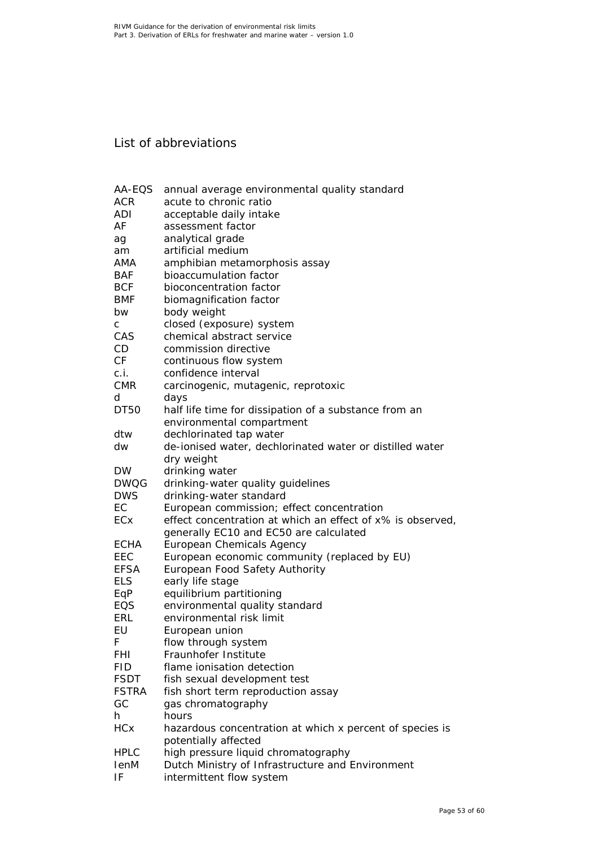# <span id="page-52-0"></span>List of abbreviations

| AA-EQS       | annual average environmental quality standard              |
|--------------|------------------------------------------------------------|
| <b>ACR</b>   | acute to chronic ratio                                     |
| ADI          | acceptable daily intake                                    |
| AF           | assessment factor                                          |
| ag           | analytical grade                                           |
| am           | artificial medium                                          |
| AMA          | amphibian metamorphosis assay                              |
| <b>BAF</b>   | bioaccumulation factor                                     |
| <b>BCF</b>   | bioconcentration factor                                    |
| <b>BMF</b>   | biomagnification factor                                    |
| bw           | body weight                                                |
| C            | closed (exposure) system                                   |
| CAS          | chemical abstract service                                  |
| CD.          | commission directive                                       |
| CF           | continuous flow system                                     |
| c.i.         | confidence interval                                        |
| <b>CMR</b>   | carcinogenic, mutagenic, reprotoxic                        |
| d            | days                                                       |
| DT50         | half life time for dissipation of a substance from an      |
|              | environmental compartment                                  |
| dtw          | dechlorinated tap water                                    |
| dw           | de-ionised water, dechlorinated water or distilled water   |
|              | dry weight                                                 |
| <b>DW</b>    | drinking water                                             |
| <b>DWQG</b>  | drinking-water quality guidelines                          |
| <b>DWS</b>   | drinking-water standard                                    |
| EC           | European commission; effect concentration                  |
| ECx          | effect concentration at which an effect of x% is observed, |
|              | generally EC10 and EC50 are calculated                     |
| ECHA         | European Chemicals Agency                                  |
| EEC          | European economic community (replaced by EU)               |
| <b>EFSA</b>  | European Food Safety Authority                             |
| <b>ELS</b>   | early life stage                                           |
| EqP          | equilibrium partitioning                                   |
| EQS          | environmental quality standard                             |
| <b>ERL</b>   | environmental risk limit                                   |
| EU           | European union                                             |
| F            | flow through system                                        |
| FHI          | Fraunhofer Institute                                       |
| <b>FID</b>   | flame ionisation detection                                 |
| <b>FSDT</b>  | fish sexual development test                               |
| <b>FSTRA</b> | fish short term reproduction assay                         |
| GC           | gas chromatography                                         |
| h.           | hours                                                      |
| <b>HCx</b>   | hazardous concentration at which x percent of species is   |
|              | potentially affected                                       |
| <b>HPLC</b>  | high pressure liquid chromatography                        |
| lenM         | Dutch Ministry of Infrastructure and Environment           |
| ΙF           | intermittent flow system                                   |
|              |                                                            |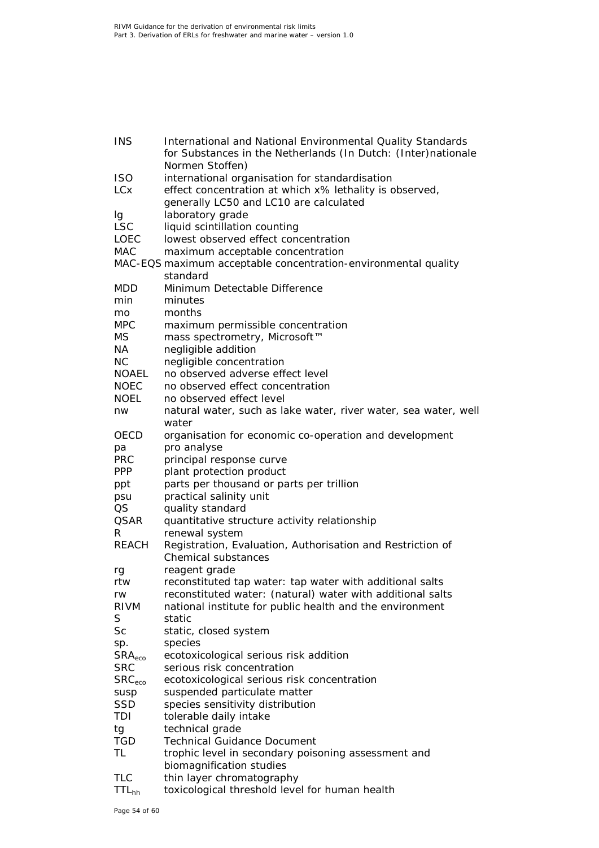| <b>INS</b>         | International and National Environmental Quality Standards      |
|--------------------|-----------------------------------------------------------------|
|                    | for Substances in the Netherlands (In Dutch: (Inter)nationale   |
|                    | Normen Stoffen)                                                 |
| <b>ISO</b>         | international organisation for standardisation                  |
| <b>LCx</b>         | effect concentration at which x% lethality is observed,         |
|                    | generally LC50 and LC10 are calculated                          |
| Ig                 | laboratory grade                                                |
| <b>LSC</b>         | liquid scintillation counting                                   |
| <b>LOEC</b>        | lowest observed effect concentration                            |
| <b>MAC</b>         | maximum acceptable concentration                                |
|                    | MAC-EQS maximum acceptable concentration-environmental quality  |
|                    | standard                                                        |
| MDD                | Minimum Detectable Difference                                   |
| min                | minutes                                                         |
| mo                 | months                                                          |
| <b>MPC</b>         | maximum permissible concentration                               |
| MS.                | mass spectrometry, Microsoft™                                   |
| NA                 | negligible addition                                             |
| NC.                | negligible concentration                                        |
| <b>NOAEL</b>       | no observed adverse effect level                                |
| <b>NOEC</b>        | no observed effect concentration                                |
| <b>NOEL</b>        | no observed effect level                                        |
| nw                 | natural water, such as lake water, river water, sea water, well |
|                    | water                                                           |
| OECD               | organisation for economic co-operation and development          |
| рa                 | pro analyse                                                     |
| <b>PRC</b>         | principal response curve                                        |
| <b>PPP</b>         | plant protection product                                        |
| ppt                | parts per thousand or parts per trillion                        |
| psu                | practical salinity unit                                         |
| QS                 | quality standard                                                |
| <b>QSAR</b>        | quantitative structure activity relationship                    |
| R.                 | renewal system                                                  |
| REACH              | Registration, Evaluation, Authorisation and Restriction of      |
|                    | <b>Chemical substances</b>                                      |
| rg                 | reagent grade                                                   |
| rtw                | reconstituted tap water: tap water with additional salts        |
| rw                 | reconstituted water: (natural) water with additional salts      |
| RIVM               | national institute for public health and the environment        |
| S                  | static                                                          |
| Sc                 |                                                                 |
|                    | static, closed system                                           |
| sp.                | species<br>ecotoxicological serious risk addition               |
| SRA <sub>eco</sub> |                                                                 |
| <b>SRC</b>         | serious risk concentration                                      |
| SRC <sub>eco</sub> | ecotoxicological serious risk concentration                     |
| susp               | suspended particulate matter                                    |
| <b>SSD</b>         | species sensitivity distribution                                |
| TDI                | tolerable daily intake                                          |
| tg                 | technical grade                                                 |
| <b>TGD</b>         | <b>Technical Guidance Document</b>                              |
| TL                 | trophic level in secondary poisoning assessment and             |
|                    | biomagnification studies                                        |
| <b>TLC</b>         | thin layer chromatography                                       |
| TTL <sub>hh</sub>  | toxicological threshold level for human health                  |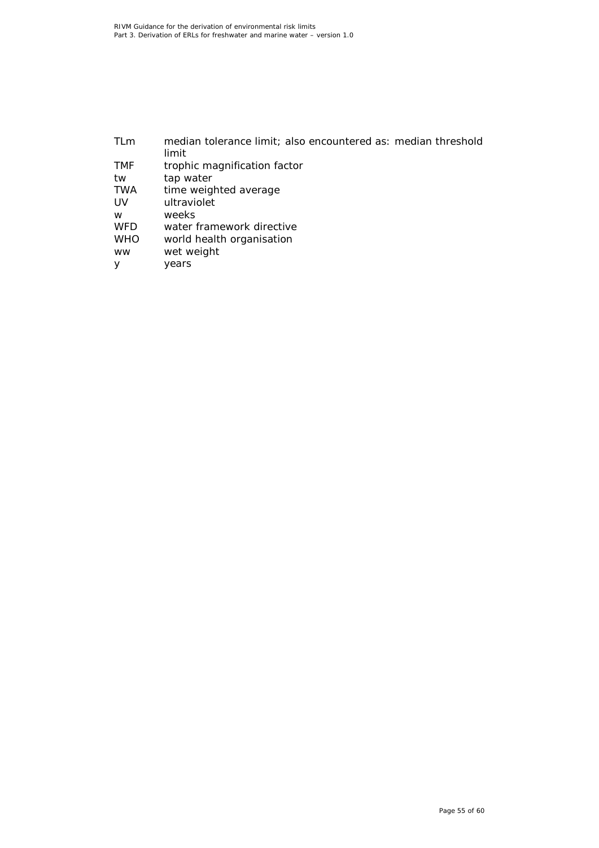| median tolerance limit; also encountered as: median threshold |
|---------------------------------------------------------------|
| limit                                                         |
| trophic magnification factor                                  |
| tap water                                                     |
| time weighted average                                         |
| ultraviolet                                                   |
| weeks                                                         |
| water framework directive                                     |
| world health organisation                                     |
| wet weight                                                    |
| years                                                         |
|                                                               |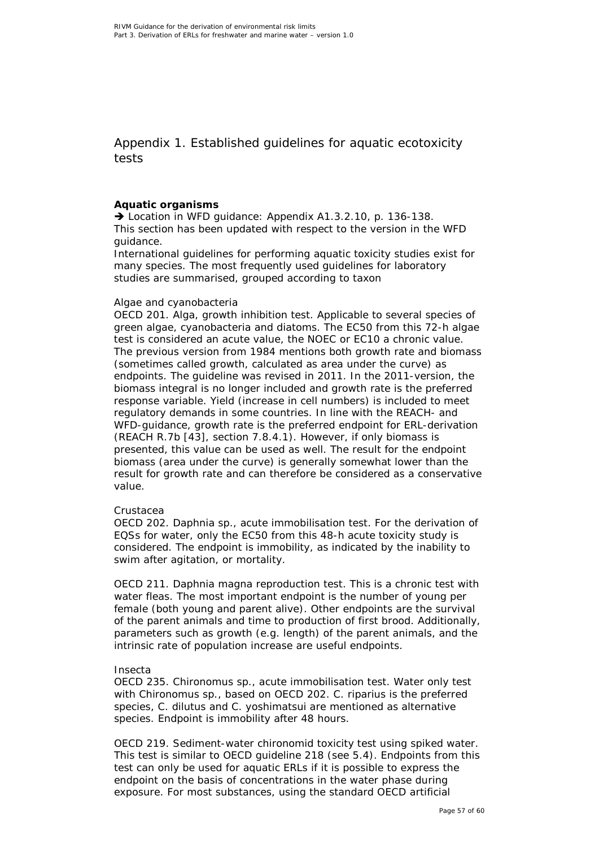<span id="page-56-0"></span>Appendix 1. Established guidelines for aquatic ecotoxicity tests

### **Aquatic organisms**

→ Location in WFD quidance: Appendix A1.3.2.10, p. 136-138. This section has been updated with respect to the version in the WFD guidance.

International guidelines for performing aquatic toxicity studies exist for many species. The most frequently used guidelines for laboratory studies are summarised, grouped according to taxon

### *Algae and cyanobacteria*

OECD 201. Alga, growth inhibition test. Applicable to several species of green algae, cyanobacteria and diatoms. The EC50 from this 72-h algae test is considered an acute value, the NOEC or EC10 a chronic value. The previous version from 1984 mentions both growth rate and biomass (sometimes called growth, calculated as area under the curve) as endpoints. The guideline was revised in 2011. In the 2011-version, the biomass integral is no longer included and growth rate is the preferred response variable. Yield (increase in cell numbers) is included to meet regulatory demands in some countries. In line with the REACH- and WFD-guidance, growth rate is the preferred endpoint for ERL-derivation (REACH R.7b [\[43\]](#page-51-6), section 7.8.4.1). However, if only biomass is presented, this value can be used as well. The result for the endpoint biomass (area under the curve) is generally somewhat lower than the result for growth rate and can therefore be considered as a conservative value.

### *Crustacea*

OECD 202. Daphnia sp., acute immobilisation test. For the derivation of EQSs for water, only the EC50 from this 48-h acute toxicity study is considered. The endpoint is immobility, as indicated by the inability to swim after agitation, or mortality.

OECD 211. *Daphnia magna* reproduction test. This is a chronic test with water fleas. The most important endpoint is the number of young per female (both young and parent alive). Other endpoints are the survival of the parent animals and time to production of first brood. Additionally, parameters such as growth (e.g. length) of the parent animals, and the intrinsic rate of population increase are useful endpoints.

### *Insecta*

OECD 235. *Chironomus* sp., acute immobilisation test. Water only test with *Chironomus* sp., based on OECD 202. *C. riparius* is the preferred species, *C. dilutus* and *C. yoshimatsui* are mentioned as alternative species. Endpoint is immobility after 48 hours.

OECD 219. Sediment-water chironomid toxicity test using spiked water. This test is similar to OECD guideline 218 (see 5.4). Endpoints from this test can only be used for aquatic ERLs if it is possible to express the endpoint on the basis of concentrations in the water phase during exposure. For most substances, using the standard OECD artificial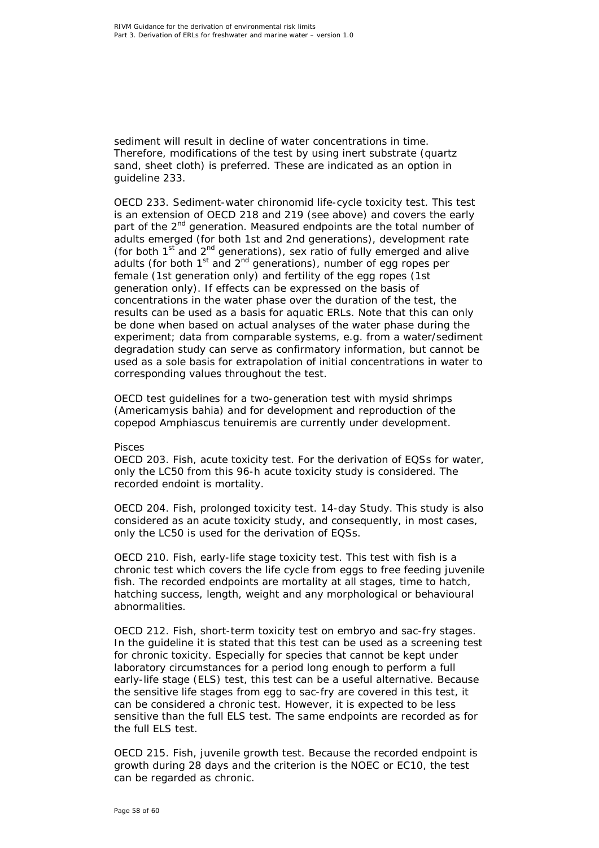sediment will result in decline of water concentrations in time. Therefore, modifications of the test by using inert substrate (quartz sand, sheet cloth) is preferred. These are indicated as an option in guideline 233.

OECD 233. Sediment-water chironomid life-cycle toxicity test. This test is an extension of OECD 218 and 219 (see above) and covers the early part of the 2<sup>nd</sup> generation. Measured endpoints are the total number of adults emerged (for both 1st and 2nd generations), development rate (for both  $1<sup>st</sup>$  and  $2<sup>nd</sup>$  generations), sex ratio of fully emerged and alive adults (for both  $1<sup>st</sup>$  and  $2<sup>nd</sup>$  generations), number of egg ropes per female (1st generation only) and fertility of the egg ropes (1st generation only). If effects can be expressed on the basis of concentrations in the water phase over the duration of the test, the results can be used as a basis for aquatic ERLs. Note that this can only be done when based on actual analyses of the water phase during the experiment; data from comparable systems, e.g. from a water/sediment degradation study can serve as confirmatory information, but cannot be used as a sole basis for extrapolation of initial concentrations in water to corresponding values throughout the test.

OECD test guidelines for a two-generation test with mysid shrimps (*Americamysis bahia*) and for development and reproduction of the copepod *Amphiascus tenuiremis* are currently under development.

### *Pisces*

OECD 203. Fish, acute toxicity test. For the derivation of EQSs for water, only the LC50 from this 96-h acute toxicity study is considered. The recorded endoint is mortality.

OECD 204. Fish, prolonged toxicity test. 14-day Study. This study is also considered as an acute toxicity study, and consequently, in most cases, only the LC50 is used for the derivation of EQSs.

OECD 210. Fish, early-life stage toxicity test. This test with fish is a chronic test which covers the life cycle from eggs to free feeding juvenile fish. The recorded endpoints are mortality at all stages, time to hatch, hatching success, length, weight and any morphological or behavioural abnormalities.

OECD 212. Fish, short-term toxicity test on embryo and sac-fry stages. In the guideline it is stated that this test can be used as a screening test for chronic toxicity. Especially for species that cannot be kept under laboratory circumstances for a period long enough to perform a full early-life stage (ELS) test, this test can be a useful alternative. Because the sensitive life stages from egg to sac-fry are covered in this test, it can be considered a chronic test. However, it is expected to be less sensitive than the full ELS test. The same endpoints are recorded as for the full ELS test.

OECD 215. Fish, juvenile growth test. Because the recorded endpoint is growth during 28 days and the criterion is the NOEC or EC10, the test can be regarded as chronic.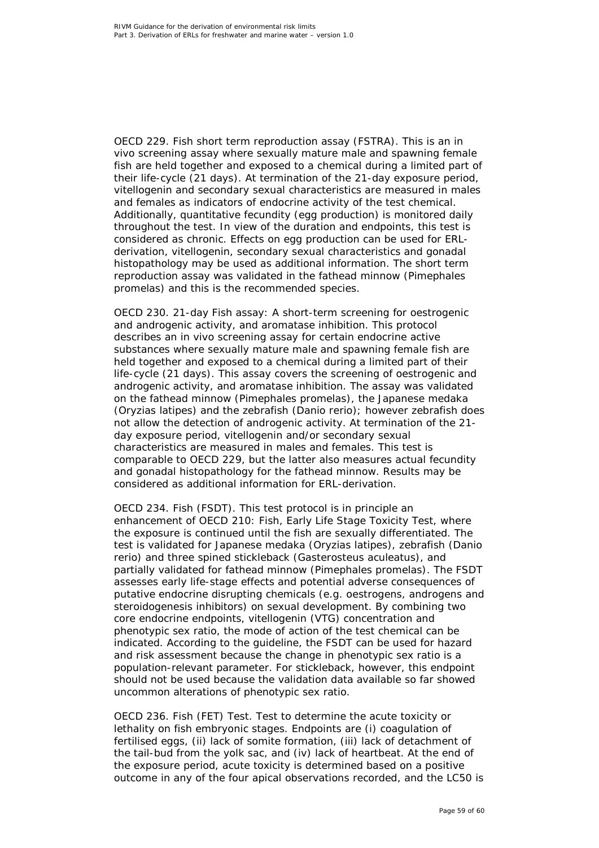OECD 229. Fish short term reproduction assay (FSTRA). This is an *in vivo* screening assay where sexually mature male and spawning female fish are held together and exposed to a chemical during a limited part of their life-cycle (21 days). At termination of the 21-day exposure period, vitellogenin and secondary sexual characteristics are measured in males and females as indicators of endocrine activity of the test chemical. Additionally, quantitative fecundity (egg production) is monitored daily throughout the test. In view of the duration and endpoints, this test is considered as chronic. Effects on egg production can be used for ERLderivation, vitellogenin, secondary sexual characteristics and gonadal histopathology may be used as additional information. The short term reproduction assay was validated in the fathead minnow (*Pimephales promelas*) and this is the recommended species.

OECD 230. 21-day Fish assay: A short-term screening for oestrogenic and androgenic activity, and aromatase inhibition. This protocol describes an *in vivo* screening assay for certain endocrine active substances where sexually mature male and spawning female fish are held together and exposed to a chemical during a limited part of their life-cycle (21 days). This assay covers the screening of oestrogenic and androgenic activity, and aromatase inhibition. The assay was validated on the fathead minnow (*Pimephales promelas*), the Japanese medaka (*Oryzias latipes*) and the zebrafish (*Danio rerio*); however zebrafish does not allow the detection of androgenic activity. At termination of the 21 day exposure period, vitellogenin and/or secondary sexual characteristics are measured in males and females. This test is comparable to OECD 229, but the latter also measures actual fecundity and gonadal histopathology for the fathead minnow. Results may be considered as additional information for ERL-derivation.

OECD 234. Fish (FSDT). This test protocol is in principle an enhancement of OECD 210: Fish, Early Life Stage Toxicity Test, where the exposure is continued until the fish are sexually differentiated. The test is validated for Japanese medaka (*Oryzias latipes*), zebrafish (*Danio rerio*) and three spined stickleback (*Gasterosteus aculeatus*), and partially validated for fathead minnow (*Pimephales promelas*). The FSDT assesses early life-stage effects and potential adverse consequences of putative endocrine disrupting chemicals (e.g. oestrogens, androgens and steroidogenesis inhibitors) on sexual development. By combining two core endocrine endpoints, vitellogenin (VTG) concentration and phenotypic sex ratio, the mode of action of the test chemical can be indicated. According to the guideline, the FSDT can be used for hazard and risk assessment because the change in phenotypic sex ratio is a population-relevant parameter. For stickleback, however, this endpoint should not be used because the validation data available so far showed uncommon alterations of phenotypic sex ratio.

OECD 236. Fish (FET) Test. Test to determine the acute toxicity or lethality on fish embryonic stages. Endpoints are (i) coagulation of fertilised eggs, (ii) lack of somite formation, (iii) lack of detachment of the tail-bud from the yolk sac, and (iv) lack of heartbeat. At the end of the exposure period, acute toxicity is determined based on a positive outcome in any of the four apical observations recorded, and the LC50 is